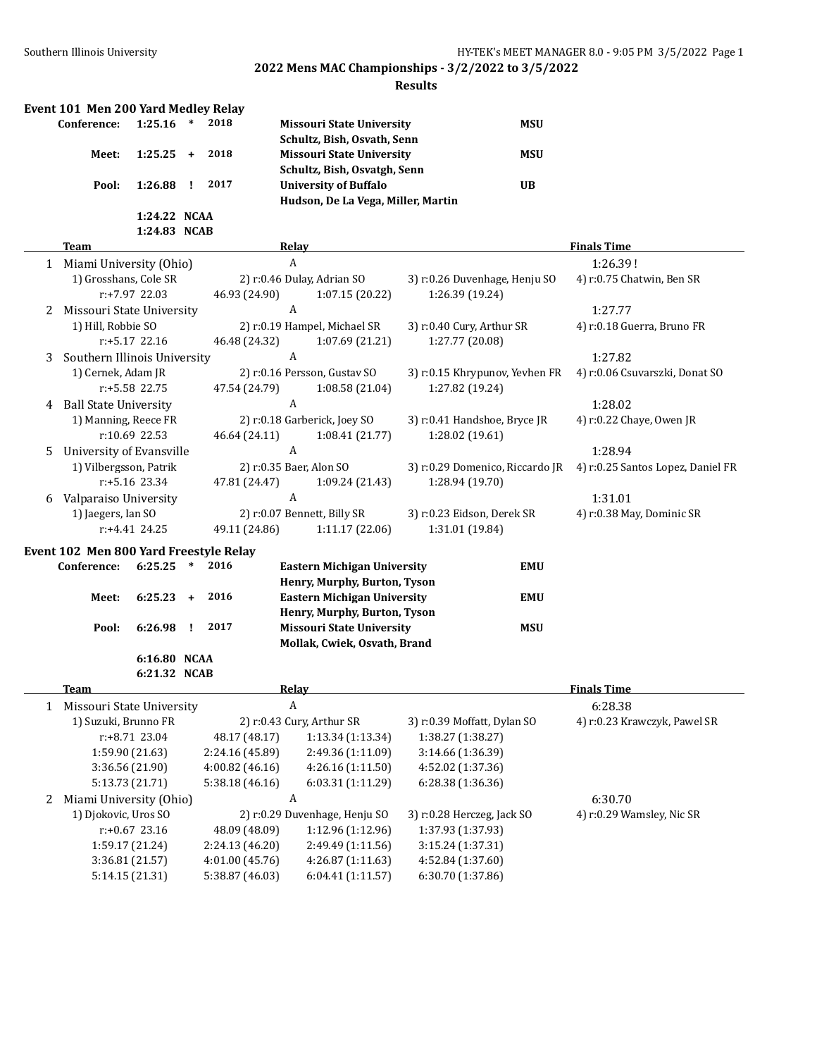|   | Event 101 Men 200 Yard Medley Relay                   |                                                                           |           |                                                                        |                                                                                  |                                                                                  |                                   |
|---|-------------------------------------------------------|---------------------------------------------------------------------------|-----------|------------------------------------------------------------------------|----------------------------------------------------------------------------------|----------------------------------------------------------------------------------|-----------------------------------|
|   | Conference:                                           | 1:25.16                                                                   | $\ast$    | 2018                                                                   | <b>Missouri State University</b>                                                 | <b>MSU</b>                                                                       |                                   |
|   |                                                       |                                                                           |           |                                                                        | Schultz, Bish, Osvath, Senn                                                      |                                                                                  |                                   |
|   | Meet:                                                 | 1:25.25                                                                   | $\ddot{}$ | 2018                                                                   | <b>Missouri State University</b>                                                 | <b>MSU</b>                                                                       |                                   |
|   |                                                       |                                                                           |           |                                                                        | Schultz, Bish, Osvatgh, Senn                                                     |                                                                                  |                                   |
|   | Pool:                                                 | 1:26.88                                                                   | I.        | 2017                                                                   | <b>University of Buffalo</b>                                                     | <b>UB</b>                                                                        |                                   |
|   |                                                       |                                                                           |           |                                                                        | Hudson, De La Vega, Miller, Martin                                               |                                                                                  |                                   |
|   |                                                       | 1:24.22 NCAA                                                              |           |                                                                        |                                                                                  |                                                                                  |                                   |
|   |                                                       | 1:24.83 NCAB                                                              |           |                                                                        |                                                                                  |                                                                                  |                                   |
|   | Team                                                  |                                                                           |           |                                                                        | <b>Relay</b>                                                                     |                                                                                  | <b>Finals Time</b>                |
|   | 1 Miami University (Ohio)                             |                                                                           |           |                                                                        | A                                                                                |                                                                                  | 1:26.39!                          |
|   | 1) Grosshans, Cole SR                                 |                                                                           |           |                                                                        | 2) r:0.46 Dulay, Adrian SO                                                       | 3) r:0.26 Duvenhage, Henju SO                                                    | 4) r:0.75 Chatwin, Ben SR         |
|   |                                                       | r:+7.97 22.03                                                             |           | 46.93 (24.90)                                                          | 1:07.15 (20.22)                                                                  | 1:26.39 (19.24)                                                                  |                                   |
| 2 | Missouri State University                             |                                                                           |           |                                                                        | A                                                                                |                                                                                  | 1:27.77                           |
|   | 1) Hill, Robbie SO                                    |                                                                           |           |                                                                        | 2) r:0.19 Hampel, Michael SR                                                     | 3) r:0.40 Cury, Arthur SR                                                        | 4) r:0.18 Guerra, Bruno FR        |
|   |                                                       | $r: +5.17$ 22.16                                                          |           | 46.48 (24.32)                                                          | 1:07.69 (21.21)                                                                  | 1:27.77 (20.08)                                                                  |                                   |
| 3 | Southern Illinois University                          |                                                                           |           |                                                                        | A                                                                                |                                                                                  | 1:27.82                           |
|   | 1) Cernek, Adam JR                                    |                                                                           |           |                                                                        | 2) r:0.16 Persson, Gustav SO                                                     | 3) r:0.15 Khrypunov, Yevhen FR                                                   | 4) r:0.06 Csuvarszki, Donat SO    |
|   |                                                       | r:+5.58 22.75                                                             |           | 47.54 (24.79)                                                          | 1:08.58(21.04)                                                                   | 1:27.82 (19.24)                                                                  |                                   |
| 4 | <b>Ball State University</b>                          |                                                                           |           |                                                                        | A                                                                                |                                                                                  | 1:28.02                           |
|   | 1) Manning, Reece FR                                  |                                                                           |           |                                                                        | 2) r:0.18 Garberick, Joey SO                                                     | 3) r:0.41 Handshoe, Bryce JR                                                     | 4) r:0.22 Chaye, Owen JR          |
|   |                                                       | r:10.69 22.53                                                             |           | 46.64 (24.11)                                                          | 1:08.41 (21.77)                                                                  | 1:28.02 (19.61)                                                                  |                                   |
| 5 | University of Evansville                              |                                                                           |           |                                                                        | A                                                                                |                                                                                  | 1:28.94                           |
|   | 1) Vilbergsson, Patrik                                |                                                                           |           |                                                                        | 2) r:0.35 Baer, Alon SO                                                          | 3) r:0.29 Domenico, Riccardo JR                                                  | 4) r:0.25 Santos Lopez, Daniel FR |
|   |                                                       | r:+5.16 23.34                                                             |           | 47.81 (24.47)                                                          | 1:09.24 (21.43)                                                                  | 1:28.94 (19.70)                                                                  |                                   |
| 6 | Valparaiso University                                 |                                                                           |           |                                                                        | A                                                                                |                                                                                  | 1:31.01                           |
|   | 1) Jaegers, Ian SO                                    |                                                                           |           |                                                                        | 2) r:0.07 Bennett, Billy SR                                                      | 3) r:0.23 Eidson, Derek SR                                                       | 4) r:0.38 May, Dominic SR         |
|   |                                                       | $r: +4.41$ 24.25                                                          |           | 49.11 (24.86)                                                          | 1:11.17 (22.06)                                                                  | 1:31.01 (19.84)                                                                  |                                   |
|   |                                                       |                                                                           |           |                                                                        |                                                                                  |                                                                                  |                                   |
|   | Event 102 Men 800 Yard Freestyle Relay<br>Conference: | 6:25.25                                                                   | $\ast$    | 2016                                                                   |                                                                                  | <b>EMU</b>                                                                       |                                   |
|   |                                                       |                                                                           |           |                                                                        | <b>Eastern Michigan University</b>                                               |                                                                                  |                                   |
|   |                                                       | 6:25.23                                                                   | $\ddot{}$ | 2016                                                                   | Henry, Murphy, Burton, Tyson<br><b>Eastern Michigan University</b>               | <b>EMU</b>                                                                       |                                   |
|   | Meet:                                                 |                                                                           |           |                                                                        | Henry, Murphy, Burton, Tyson                                                     |                                                                                  |                                   |
|   | Pool:                                                 | 6:26.98                                                                   | Ţ.        | 2017                                                                   | <b>Missouri State University</b>                                                 | <b>MSU</b>                                                                       |                                   |
|   |                                                       |                                                                           |           |                                                                        | Mollak, Cwiek, Osvath, Brand                                                     |                                                                                  |                                   |
|   |                                                       | 6:16.80 NCAA                                                              |           |                                                                        |                                                                                  |                                                                                  |                                   |
|   |                                                       | 6:21.32 NCAB                                                              |           |                                                                        |                                                                                  |                                                                                  |                                   |
|   | Toam                                                  |                                                                           |           |                                                                        | Relay                                                                            |                                                                                  | <b>Finals Time</b>                |
|   | 1 Missouri State University                           |                                                                           |           |                                                                        | A                                                                                |                                                                                  | 6:28.38                           |
|   | 1) Suzuki, Brunno FR                                  |                                                                           |           |                                                                        | 2) r:0.43 Cury, Arthur SR                                                        | 3) r:0.39 Moffatt, Dylan SO                                                      | 4) r:0.23 Krawczyk, Pawel SR      |
|   |                                                       | r:+8.71 23.04                                                             |           | 48.17 (48.17)                                                          | 1:13.34 (1:13.34)                                                                | 1:38.27 (1:38.27)                                                                |                                   |
|   |                                                       | 1:59.90 (21.63)                                                           |           | 2:24.16 (45.89)                                                        | 2:49.36 (1:11.09)                                                                | 3:14.66 (1:36.39)                                                                |                                   |
|   |                                                       | 3:36.56 (21.90)                                                           |           | 4:00.82 (46.16)                                                        | 4:26.16 (1:11.50)                                                                | 4:52.02 (1:37.36)                                                                |                                   |
|   |                                                       | 5:13.73 (21.71)                                                           |           | 5:38.18 (46.16)                                                        | 6:03.31 (1:11.29)                                                                | 6:28.38 (1:36.36)                                                                |                                   |
| 2 | Miami University (Ohio)                               |                                                                           |           |                                                                        | A                                                                                |                                                                                  | 6:30.70                           |
|   | 1) Djokovic, Uros SO                                  |                                                                           |           |                                                                        | 2) r:0.29 Duvenhage, Henju SO                                                    | 3) r:0.28 Herczeg, Jack SO                                                       | 4) r:0.29 Wamsley, Nic SR         |
|   |                                                       |                                                                           |           |                                                                        |                                                                                  |                                                                                  |                                   |
|   |                                                       |                                                                           |           |                                                                        |                                                                                  |                                                                                  |                                   |
|   |                                                       |                                                                           |           |                                                                        |                                                                                  |                                                                                  |                                   |
|   |                                                       |                                                                           |           |                                                                        |                                                                                  |                                                                                  |                                   |
|   |                                                       | $r: +0.67$ 23.16<br>1:59.17 (21.24)<br>3:36.81 (21.57)<br>5:14.15 (21.31) |           | 48.09 (48.09)<br>2:24.13 (46.20)<br>4:01.00 (45.76)<br>5:38.87 (46.03) | 1:12.96 (1:12.96)<br>2:49.49 (1:11.56)<br>4:26.87 (1:11.63)<br>6:04.41 (1:11.57) | 1:37.93 (1:37.93)<br>3:15.24 (1:37.31)<br>4:52.84 (1:37.60)<br>6:30.70 (1:37.86) |                                   |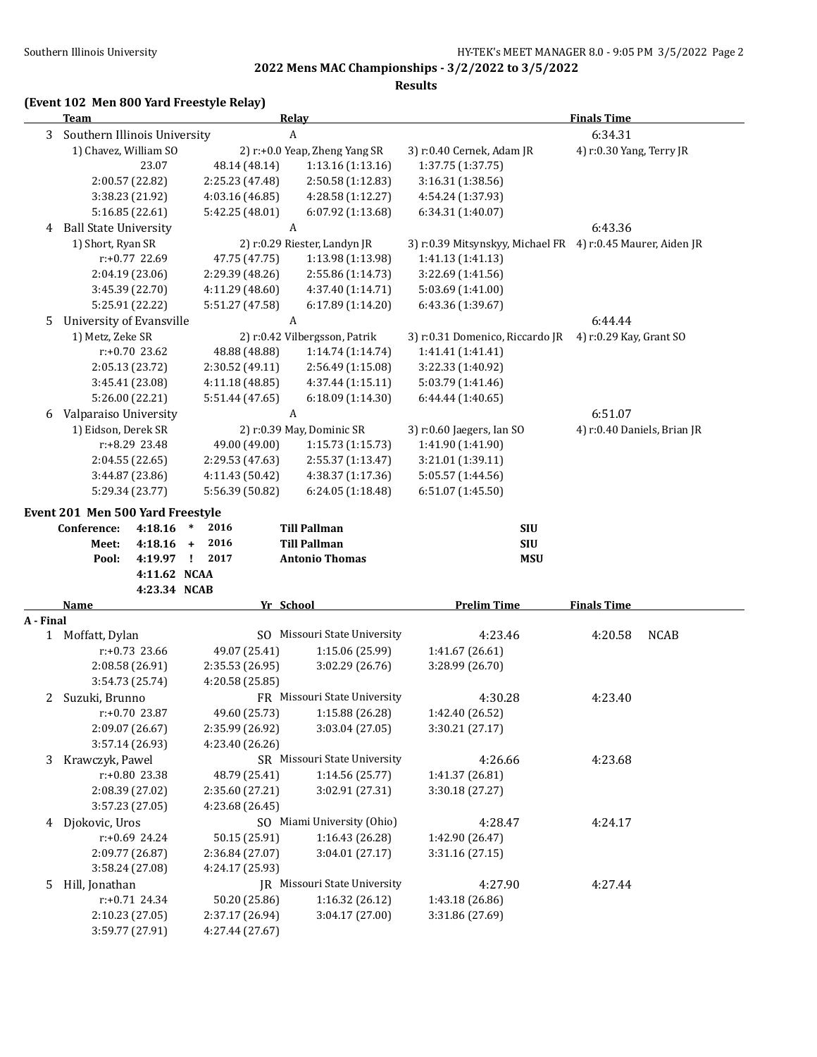**Results**

## **(Event 102 Men 800 Yard Freestyle Relay)**

|           | <b>Team</b>                      |                                    | Relay                                           | <b>Finals Time</b>                                          |                             |  |  |
|-----------|----------------------------------|------------------------------------|-------------------------------------------------|-------------------------------------------------------------|-----------------------------|--|--|
| 3         | Southern Illinois University     | A                                  |                                                 |                                                             | 6:34.31                     |  |  |
|           | 1) Chavez, William SO            |                                    | 2) r:+0.0 Yeap, Zheng Yang SR                   | 3) r:0.40 Cernek, Adam JR                                   | 4) r:0.30 Yang, Terry JR    |  |  |
|           | 23.07                            | 48.14 (48.14)                      | 1:13.16 (1:13.16)                               | 1:37.75 (1:37.75)                                           |                             |  |  |
|           | 2:00.57 (22.82)                  | 2:25.23 (47.48)                    | 2:50.58 (1:12.83)                               | 3:16.31 (1:38.56)                                           |                             |  |  |
|           | 3:38.23 (21.92)                  | 4:03.16 (46.85)                    | 4:28.58 (1:12.27)                               | 4:54.24 (1:37.93)                                           |                             |  |  |
|           | 5:16.85(22.61)                   | 5:42.25 (48.01)                    | 6:07.92 (1:13.68)                               | 6:34.31 (1:40.07)                                           |                             |  |  |
| 4         | <b>Ball State University</b>     | A                                  |                                                 |                                                             | 6:43.36                     |  |  |
|           | 1) Short, Ryan SR                |                                    | 2) r:0.29 Riester, Landyn JR                    | 3) r:0.39 Mitsynskyy, Michael FR 4) r:0.45 Maurer, Aiden JR |                             |  |  |
|           | r:+0.77 22.69                    | 47.75 (47.75)                      | 1:13.98 (1:13.98)                               | 1:41.13 (1:41.13)                                           |                             |  |  |
|           | 2:04.19 (23.06)                  | 2:29.39 (48.26)                    | 2:55.86 (1:14.73)                               | 3:22.69 (1:41.56)                                           |                             |  |  |
|           | 3:45.39 (22.70)                  | 4:11.29 (48.60)                    | 4:37.40 (1:14.71)                               | 5:03.69 (1:41.00)                                           |                             |  |  |
|           | 5:25.91 (22.22)                  | 5:51.27 (47.58)                    | 6:17.89 (1:14.20)                               | 6:43.36 (1:39.67)                                           |                             |  |  |
| 5         | University of Evansville         | A                                  |                                                 |                                                             | 6:44.44                     |  |  |
|           | 1) Metz, Zeke SR                 |                                    | 2) r:0.42 Vilbergsson, Patrik                   | 3) r:0.31 Domenico, Riccardo JR                             | 4) r:0.29 Kay, Grant SO     |  |  |
|           | r:+0.70 23.62                    | 48.88 (48.88)                      | 1:14.74 (1:14.74)                               | 1:41.41 (1:41.41)                                           |                             |  |  |
|           | 2:05.13 (23.72)                  | 2:30.52 (49.11)                    | 2:56.49 (1:15.08)                               | 3:22.33 (1:40.92)                                           |                             |  |  |
|           | 3:45.41 (23.08)                  | 4:11.18 (48.85)                    | 4:37.44 (1:15.11)                               | 5:03.79 (1:41.46)                                           |                             |  |  |
|           | 5:26.00 (22.21)                  | 5:51.44 (47.65)                    | 6:18.09 (1:14.30)                               | 6:44.44 (1:40.65)                                           |                             |  |  |
| 6         | Valparaiso University            | A                                  |                                                 |                                                             | 6:51.07                     |  |  |
|           | 1) Eidson, Derek SR              |                                    | 2) r:0.39 May, Dominic SR                       | 3) r:0.60 Jaegers, Ian SO                                   | 4) r:0.40 Daniels, Brian JR |  |  |
|           | r:+8.29 23.48                    | 49.00 (49.00)                      | 1:15.73(1:15.73)                                | 1:41.90 (1:41.90)                                           |                             |  |  |
|           | 2:04.55(22.65)                   | 2:29.53 (47.63)                    | 2:55.37 (1:13.47)                               | 3:21.01 (1:39.11)                                           |                             |  |  |
|           | 3:44.87 (23.86)                  | 4:11.43(50.42)                     | 4:38.37 (1:17.36)                               | 5:05.57 (1:44.56)                                           |                             |  |  |
|           | 5:29.34 (23.77)                  | 5:56.39 (50.82)                    | 6:24.05(1:18.48)                                | 6:51.07 (1:45.50)                                           |                             |  |  |
|           | Event 201 Men 500 Yard Freestyle |                                    |                                                 |                                                             |                             |  |  |
|           | 4:18.16<br>Conference:           | $\ast$<br>2016                     | <b>Till Pallman</b>                             | <b>SIU</b>                                                  |                             |  |  |
|           | $4:18.16 +$<br>Meet:             | 2016                               | <b>Till Pallman</b>                             | <b>SIU</b>                                                  |                             |  |  |
|           | 4:19.97 !<br>Pool:               | 2017                               | <b>Antonio Thomas</b>                           | <b>MSU</b>                                                  |                             |  |  |
|           | 4:11.62 NCAA                     |                                    |                                                 |                                                             |                             |  |  |
|           | 4:23.34 NCAB                     |                                    |                                                 |                                                             |                             |  |  |
|           | <b>Name</b>                      | Yr School                          |                                                 | <b>Prelim Time</b>                                          | <b>Finals Time</b>          |  |  |
| A - Final |                                  |                                    |                                                 |                                                             |                             |  |  |
|           | 1 Moffatt, Dylan                 |                                    | SO Missouri State University                    | 4:23.46                                                     | <b>NCAB</b><br>4:20.58      |  |  |
|           | r:+0.73 23.66                    | 49.07 (25.41)                      | 1:15.06 (25.99)                                 | 1:41.67(26.61)                                              |                             |  |  |
|           | 2:08.58 (26.91)                  | 2:35.53 (26.95)                    | 3:02.29 (26.76)                                 | 3:28.99 (26.70)                                             |                             |  |  |
|           | 3:54.73 (25.74)                  | 4:20.58 (25.85)                    |                                                 |                                                             |                             |  |  |
| 2         | Suzuki, Brunno                   |                                    | FR Missouri State University                    | 4:30.28                                                     | 4:23.40                     |  |  |
|           | r:+0.70 23.87                    | 49.60 (25.73)                      | 1:15.88 (26.28)                                 | 1:42.40 (26.52)                                             |                             |  |  |
|           | 2:09.07 (26.67)                  | 2:35.99 (26.92)                    | 3:03.04 (27.05)                                 | 3:30.21 (27.17)                                             |                             |  |  |
|           | 3:57.14 (26.93)                  | 4:23.40 (26.26)                    |                                                 |                                                             |                             |  |  |
| 3         | Krawczyk, Pawel                  |                                    | SR Missouri State University                    | 4:26.66                                                     | 4:23.68                     |  |  |
|           | r:+0.80 23.38                    | 48.79 (25.41)                      | 1:14.56 (25.77)                                 | 1:41.37 (26.81)                                             |                             |  |  |
|           | 2:08.39 (27.02)                  | 2:35.60 (27.21)                    | 3:02.91 (27.31)                                 | 3:30.18 (27.27)                                             |                             |  |  |
|           | 3:57.23 (27.05)                  | 4:23.68 (26.45)                    |                                                 |                                                             |                             |  |  |
| 4         | Djokovic, Uros                   |                                    | SO Miami University (Ohio)                      | 4:28.47                                                     | 4:24.17                     |  |  |
|           | r:+0.69 24.24                    | 50.15 (25.91)                      | 1:16.43 (26.28)                                 | 1:42.90 (26.47)                                             |                             |  |  |
|           | 2:09.77 (26.87)                  | 2:36.84 (27.07)<br>3:04.01 (27.17) |                                                 | 3:31.16 (27.15)                                             |                             |  |  |
|           | 3:58.24 (27.08)                  | 4:24.17 (25.93)                    |                                                 |                                                             |                             |  |  |
| 5         | Hill, Jonathan<br>r:+0.71 24.34  |                                    | JR Missouri State University<br>1:16.32 (26.12) | 4:27.90                                                     | 4:27.44                     |  |  |
|           | 2:10.23 (27.05)                  | 50.20 (25.86)<br>2:37.17 (26.94)   | 3:04.17 (27.00)                                 | 1:43.18 (26.86)<br>3:31.86 (27.69)                          |                             |  |  |
|           | 3:59.77 (27.91)                  | 4:27.44 (27.67)                    |                                                 |                                                             |                             |  |  |
|           |                                  |                                    |                                                 |                                                             |                             |  |  |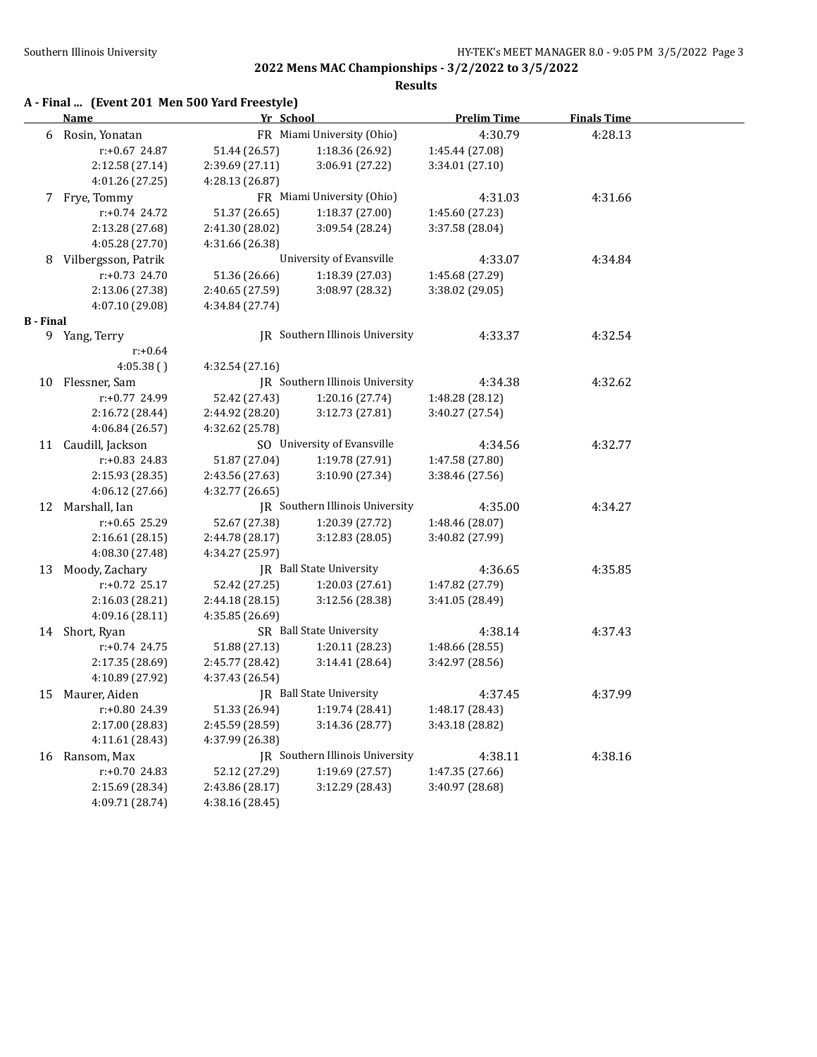|  | A - Final  (Event 201 Men 500 Yard Freestyle) |  |  |  |
|--|-----------------------------------------------|--|--|--|
|--|-----------------------------------------------|--|--|--|

|                  | <u>Name</u>         |                 | Yr School                              | <b>Prelim Time</b> | <b>Finals Time</b> |  |
|------------------|---------------------|-----------------|----------------------------------------|--------------------|--------------------|--|
|                  | 6 Rosin, Yonatan    |                 | FR Miami University (Ohio)             | 4:30.79            | 4:28.13            |  |
|                  | r:+0.67 24.87       | 51.44 (26.57)   | 1:18.36 (26.92)                        | 1:45.44 (27.08)    |                    |  |
|                  | 2:12.58 (27.14)     | 2:39.69 (27.11) | 3:06.91 (27.22)                        | 3:34.01 (27.10)    |                    |  |
|                  | 4:01.26 (27.25)     | 4:28.13 (26.87) |                                        |                    |                    |  |
|                  | 7 Frye, Tommy       |                 | FR Miami University (Ohio)             | 4:31.03            | 4:31.66            |  |
|                  | $r: +0.74$ 24.72    | 51.37 (26.65)   | 1:18.37 (27.00)                        | 1:45.60 (27.23)    |                    |  |
|                  | 2:13.28 (27.68)     | 2:41.30 (28.02) | 3:09.54 (28.24)                        | 3:37.58 (28.04)    |                    |  |
|                  | 4:05.28 (27.70)     | 4:31.66 (26.38) |                                        |                    |                    |  |
| 8                | Vilbergsson, Patrik |                 | University of Evansville               | 4:33.07            | 4:34.84            |  |
|                  | $r: +0.73$ 24.70    | 51.36 (26.66)   | 1:18.39 (27.03)                        | 1:45.68 (27.29)    |                    |  |
|                  | 2:13.06 (27.38)     | 2:40.65 (27.59) | 3:08.97 (28.32)                        | 3:38.02 (29.05)    |                    |  |
|                  | 4:07.10 (29.08)     | 4:34.84 (27.74) |                                        |                    |                    |  |
| <b>B</b> - Final |                     |                 |                                        |                    |                    |  |
|                  | 9 Yang, Terry       |                 | JR Southern Illinois University        | 4:33.37            | 4:32.54            |  |
|                  | $r: +0.64$          |                 |                                        |                    |                    |  |
|                  | 4:05.38()           | 4:32.54 (27.16) |                                        |                    |                    |  |
|                  | 10 Flessner, Sam    |                 | <b>IR</b> Southern Illinois University | 4:34.38            | 4:32.62            |  |
|                  | r:+0.77 24.99       | 52.42 (27.43)   | 1:20.16 (27.74)                        | 1:48.28 (28.12)    |                    |  |
|                  | 2:16.72 (28.44)     | 2:44.92 (28.20) | 3:12.73 (27.81)                        | 3:40.27 (27.54)    |                    |  |
|                  | 4:06.84 (26.57)     | 4:32.62 (25.78) |                                        |                    |                    |  |
|                  | 11 Caudill, Jackson |                 | SO University of Evansville            | 4:34.56            | 4:32.77            |  |
|                  | $r: +0.83$ 24.83    | 51.87 (27.04)   | 1:19.78 (27.91)                        | 1:47.58 (27.80)    |                    |  |
|                  | 2:15.93 (28.35)     | 2:43.56 (27.63) | 3:10.90 (27.34)                        | 3:38.46 (27.56)    |                    |  |
|                  | 4:06.12 (27.66)     | 4:32.77 (26.65) |                                        |                    |                    |  |
|                  | 12 Marshall, Ian    |                 | JR Southern Illinois University        | 4:35.00            | 4:34.27            |  |
|                  | r:+0.65 25.29       | 52.67 (27.38)   | 1:20.39 (27.72)                        | 1:48.46 (28.07)    |                    |  |
|                  | 2:16.61 (28.15)     | 2:44.78 (28.17) | 3:12.83 (28.05)                        | 3:40.82 (27.99)    |                    |  |
|                  | 4:08.30 (27.48)     | 4:34.27 (25.97) |                                        |                    |                    |  |
|                  | 13 Moody, Zachary   |                 | <b>IR</b> Ball State University        | 4:36.65            | 4:35.85            |  |
|                  | $r: +0.72$ 25.17    | 52.42 (27.25)   | 1:20.03 (27.61)                        | 1:47.82 (27.79)    |                    |  |
|                  | 2:16.03 (28.21)     | 2:44.18 (28.15) | 3:12.56 (28.38)                        | 3:41.05 (28.49)    |                    |  |
|                  | 4:09.16 (28.11)     | 4:35.85 (26.69) |                                        |                    |                    |  |
|                  | 14 Short, Ryan      |                 | SR Ball State University               | 4:38.14            | 4:37.43            |  |
|                  | $r: +0.74$ 24.75    | 51.88 (27.13)   | 1:20.11 (28.23)                        | 1:48.66 (28.55)    |                    |  |
|                  | 2:17.35 (28.69)     | 2:45.77 (28.42) | 3:14.41 (28.64)                        | 3:42.97 (28.56)    |                    |  |
|                  | 4:10.89 (27.92)     | 4:37.43 (26.54) |                                        |                    |                    |  |
| 15               | Maurer, Aiden       |                 | JR Ball State University               | 4:37.45            | 4:37.99            |  |
|                  | r:+0.80 24.39       | 51.33 (26.94)   | 1:19.74 (28.41)                        | 1:48.17 (28.43)    |                    |  |
|                  | 2:17.00 (28.83)     | 2:45.59 (28.59) | 3:14.36(28.77)                         | 3:43.18 (28.82)    |                    |  |
|                  | 4:11.61 (28.43)     | 4:37.99 (26.38) |                                        |                    |                    |  |
|                  | 16 Ransom, Max      |                 | JR Southern Illinois University        | 4:38.11            | 4:38.16            |  |
|                  | $r: +0.70$ 24.83    | 52.12 (27.29)   | 1:19.69 (27.57)                        | 1:47.35 (27.66)    |                    |  |
|                  | 2:15.69 (28.34)     | 2:43.86 (28.17) | 3:12.29 (28.43)                        | 3:40.97 (28.68)    |                    |  |
|                  | 4:09.71 (28.74)     | 4:38.16 (28.45) |                                        |                    |                    |  |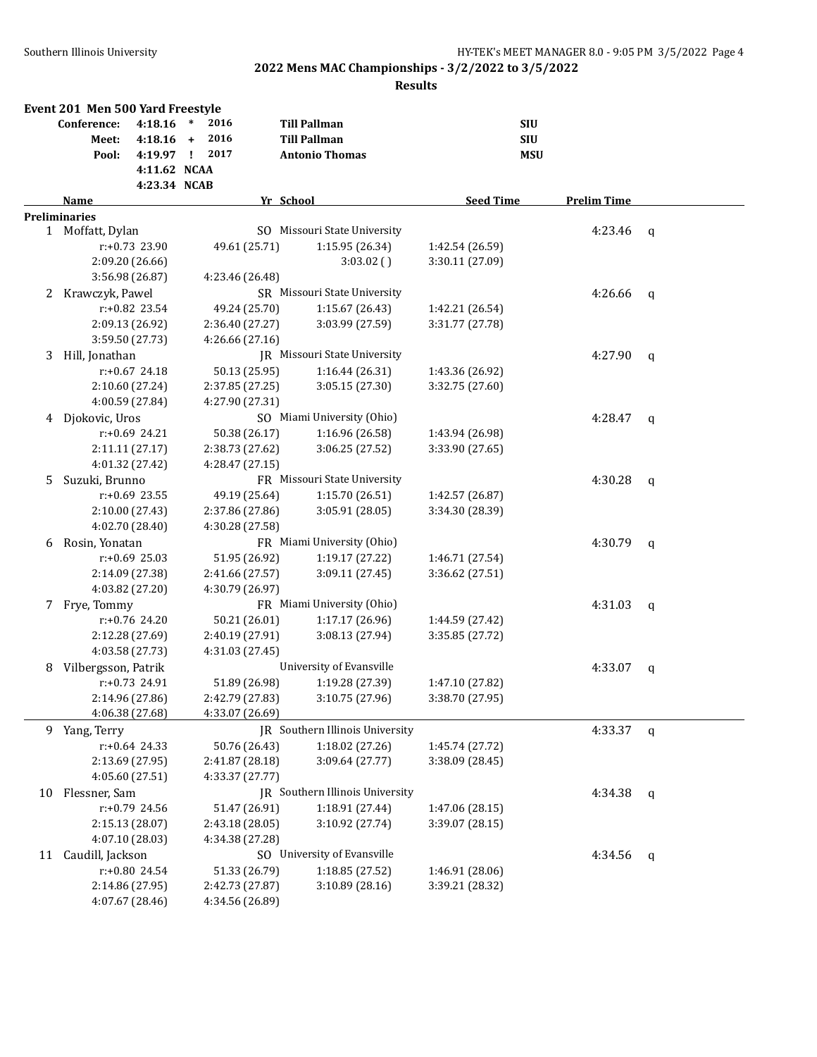|    | Event 201 Men 500 Yard Freestyle |                                    |        |                                  |           |                                    |                                    |            |                    |   |
|----|----------------------------------|------------------------------------|--------|----------------------------------|-----------|------------------------------------|------------------------------------|------------|--------------------|---|
|    | Conference:                      | 4:18.16                            | $\ast$ | 2016                             |           | <b>Till Pallman</b>                |                                    | <b>SIU</b> |                    |   |
|    | Meet:                            | 4:18.16                            | $+$    | 2016                             |           | <b>Till Pallman</b>                |                                    | <b>SIU</b> |                    |   |
|    | Pool:                            | 4:19.97 !                          |        | 2017                             |           | <b>Antonio Thomas</b>              |                                    | <b>MSU</b> |                    |   |
|    |                                  | 4:11.62 NCAA                       |        |                                  |           |                                    |                                    |            |                    |   |
|    |                                  | 4:23.34 NCAB                       |        |                                  |           |                                    |                                    |            |                    |   |
|    | Name                             |                                    |        |                                  | Yr School |                                    | <b>Seed Time</b>                   |            | <b>Prelim Time</b> |   |
|    | <b>Preliminaries</b>             |                                    |        |                                  |           |                                    |                                    |            |                    |   |
|    | 1 Moffatt, Dylan                 |                                    |        |                                  |           | SO Missouri State University       |                                    |            | 4:23.46            | q |
|    |                                  | r:+0.73 23.90                      |        | 49.61 (25.71)                    |           | 1:15.95 (26.34)                    | 1:42.54 (26.59)                    |            |                    |   |
|    |                                  | 2:09.20 (26.66)                    |        |                                  |           | 3:03.02()                          | 3:30.11 (27.09)                    |            |                    |   |
|    |                                  | 3:56.98 (26.87)                    |        | 4:23.46 (26.48)                  |           |                                    |                                    |            |                    |   |
| 2  | Krawczyk, Pawel                  |                                    |        |                                  |           | SR Missouri State University       |                                    |            | 4:26.66            | q |
|    |                                  | r:+0.82 23.54                      |        | 49.24 (25.70)                    |           | 1:15.67 (26.43)                    | 1:42.21 (26.54)                    |            |                    |   |
|    |                                  | 2:09.13 (26.92)                    |        | 2:36.40 (27.27)                  |           | 3:03.99 (27.59)                    | 3:31.77 (27.78)                    |            |                    |   |
|    |                                  | 3:59.50 (27.73)                    |        | 4:26.66 (27.16)                  |           |                                    |                                    |            |                    |   |
| 3  | Hill, Jonathan                   |                                    |        |                                  |           | JR Missouri State University       |                                    |            | 4:27.90            | q |
|    |                                  | $r: +0.67$ 24.18                   |        | 50.13 (25.95)                    |           | 1:16.44(26.31)                     | 1:43.36 (26.92)                    |            |                    |   |
|    |                                  | 2:10.60 (27.24)                    |        | 2:37.85 (27.25)                  |           | 3:05.15 (27.30)                    | 3:32.75 (27.60)                    |            |                    |   |
|    |                                  | 4:00.59 (27.84)                    |        | 4:27.90 (27.31)                  |           |                                    |                                    |            |                    |   |
| 4  | Djokovic, Uros                   |                                    |        |                                  |           | SO Miami University (Ohio)         |                                    |            | 4:28.47            | q |
|    |                                  | $r: +0.69$ 24.21                   |        | 50.38 (26.17)                    |           | 1:16.96 (26.58)                    | 1:43.94 (26.98)                    |            |                    |   |
|    |                                  | 2:11.11 (27.17)                    |        | 2:38.73 (27.62)                  |           | 3:06.25 (27.52)                    | 3:33.90 (27.65)                    |            |                    |   |
|    |                                  | 4:01.32 (27.42)                    |        | 4:28.47 (27.15)                  |           |                                    |                                    |            |                    |   |
| 5. | Suzuki, Brunno                   |                                    |        |                                  |           | FR Missouri State University       |                                    |            | 4:30.28            | q |
|    |                                  | r:+0.69 23.55                      |        | 49.19 (25.64)                    |           | 1:15.70 (26.51)                    | 1:42.57 (26.87)                    |            |                    |   |
|    |                                  | 2:10.00 (27.43)                    |        | 2:37.86 (27.86)                  |           | 3:05.91 (28.05)                    | 3:34.30 (28.39)                    |            |                    |   |
|    |                                  | 4:02.70 (28.40)                    |        | 4:30.28 (27.58)                  |           |                                    |                                    |            |                    |   |
| 6  | Rosin, Yonatan                   |                                    |        |                                  |           | FR Miami University (Ohio)         |                                    |            | 4:30.79            | q |
|    |                                  | $r: +0.69$ 25.03                   |        | 51.95 (26.92)                    |           | 1:19.17 (27.22)                    | 1:46.71 (27.54)                    |            |                    |   |
|    |                                  | 2:14.09 (27.38)                    |        | 2:41.66 (27.57)                  |           | 3:09.11 (27.45)                    | 3:36.62 (27.51)                    |            |                    |   |
|    |                                  | 4:03.82 (27.20)                    |        | 4:30.79 (26.97)                  |           |                                    |                                    |            |                    |   |
| 7  | Frye, Tommy                      |                                    |        |                                  |           | FR Miami University (Ohio)         |                                    |            | 4:31.03            | q |
|    |                                  | r:+0.76 24.20                      |        | 50.21 (26.01)                    |           | 1:17.17 (26.96)                    | 1:44.59 (27.42)                    |            |                    |   |
|    |                                  | 2:12.28 (27.69)                    |        | 2:40.19 (27.91)                  |           | 3:08.13 (27.94)                    | 3:35.85 (27.72)                    |            |                    |   |
|    |                                  | 4:03.58 (27.73)                    |        | 4:31.03 (27.45)                  |           | University of Evansville           |                                    |            |                    |   |
| 8  | Vilbergsson, Patrik              | $r: +0.73$ 24.91                   |        |                                  |           |                                    |                                    |            | 4:33.07            | q |
|    |                                  |                                    |        | 51.89 (26.98)<br>2:42.79 (27.83) |           | 1:19.28 (27.39)<br>3:10.75 (27.96) | 1:47.10 (27.82)<br>3:38.70 (27.95) |            |                    |   |
|    |                                  | 2:14.96 (27.86)<br>4:06.38 (27.68) |        | 4:33.07 (26.69)                  |           |                                    |                                    |            |                    |   |
| 9  | Yang, Terry                      |                                    |        |                                  |           | JR Southern Illinois University    |                                    |            | 4:33.37            |   |
|    |                                  | $r: +0.64$ 24.33                   |        | 50.76 (26.43)                    |           | 1:18.02 (27.26)                    | 1:45.74 (27.72)                    |            |                    | q |
|    |                                  | 2:13.69 (27.95)                    |        | 2:41.87 (28.18)                  |           | 3:09.64 (27.77)                    | 3:38.09 (28.45)                    |            |                    |   |
|    |                                  | 4:05.60 (27.51)                    |        | 4:33.37 (27.77)                  |           |                                    |                                    |            |                    |   |
|    | Flessner, Sam                    |                                    |        |                                  |           | JR Southern Illinois University    |                                    |            | 4:34.38            |   |
| 10 |                                  | r:+0.79 24.56                      |        | 51.47 (26.91)                    |           | 1:18.91 (27.44)                    | 1:47.06 (28.15)                    |            |                    | q |
|    |                                  | 2:15.13 (28.07)                    |        | 2:43.18 (28.05)                  |           | 3:10.92 (27.74)                    | 3:39.07 (28.15)                    |            |                    |   |
|    |                                  | 4:07.10 (28.03)                    |        | 4:34.38 (27.28)                  |           |                                    |                                    |            |                    |   |
| 11 | Caudill, Jackson                 |                                    |        |                                  |           | SO University of Evansville        |                                    |            | 4:34.56            | q |
|    |                                  | r:+0.80 24.54                      |        | 51.33 (26.79)                    |           | 1:18.85 (27.52)                    | 1:46.91 (28.06)                    |            |                    |   |
|    |                                  | 2:14.86 (27.95)                    |        | 2:42.73 (27.87)                  |           | 3:10.89 (28.16)                    | 3:39.21 (28.32)                    |            |                    |   |
|    |                                  | 4:07.67 (28.46)                    |        | 4:34.56 (26.89)                  |           |                                    |                                    |            |                    |   |
|    |                                  |                                    |        |                                  |           |                                    |                                    |            |                    |   |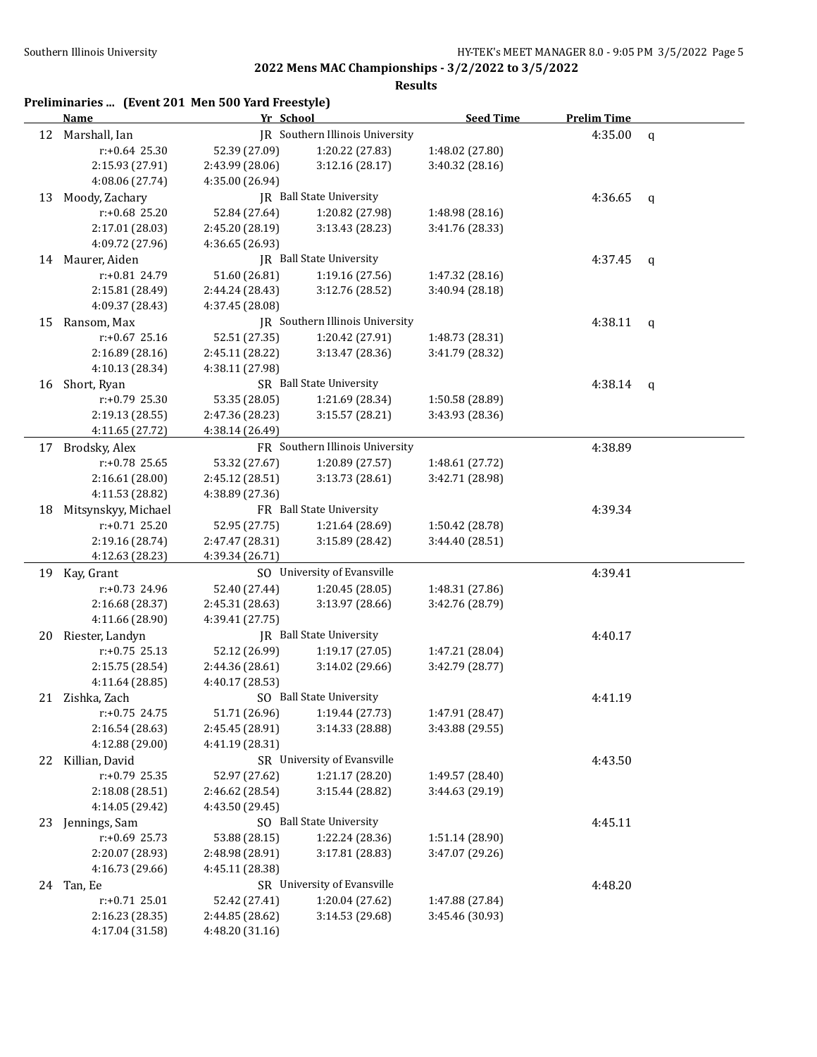|    | Preliminaries  (Event 201 Men 500 Yard Freestyle)<br>Name | Yr School                                                                       |                                                | <b>Seed Time</b> | <b>Prelim Time</b> |              |
|----|-----------------------------------------------------------|---------------------------------------------------------------------------------|------------------------------------------------|------------------|--------------------|--------------|
| 12 | Marshall, Ian                                             |                                                                                 | IR Southern Illinois University                |                  | 4:35.00            | $\mathbf q$  |
|    | $r: +0.64$ 25.30                                          | 52.39 (27.09)                                                                   | 1:20.22 (27.83)                                | 1:48.02 (27.80)  |                    |              |
|    | 2:15.93 (27.91)                                           | 2:43.99 (28.06)                                                                 | 3:12.16 (28.17)                                | 3:40.32 (28.16)  |                    |              |
|    | 4:08.06 (27.74)                                           | 4:35.00 (26.94)                                                                 |                                                |                  |                    |              |
| 13 | Moody, Zachary                                            |                                                                                 | JR Ball State University                       |                  | 4:36.65            | $\mathsf{q}$ |
|    | r:+0.68 25.20                                             | 52.84 (27.64)                                                                   | 1:20.82 (27.98)                                | 1:48.98 (28.16)  |                    |              |
|    | 2:17.01 (28.03)                                           | 2:45.20 (28.19)                                                                 | 3:13.43 (28.23)                                | 3:41.76 (28.33)  |                    |              |
|    | 4:09.72 (27.96)                                           | 4:36.65 (26.93)                                                                 |                                                |                  |                    |              |
|    | 14 Maurer, Aiden                                          |                                                                                 | JR Ball State University                       |                  | 4:37.45            | q            |
|    | r:+0.81 24.79                                             | 51.60 (26.81)                                                                   | 1:19.16 (27.56)                                | 1:47.32 (28.16)  |                    |              |
|    | 2:15.81 (28.49)                                           | 2:44.24 (28.43)                                                                 | 3:12.76 (28.52)                                | 3:40.94 (28.18)  |                    |              |
|    | 4:09.37 (28.43)                                           | 4:37.45 (28.08)                                                                 |                                                |                  |                    |              |
| 15 | Ransom, Max                                               |                                                                                 | JR Southern Illinois University                |                  | 4:38.11            | $\mathsf{q}$ |
|    | $r: +0.67$ 25.16                                          | 52.51 (27.35)                                                                   | 1:20.42 (27.91)                                | 1:48.73 (28.31)  |                    |              |
|    | 2:16.89 (28.16)                                           | 2:45.11 (28.22)                                                                 | 3:13.47 (28.36)                                | 3:41.79 (28.32)  |                    |              |
|    | 4:10.13 (28.34)                                           | 4:38.11 (27.98)                                                                 |                                                |                  |                    |              |
| 16 | Short, Ryan                                               |                                                                                 | SR Ball State University                       |                  | 4:38.14            | q            |
|    | r:+0.79 25.30                                             | 53.35 (28.05)                                                                   | 1:21.69 (28.34)                                | 1:50.58 (28.89)  |                    |              |
|    | 2:19.13 (28.55)                                           | 2:47.36 (28.23)                                                                 | 3:15.57 (28.21)                                | 3:43.93 (28.36)  |                    |              |
|    | 4:11.65 (27.72)                                           | 4:38.14 (26.49)                                                                 |                                                |                  |                    |              |
| 17 | Brodsky, Alex                                             |                                                                                 | FR Southern Illinois University                |                  | 4:38.89            |              |
|    | r:+0.78 25.65                                             | 53.32 (27.67)                                                                   | 1:20.89 (27.57)                                | 1:48.61 (27.72)  |                    |              |
|    | 2:16.61 (28.00)                                           | 2:45.12 (28.51)                                                                 | 3:13.73(28.61)                                 | 3:42.71 (28.98)  |                    |              |
|    | 4:11.53 (28.82)                                           | 4:38.89 (27.36)                                                                 |                                                |                  |                    |              |
| 18 | Mitsynskyy, Michael                                       |                                                                                 | FR Ball State University                       |                  | 4:39.34            |              |
|    | $r: +0.71$ 25.20                                          | 52.95 (27.75)                                                                   | 1:21.64 (28.69)                                | 1:50.42 (28.78)  |                    |              |
|    | 2:19.16 (28.74)                                           | 2:47.47 (28.31)                                                                 | 3:15.89 (28.42)                                | 3:44.40 (28.51)  |                    |              |
|    | 4:12.63 (28.23)                                           | 4:39.34 (26.71)                                                                 |                                                |                  |                    |              |
|    | 19 Kay, Grant                                             |                                                                                 | SO University of Evansville                    |                  | 4:39.41            |              |
|    | r:+0.73 24.96                                             | 52.40 (27.44)                                                                   | 1:20.45 (28.05)                                | 1:48.31 (27.86)  |                    |              |
|    | 2:16.68 (28.37)                                           | 2:45.31 (28.63)                                                                 | 3:13.97 (28.66)                                | 3:42.76 (28.79)  |                    |              |
|    | 4:11.66 (28.90)                                           | 4:39.41 (27.75)                                                                 |                                                |                  |                    |              |
| 20 | Riester, Landyn                                           |                                                                                 | JR Ball State University                       |                  | 4:40.17            |              |
|    | $r: +0.75$ 25.13                                          | 52.12 (26.99)                                                                   | 1:19.17 (27.05)                                | 1:47.21 (28.04)  |                    |              |
|    | 2:15.75 (28.54)                                           | 2:44.36 (28.61)                                                                 | 3:14.02 (29.66)                                | 3:42.79 (28.77)  |                    |              |
|    | 4:11.64 (28.85)                                           | 4:40.17 (28.53)                                                                 |                                                |                  |                    |              |
|    | 21 Zishka, Zach                                           |                                                                                 | SO Ball State University                       |                  | 4:41.19            |              |
|    | r:+0.75 24.75                                             | 51.71 (26.96)                                                                   | 1:19.44 (27.73)                                | 1:47.91 (28.47)  |                    |              |
|    | 2:16.54 (28.63)                                           | 2:45.45 (28.91)                                                                 | 3:14.33 (28.88)                                | 3:43.88 (29.55)  |                    |              |
|    | 4:12.88 (29.00)                                           | 4:41.19 (28.31)                                                                 |                                                |                  |                    |              |
|    | 22 Killian, David                                         |                                                                                 | SR University of Evansville                    |                  | 4:43.50            |              |
|    | $r: +0.79$ 25.35                                          | 52.97 (27.62)                                                                   | 1:21.17 (28.20)                                | 1:49.57 (28.40)  |                    |              |
|    | 2:18.08 (28.51)                                           | 2:46.62 (28.54)                                                                 | 3:15.44 (28.82)                                | 3:44.63 (29.19)  |                    |              |
|    | 4:14.05 (29.42)                                           | 4:43.50 (29.45)                                                                 |                                                |                  |                    |              |
| 23 | Jennings, Sam                                             |                                                                                 |                                                |                  | 4:45.11            |              |
|    | r:+0.69 25.73                                             | SO Ball State University<br>53.88 (28.15)<br>1:22.24 (28.36)<br>1:51.14 (28.90) |                                                |                  |                    |              |
|    | 2:20.07 (28.93)                                           | 2:48.98 (28.91)<br>3:17.81 (28.83)                                              |                                                | 3:47.07 (29.26)  |                    |              |
|    | 4:16.73 (29.66)                                           | 4:45.11 (28.38)                                                                 |                                                |                  |                    |              |
|    | 24 Tan, Ee                                                |                                                                                 |                                                | 4:48.20          |                    |              |
|    | $r: +0.71$ 25.01                                          | 52.42 (27.41)                                                                   | SR University of Evansville<br>1:20.04 (27.62) | 1:47.88 (27.84)  |                    |              |
|    | 2:16.23 (28.35)                                           | 2:44.85 (28.62)                                                                 | 3:14.53 (29.68)                                | 3:45.46 (30.93)  |                    |              |
|    | 4:17.04 (31.58)                                           | 4:48.20 (31.16)                                                                 |                                                |                  |                    |              |
|    |                                                           |                                                                                 |                                                |                  |                    |              |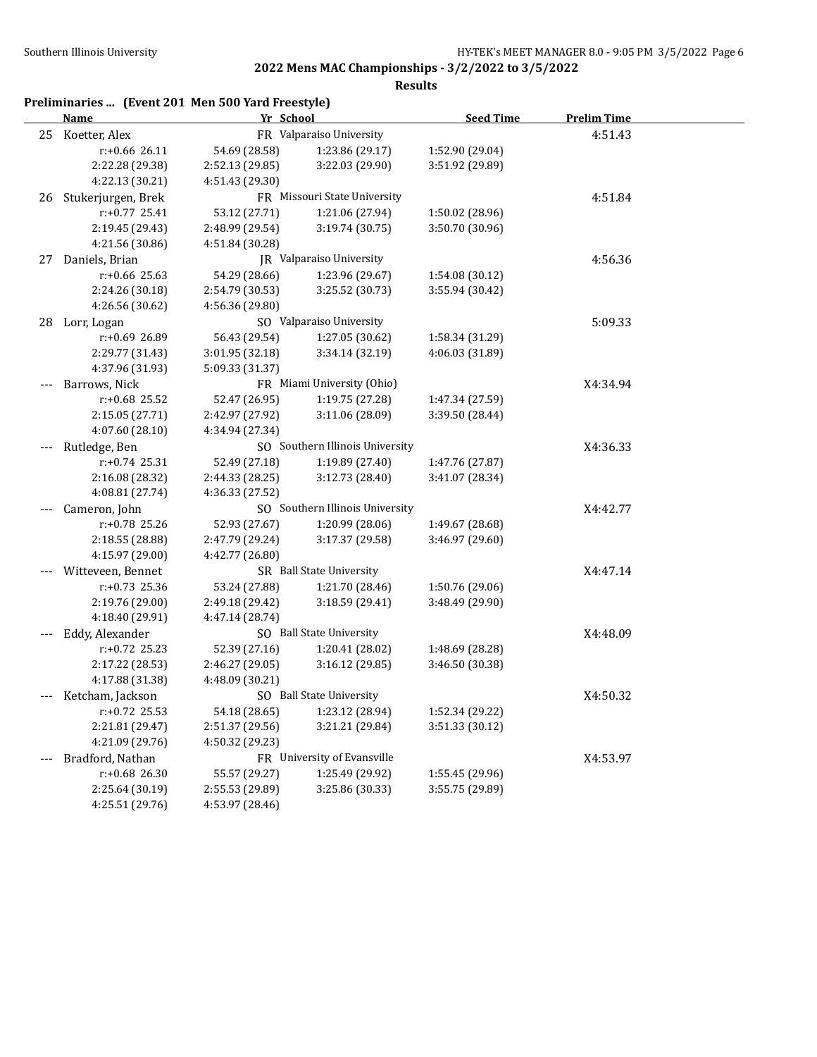|  |  | Preliminaries  (Event 201 Men 500 Yard Freestyle) |  |
|--|--|---------------------------------------------------|--|
|--|--|---------------------------------------------------|--|

|       | <b>Name</b>        | Yr School       |                                 | <b>Seed Time</b> | <b>Prelim Time</b> |  |
|-------|--------------------|-----------------|---------------------------------|------------------|--------------------|--|
|       | 25 Koetter, Alex   |                 | FR Valparaiso University        |                  | 4:51.43            |  |
|       | r:+0.66 26.11      | 54.69 (28.58)   | 1:23.86 (29.17)                 | 1:52.90 (29.04)  |                    |  |
|       | 2:22.28 (29.38)    | 2:52.13 (29.85) | 3:22.03 (29.90)                 | 3:51.92 (29.89)  |                    |  |
|       | 4:22.13 (30.21)    | 4:51.43 (29.30) |                                 |                  |                    |  |
| 26    | Stukerjurgen, Brek |                 | FR Missouri State University    |                  | 4:51.84            |  |
|       | r:+0.77 25.41      | 53.12 (27.71)   | 1:21.06 (27.94)                 | 1:50.02 (28.96)  |                    |  |
|       | 2:19.45 (29.43)    | 2:48.99 (29.54) | 3:19.74 (30.75)                 | 3:50.70 (30.96)  |                    |  |
|       | 4:21.56 (30.86)    | 4:51.84 (30.28) |                                 |                  |                    |  |
| 27    | Daniels, Brian     |                 | JR Valparaiso University        |                  | 4:56.36            |  |
|       | r:+0.66 25.63      | 54.29 (28.66)   | 1:23.96 (29.67)                 | 1:54.08 (30.12)  |                    |  |
|       | 2:24.26 (30.18)    | 2:54.79 (30.53) | 3:25.52 (30.73)                 | 3:55.94 (30.42)  |                    |  |
|       | 4:26.56 (30.62)    | 4:56.36 (29.80) |                                 |                  |                    |  |
| 28    | Lorr, Logan        |                 | SO Valparaiso University        |                  | 5:09.33            |  |
|       | r:+0.69 26.89      | 56.43 (29.54)   | 1:27.05 (30.62)                 | 1:58.34 (31.29)  |                    |  |
|       | 2:29.77 (31.43)    | 3:01.95 (32.18) | 3:34.14 (32.19)                 | 4:06.03 (31.89)  |                    |  |
|       | 4:37.96 (31.93)    | 5:09.33 (31.37) |                                 |                  |                    |  |
|       | Barrows, Nick      |                 | FR Miami University (Ohio)      |                  | X4:34.94           |  |
|       | $r: +0.68$ 25.52   | 52.47 (26.95)   | 1:19.75 (27.28)                 | 1:47.34 (27.59)  |                    |  |
|       | 2:15.05 (27.71)    | 2:42.97 (27.92) | 3:11.06 (28.09)                 | 3:39.50 (28.44)  |                    |  |
|       | 4:07.60 (28.10)    | 4:34.94 (27.34) |                                 |                  |                    |  |
| $---$ | Rutledge, Ben      |                 | SO Southern Illinois University |                  | X4:36.33           |  |
|       | $r: +0.74$ 25.31   | 52.49 (27.18)   | 1:19.89 (27.40)                 | 1:47.76 (27.87)  |                    |  |
|       | 2:16.08 (28.32)    | 2:44.33 (28.25) | 3:12.73 (28.40)                 | 3:41.07 (28.34)  |                    |  |
|       | 4:08.81 (27.74)    | 4:36.33 (27.52) |                                 |                  |                    |  |
|       | Cameron, John      |                 | SO Southern Illinois University |                  | X4:42.77           |  |
|       | r:+0.78 25.26      | 52.93 (27.67)   | 1:20.99 (28.06)                 | 1:49.67 (28.68)  |                    |  |
|       | 2:18.55 (28.88)    | 2:47.79 (29.24) | 3:17.37 (29.58)                 | 3:46.97 (29.60)  |                    |  |
|       | 4:15.97 (29.00)    | 4:42.77 (26.80) |                                 |                  |                    |  |
| ---   | Witteveen, Bennet  |                 | SR Ball State University        |                  | X4:47.14           |  |
|       | $r: +0.73$ 25.36   | 53.24 (27.88)   | 1:21.70 (28.46)                 | 1:50.76 (29.06)  |                    |  |
|       | 2:19.76 (29.00)    | 2:49.18 (29.42) | 3:18.59 (29.41)                 | 3:48.49 (29.90)  |                    |  |
|       | 4:18.40 (29.91)    | 4:47.14 (28.74) |                                 |                  |                    |  |
| $---$ | Eddy, Alexander    |                 | SO Ball State University        |                  | X4:48.09           |  |
|       | r:+0.72 25.23      | 52.39 (27.16)   | 1:20.41 (28.02)                 | 1:48.69 (28.28)  |                    |  |
|       | 2:17.22 (28.53)    | 2:46.27 (29.05) | 3:16.12 (29.85)                 | 3:46.50 (30.38)  |                    |  |
|       | 4:17.88 (31.38)    | 4:48.09 (30.21) |                                 |                  |                    |  |
|       | Ketcham, Jackson   |                 | SO Ball State University        |                  | X4:50.32           |  |
|       | r:+0.72 25.53      | 54.18 (28.65)   | 1:23.12 (28.94)                 | 1:52.34 (29.22)  |                    |  |
|       | 2:21.81 (29.47)    | 2:51.37 (29.56) | 3:21.21 (29.84)                 | 3:51.33 (30.12)  |                    |  |
|       | 4:21.09 (29.76)    | 4:50.32 (29.23) |                                 |                  |                    |  |
| $---$ | Bradford, Nathan   |                 | FR University of Evansville     |                  | X4:53.97           |  |
|       | r:+0.68 26.30      | 55.57 (29.27)   | 1:25.49 (29.92)                 | 1:55.45 (29.96)  |                    |  |
|       | 2:25.64 (30.19)    | 2:55.53 (29.89) | 3:25.86 (30.33)                 | 3:55.75 (29.89)  |                    |  |
|       | 4:25.51 (29.76)    | 4:53.97 (28.46) |                                 |                  |                    |  |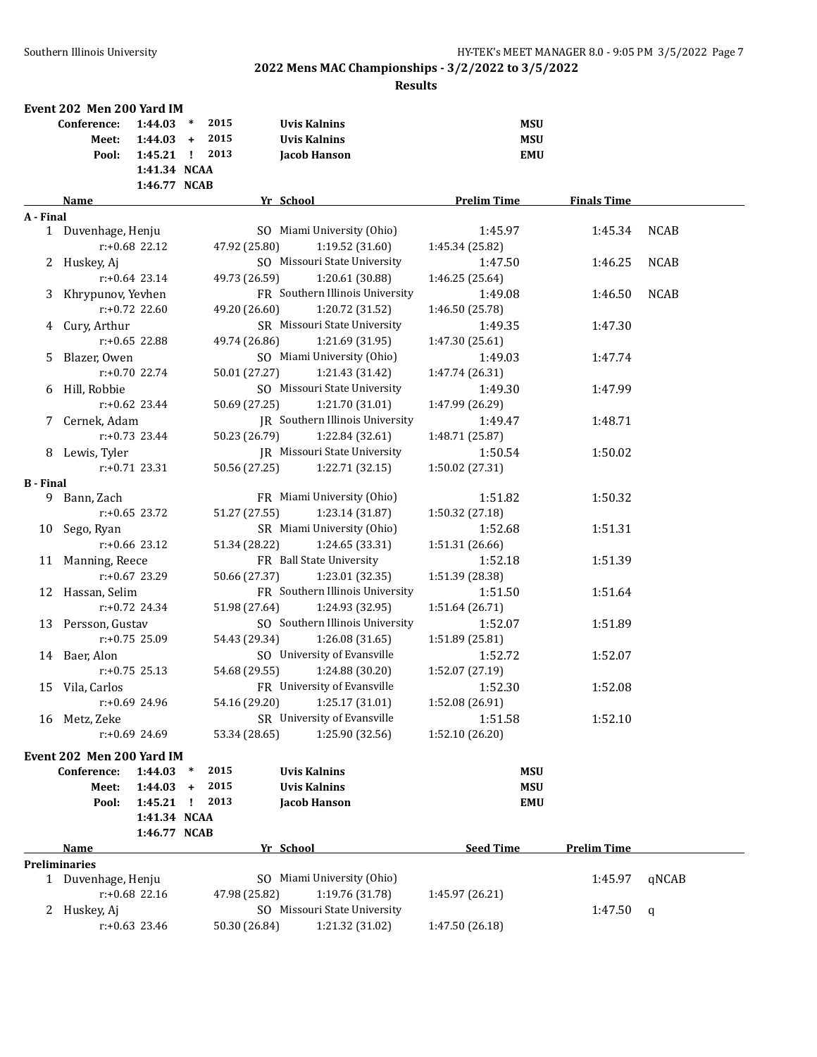|                  | Event 202 Men 200 Yard IM                                               |                  |           |               |                                              |                            |                    |             |
|------------------|-------------------------------------------------------------------------|------------------|-----------|---------------|----------------------------------------------|----------------------------|--------------------|-------------|
|                  | 2015<br><b>Uvis Kalnins</b><br><b>MSU</b><br>Conference:<br>$1:44.03$ * |                  |           |               |                                              |                            |                    |             |
|                  | Meet:                                                                   | $1:44.03 +$      |           | 2015          | <b>Uvis Kalnins</b>                          | <b>MSU</b>                 |                    |             |
|                  | Pool:                                                                   | $1:45.21$ !      |           | 2013          | Jacob Hanson                                 | <b>EMU</b>                 |                    |             |
|                  |                                                                         | 1:41.34 NCAA     |           |               |                                              |                            |                    |             |
|                  |                                                                         | 1:46.77 NCAB     |           |               |                                              |                            |                    |             |
|                  | Name                                                                    |                  |           |               | Yr School                                    | <b>Prelim Time</b>         | <b>Finals Time</b> |             |
| A - Final        |                                                                         |                  |           |               |                                              |                            |                    |             |
|                  | 1 Duvenhage, Henju                                                      | r:+0.68 22.12    |           | 47.92 (25.80) | SO Miami University (Ohio)<br>1:19.52(31.60) | 1:45.97<br>1:45.34 (25.82) | 1:45.34            | <b>NCAB</b> |
|                  |                                                                         |                  |           |               | SO Missouri State University                 | 1:47.50                    |                    |             |
|                  | 2 Huskey, Aj                                                            |                  |           |               |                                              |                            | 1:46.25            | <b>NCAB</b> |
|                  |                                                                         | $r: +0.64$ 23.14 |           | 49.73 (26.59) | 1:20.61 (30.88)                              | 1:46.25 (25.64)            |                    |             |
|                  | 3 Khrypunov, Yevhen                                                     |                  |           |               | FR Southern Illinois University              | 1:49.08                    | 1:46.50            | <b>NCAB</b> |
|                  |                                                                         | $r: +0.72$ 22.60 |           | 49.20 (26.60) | 1:20.72 (31.52)                              | 1:46.50 (25.78)            |                    |             |
|                  | 4 Cury, Arthur                                                          |                  |           |               | SR Missouri State University                 | 1:49.35                    | 1:47.30            |             |
|                  |                                                                         | r:+0.65 22.88    |           | 49.74 (26.86) | 1:21.69 (31.95)                              | 1:47.30 (25.61)            |                    |             |
| 5.               | Blazer, Owen                                                            |                  |           |               | SO Miami University (Ohio)                   | 1:49.03                    | 1:47.74            |             |
|                  |                                                                         | $r: +0.70$ 22.74 |           | 50.01 (27.27) | 1:21.43 (31.42)                              | 1:47.74 (26.31)            |                    |             |
| 6                | Hill, Robbie                                                            |                  |           |               | SO Missouri State University                 | 1:49.30                    | 1:47.99            |             |
|                  |                                                                         | $r: +0.62$ 23.44 |           | 50.69 (27.25) | 1:21.70 (31.01)                              | 1:47.99 (26.29)            |                    |             |
|                  | 7 Cernek, Adam                                                          |                  |           |               | <b>IR</b> Southern Illinois University       | 1:49.47                    | 1:48.71            |             |
|                  |                                                                         | $r: +0.73$ 23.44 |           | 50.23 (26.79) | 1:22.84 (32.61)                              | 1:48.71 (25.87)            |                    |             |
|                  | 8 Lewis, Tyler                                                          |                  |           |               | IR Missouri State University                 | 1:50.54                    | 1:50.02            |             |
|                  |                                                                         | $r: +0.71$ 23.31 |           | 50.56 (27.25) | 1:22.71 (32.15)                              | 1:50.02 (27.31)            |                    |             |
| <b>B</b> - Final |                                                                         |                  |           |               |                                              |                            |                    |             |
|                  | 9 Bann, Zach                                                            |                  |           |               | FR Miami University (Ohio)                   | 1:51.82                    | 1:50.32            |             |
|                  |                                                                         | $r: +0.65$ 23.72 |           | 51.27 (27.55) | 1:23.14(31.87)                               | 1:50.32 (27.18)            |                    |             |
|                  | 10 Sego, Ryan                                                           |                  |           |               | SR Miami University (Ohio)                   | 1:52.68                    | 1:51.31            |             |
|                  |                                                                         | $r: +0.66$ 23.12 |           | 51.34 (28.22) | 1:24.65 (33.31)                              | 1:51.31 (26.66)            |                    |             |
|                  | 11 Manning, Reece                                                       |                  |           |               | FR Ball State University                     | 1:52.18                    | 1:51.39            |             |
|                  |                                                                         | $r: +0.67$ 23.29 |           | 50.66 (27.37) | 1:23.01 (32.35)                              | 1:51.39 (28.38)            |                    |             |
|                  | 12 Hassan, Selim                                                        |                  |           |               | FR Southern Illinois University              | 1:51.50                    | 1:51.64            |             |
|                  |                                                                         | $r: +0.72$ 24.34 |           | 51.98 (27.64) | 1:24.93 (32.95)                              | 1:51.64 (26.71)            |                    |             |
|                  | 13 Persson, Gustav                                                      |                  |           |               | SO Southern Illinois University              | 1:52.07                    | 1:51.89            |             |
|                  |                                                                         | $r: +0.75$ 25.09 |           | 54.43 (29.34) | 1:26.08(31.65)                               | 1:51.89 (25.81)            |                    |             |
|                  | 14 Baer, Alon                                                           |                  |           |               | SO University of Evansville                  | 1:52.72                    | 1:52.07            |             |
|                  |                                                                         | $r: +0.75$ 25.13 |           | 54.68 (29.55) | 1:24.88 (30.20)                              | 1:52.07 (27.19)            |                    |             |
|                  | 15 Vila, Carlos                                                         |                  |           |               | FR University of Evansville                  | 1:52.30                    | 1:52.08            |             |
|                  |                                                                         | r:+0.69 24.96    |           | 54.16 (29.20) | 1:25.17 (31.01)                              | 1:52.08 (26.91)            |                    |             |
| 16               | Metz, Zeke                                                              |                  |           |               | SR University of Evansville                  | 1:51.58                    | 1:52.10            |             |
|                  |                                                                         | r:+0.69 24.69    |           | 53.34 (28.65) | 1:25.90 (32.56)                              | 1:52.10 (26.20)            |                    |             |
|                  | Event 202 Men 200 Yard IM                                               |                  |           |               |                                              |                            |                    |             |
|                  | Conference:                                                             | 1:44.03          | $\ast$    | 2015          | <b>Uvis Kalnins</b>                          | <b>MSU</b>                 |                    |             |
|                  | Meet:                                                                   | 1:44.03          | $\ddot{}$ | 2015          | <b>Uvis Kalnins</b>                          | <b>MSU</b>                 |                    |             |
|                  | Pool:                                                                   | 1:45.21          | - 1       | 2013          | Jacob Hanson                                 | <b>EMU</b>                 |                    |             |
|                  |                                                                         | 1:41.34 NCAA     |           |               |                                              |                            |                    |             |
|                  |                                                                         | 1:46.77 NCAB     |           |               |                                              |                            |                    |             |
|                  | Name                                                                    |                  |           |               | Yr School                                    | <b>Seed Time</b>           | <b>Prelim Time</b> |             |
|                  | <b>Preliminaries</b>                                                    |                  |           |               |                                              |                            |                    |             |
|                  | 1 Duvenhage, Henju                                                      |                  |           |               | SO Miami University (Ohio)                   |                            | 1:45.97            | qNCAB       |
|                  |                                                                         | $r: +0.68$ 22.16 |           | 47.98 (25.82) | 1:19.76 (31.78)                              | 1:45.97 (26.21)            |                    |             |
| 2                | Huskey, Aj                                                              |                  |           |               | SO Missouri State University                 |                            | 1:47.50            | q           |
|                  |                                                                         | $r: +0.63$ 23.46 |           | 50.30 (26.84) | 1:21.32 (31.02)                              | 1:47.50 (26.18)            |                    |             |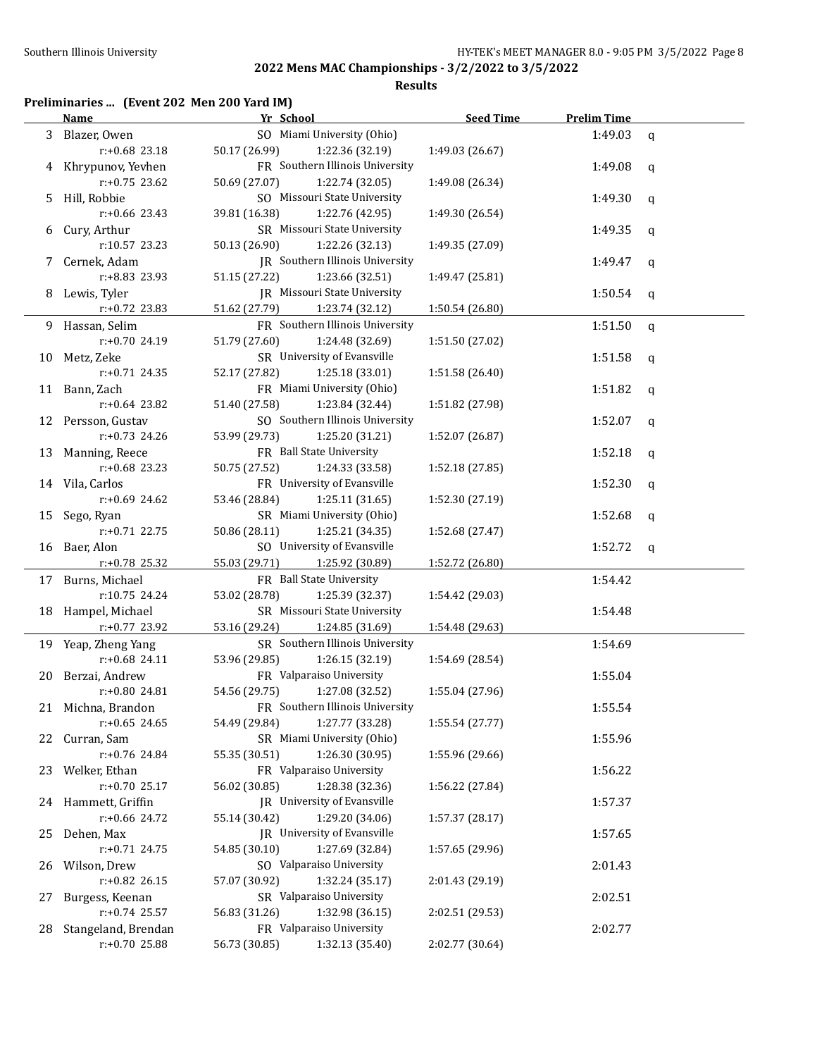**Results**

## **Preliminaries ... (Event 202 Men 200 Yard IM)**

|    | <b>Name</b>         | Yr School                              | <b>Seed Time</b> | <b>Prelim Time</b> |              |
|----|---------------------|----------------------------------------|------------------|--------------------|--------------|
|    | 3 Blazer, Owen      | SO Miami University (Ohio)             |                  | 1:49.03            | q            |
|    | r:+0.68 23.18       | 50.17 (26.99)<br>1:22.36 (32.19)       | 1:49.03 (26.67)  |                    |              |
|    | 4 Khrypunov, Yevhen | FR Southern Illinois University        |                  | 1:49.08            | q            |
|    | $r: +0.75$ 23.62    | 50.69 (27.07)<br>1:22.74 (32.05)       | 1:49.08 (26.34)  |                    |              |
| 5. | Hill, Robbie        | SO Missouri State University           |                  | 1:49.30            | q            |
|    | $r: +0.66$ 23.43    | 39.81 (16.38)<br>1:22.76 (42.95)       | 1:49.30 (26.54)  |                    |              |
| 6  | Cury, Arthur        | SR Missouri State University           |                  | 1:49.35            | q            |
|    | r:10.57 23.23       | 50.13 (26.90)<br>1:22.26 (32.13)       | 1:49.35 (27.09)  |                    |              |
| 7  | Cernek, Adam        | <b>IR</b> Southern Illinois University |                  | 1:49.47            | q            |
|    | r:+8.83 23.93       | 51.15 (27.22)<br>1:23.66 (32.51)       | 1:49.47 (25.81)  |                    |              |
|    |                     | JR Missouri State University           |                  |                    |              |
| 8  | Lewis, Tyler        |                                        |                  | 1:50.54            | q            |
|    | $r.+0.72$ 23.83     | 51.62 (27.79)<br>1:23.74 (32.12)       | 1:50.54 (26.80)  |                    |              |
|    | 9 Hassan, Selim     | FR Southern Illinois University        |                  | 1:51.50            | q            |
|    | r:+0.70 24.19       | 51.79 (27.60)<br>1:24.48 (32.69)       | 1:51.50 (27.02)  |                    |              |
|    | 10 Metz, Zeke       | SR University of Evansville            |                  | 1:51.58            | q            |
|    | $r: +0.71$ 24.35    | 52.17 (27.82)<br>1:25.18 (33.01)       | 1:51.58 (26.40)  |                    |              |
|    | 11 Bann, Zach       | FR Miami University (Ohio)             |                  | 1:51.82            | q            |
|    | $r: +0.64$ 23.82    | 51.40 (27.58)<br>1:23.84 (32.44)       | 1:51.82 (27.98)  |                    |              |
|    | 12 Persson, Gustav  | SO Southern Illinois University        |                  | 1:52.07            | q            |
|    | $r: +0.73$ 24.26    | 53.99 (29.73)<br>1:25.20 (31.21)       | 1:52.07 (26.87)  |                    |              |
|    | 13 Manning, Reece   | FR Ball State University               |                  | 1:52.18            | q            |
|    | $r: +0.68$ 23.23    | 50.75 (27.52)<br>1:24.33 (33.58)       | 1:52.18 (27.85)  |                    |              |
|    | 14 Vila, Carlos     | FR University of Evansville            |                  | 1:52.30            | q            |
|    | $r: +0.69$ 24.62    | 53.46 (28.84)<br>1:25.11 (31.65)       | 1:52.30 (27.19)  |                    |              |
|    | 15 Sego, Ryan       | SR Miami University (Ohio)             |                  | 1:52.68            | q            |
|    | $r: +0.71$ 22.75    | 50.86 (28.11)<br>1:25.21 (34.35)       | 1:52.68 (27.47)  |                    |              |
|    | 16 Baer, Alon       | SO University of Evansville            |                  | 1:52.72            | $\mathsf{q}$ |
|    | r:+0.78 25.32       | 55.03 (29.71)<br>1:25.92 (30.89)       | 1:52.72 (26.80)  |                    |              |
|    | 17 Burns, Michael   | FR Ball State University               |                  | 1:54.42            |              |
|    | r:10.75 24.24       | 53.02 (28.78)<br>1:25.39 (32.37)       | 1:54.42 (29.03)  |                    |              |
|    | 18 Hampel, Michael  | SR Missouri State University           |                  |                    |              |
|    | r:+0.77 23.92       |                                        |                  | 1:54.48            |              |
|    |                     | 53.16 (29.24)<br>1:24.85 (31.69)       | 1:54.48 (29.63)  |                    |              |
|    | 19 Yeap, Zheng Yang | SR Southern Illinois University        |                  | 1:54.69            |              |
|    | $r: +0.68$ 24.11    | 53.96 (29.85)<br>1:26.15 (32.19)       | 1:54.69 (28.54)  |                    |              |
|    | 20 Berzai, Andrew   | FR Valparaiso University               |                  | 1:55.04            |              |
|    | r:+0.80 24.81       | 1:27.08 (32.52)<br>54.56 (29.75)       | 1:55.04 (27.96)  |                    |              |
|    | 21 Michna, Brandon  | FR Southern Illinois University        |                  | 1:55.54            |              |
|    | $r: +0.65$ 24.65    | 1:27.77 (33.28)<br>54.49 (29.84)       | 1:55.54 (27.77)  |                    |              |
| 22 | Curran, Sam         | SR Miami University (Ohio)             |                  | 1:55.96            |              |
|    | r:+0.76 24.84       | 55.35 (30.51)<br>1:26.30 (30.95)       | 1:55.96 (29.66)  |                    |              |
| 23 | Welker, Ethan       | FR Valparaiso University               |                  | 1:56.22            |              |
|    | $r: +0.70$ 25.17    | 56.02 (30.85)<br>1:28.38 (32.36)       | 1:56.22 (27.84)  |                    |              |
| 24 | Hammett, Griffin    | JR University of Evansville            |                  | 1:57.37            |              |
|    | r:+0.66 24.72       | 1:29.20 (34.06)<br>55.14 (30.42)       | 1:57.37 (28.17)  |                    |              |
| 25 | Dehen, Max          | JR University of Evansville            |                  | 1:57.65            |              |
|    | $r: +0.71$ 24.75    | 54.85 (30.10)<br>1:27.69 (32.84)       | 1:57.65 (29.96)  |                    |              |
| 26 | Wilson, Drew        | SO Valparaiso University               |                  | 2:01.43            |              |
|    | r:+0.82 26.15       | 57.07 (30.92)<br>1:32.24 (35.17)       | 2:01.43 (29.19)  |                    |              |
| 27 | Burgess, Keenan     | SR Valparaiso University               |                  | 2:02.51            |              |
|    | $r: +0.74$ 25.57    | 56.83 (31.26)<br>1:32.98 (36.15)       | 2:02.51 (29.53)  |                    |              |
| 28 | Stangeland, Brendan | FR Valparaiso University               |                  | 2:02.77            |              |
|    | r:+0.70 25.88       | 56.73 (30.85)<br>1:32.13 (35.40)       | 2:02.77 (30.64)  |                    |              |
|    |                     |                                        |                  |                    |              |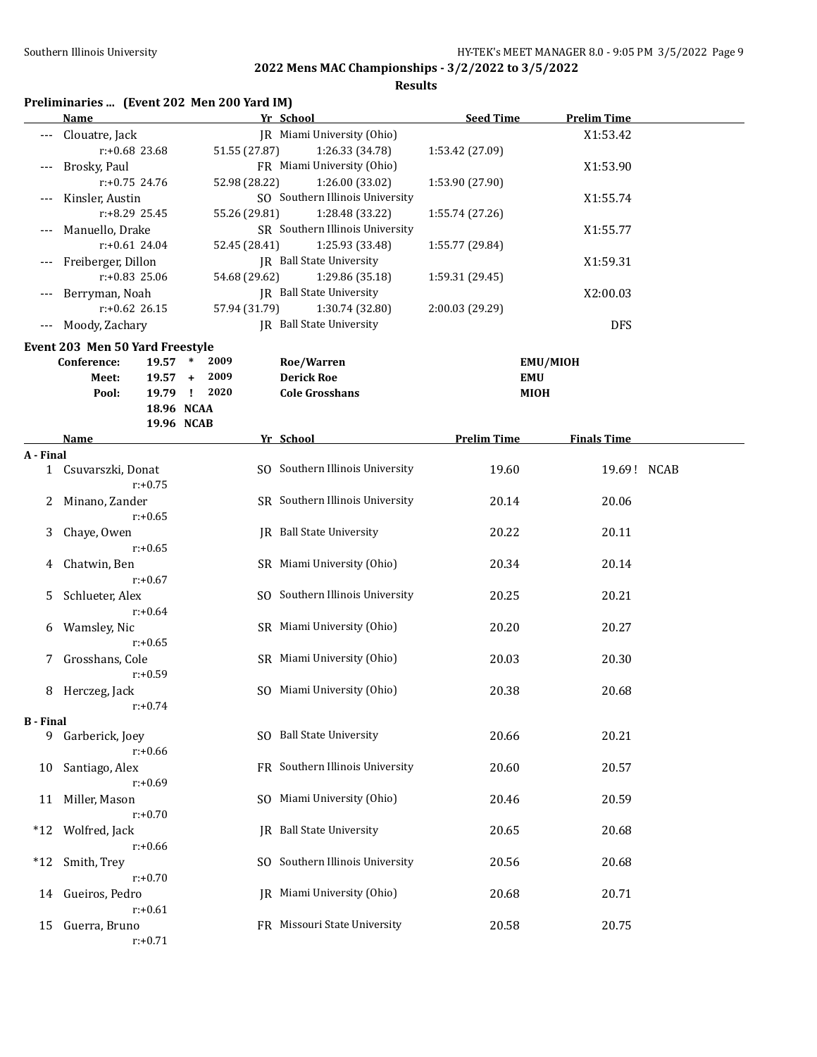|                  | Preliminaries  (Event 202 Men 200 Yard IM)<br>Name |                          | Yr School                                          | <b>Seed Time</b>   | <b>Prelim Time</b> |  |
|------------------|----------------------------------------------------|--------------------------|----------------------------------------------------|--------------------|--------------------|--|
|                  |                                                    |                          |                                                    |                    |                    |  |
|                  | Clouatre, Jack                                     |                          | JR Miami University (Ohio)                         |                    | X1:53.42           |  |
|                  | r:+0.68 23.68                                      | 51.55 (27.87)            | 1:26.33 (34.78)                                    | 1:53.42 (27.09)    |                    |  |
|                  | Brosky, Paul                                       |                          | FR Miami University (Ohio)                         |                    | X1:53.90           |  |
|                  | $r: +0.75$ 24.76                                   | 52.98 (28.22)            | 1:26.00 (33.02)<br>SO Southern Illinois University | 1:53.90 (27.90)    |                    |  |
|                  | Kinsler, Austin                                    |                          |                                                    |                    | X1:55.74           |  |
|                  | r:+8.29 25.45                                      | 55.26 (29.81)            | 1:28.48 (33.22)                                    | 1:55.74 (27.26)    |                    |  |
|                  | Manuello, Drake<br>$r: +0.61$ 24.04                |                          | SR Southern Illinois University<br>1:25.93 (33.48) |                    | X1:55.77           |  |
|                  |                                                    | 52.45 (28.41)            |                                                    | 1:55.77 (29.84)    |                    |  |
|                  | Freiberger, Dillon                                 |                          | JR Ball State University                           |                    | X1:59.31           |  |
|                  | r:+0.83 25.06                                      | 54.68 (29.62)            | 1:29.86 (35.18)                                    | 1:59.31 (29.45)    |                    |  |
|                  | Berryman, Noah                                     |                          | JR Ball State University                           |                    | X2:00.03           |  |
|                  | $r: +0.62$ 26.15                                   | 57.94 (31.79)            | 1:30.74 (32.80)                                    | 2:00.03 (29.29)    |                    |  |
| $---$            | Moody, Zachary                                     |                          | <b>IR</b> Ball State University                    |                    | <b>DFS</b>         |  |
|                  | Event 203 Men 50 Yard Freestyle                    |                          |                                                    |                    |                    |  |
|                  | 19.57<br>Conference:                               | 2009<br>$\ast$           | Roe/Warren                                         |                    | EMU/MIOH           |  |
|                  | Meet:<br>19.57                                     | 2009<br>$+$              | <b>Derick Roe</b>                                  | EMU                |                    |  |
|                  | Pool:                                              | 2020<br>19.79 !          | <b>Cole Grosshans</b>                              | MIOH               |                    |  |
|                  |                                                    | 18.96 NCAA<br>19.96 NCAB |                                                    |                    |                    |  |
|                  | Name                                               |                          | Yr School                                          | <b>Prelim Time</b> | <b>Finals Time</b> |  |
| A - Final        |                                                    |                          |                                                    |                    |                    |  |
|                  | 1 Csuvarszki, Donat<br>$r: +0.75$                  |                          | SO Southern Illinois University                    | 19.60              | 19.69! NCAB        |  |
| 2                | Minano, Zander<br>$r: +0.65$                       |                          | SR Southern Illinois University                    | 20.14              | 20.06              |  |
| 3                | Chaye, Owen<br>$r: +0.65$                          |                          | <b>IR</b> Ball State University                    | 20.22              | 20.11              |  |
| 4                | Chatwin, Ben<br>$r: +0.67$                         |                          | SR Miami University (Ohio)                         | 20.34              | 20.14              |  |
| 5                | Schlueter, Alex<br>$r: +0.64$                      |                          | SO Southern Illinois University                    | 20.25              | 20.21              |  |
| 6                | Wamsley, Nic<br>$r: +0.65$                         |                          | SR Miami University (Ohio)                         | 20.20              | 20.27              |  |
| 7                | Grosshans, Cole<br>$r: +0.59$                      |                          | SR Miami University (Ohio)                         | 20.03              | 20.30              |  |
|                  | 8 Herczeg, Jack<br>$r: +0.74$                      |                          | SO Miami University (Ohio)                         | 20.38              | 20.68              |  |
| <b>B</b> - Final |                                                    |                          |                                                    |                    |                    |  |
| 9                | Garberick, Joey<br>$r: +0.66$                      |                          | SO Ball State University                           | 20.66              | 20.21              |  |
| 10               | Santiago, Alex<br>$r: +0.69$                       |                          | FR Southern Illinois University                    | 20.60              | 20.57              |  |
| 11               | Miller, Mason<br>$r: +0.70$                        |                          | SO Miami University (Ohio)                         | 20.46              | 20.59              |  |
| $*12$            | Wolfred, Jack<br>$r: +0.66$                        |                          | <b>IR</b> Ball State University                    | 20.65              | 20.68              |  |
| $*12$            | Smith, Trey<br>$r: +0.70$                          |                          | SO Southern Illinois University                    | 20.56              | 20.68              |  |
| 14               | Gueiros, Pedro<br>$r: +0.61$                       |                          | JR Miami University (Ohio)                         | 20.68              | 20.71              |  |
| 15               | Guerra, Bruno<br>$r: +0.71$                        |                          | FR Missouri State University                       | 20.58              | 20.75              |  |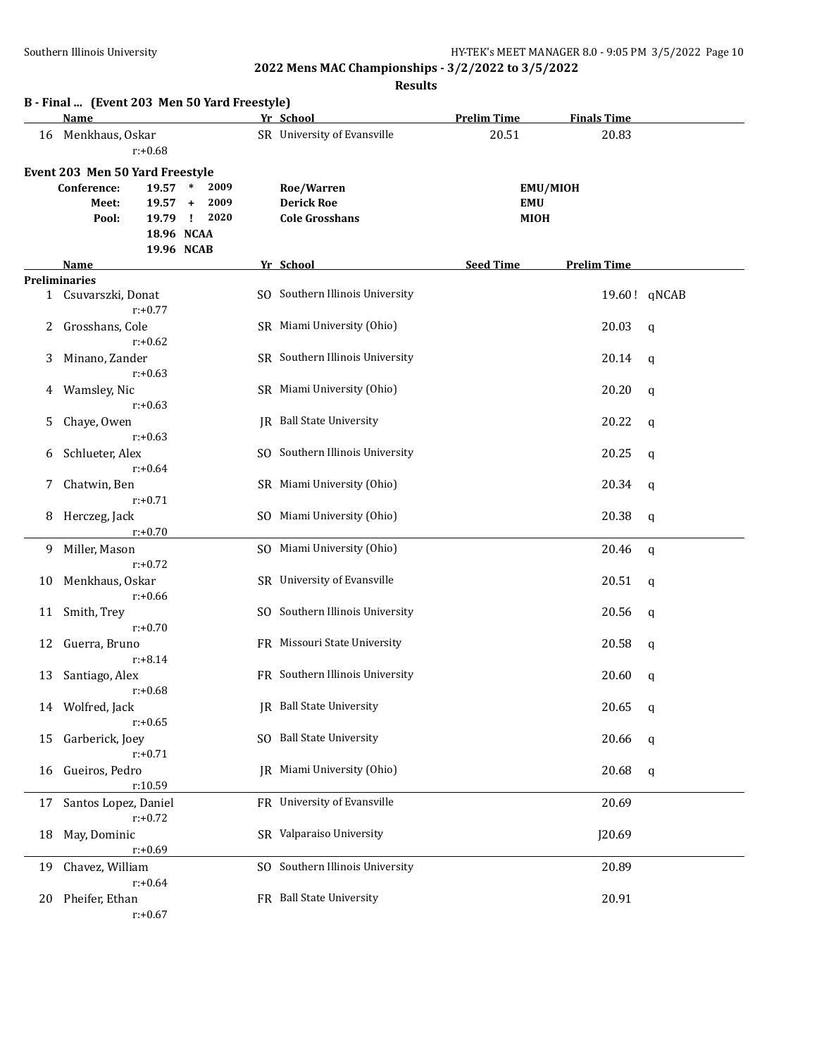|    | B - Final  (Event 203 Men 50 Yard Freestyle)                                                                |                                                           |                                                          |                    |                    |              |
|----|-------------------------------------------------------------------------------------------------------------|-----------------------------------------------------------|----------------------------------------------------------|--------------------|--------------------|--------------|
|    | <b>Name</b>                                                                                                 |                                                           | Yr School                                                | <b>Prelim Time</b> | <b>Finals Time</b> |              |
| 16 | Menkhaus, Oskar<br>$r: +0.68$                                                                               |                                                           | SR University of Evansville                              | 20.51              | 20.83              |              |
|    | Event 203 Men 50 Yard Freestyle<br>Conference:<br>19.57<br>Meet:<br>19.57<br>19.79 !<br>Pool:<br>18.96 NCAA | $\ast$<br>2009<br>2009<br>$\ddot{}$<br>2020<br>19.96 NCAB | Roe/Warren<br><b>Derick Roe</b><br><b>Cole Grosshans</b> | EMU<br><b>MIOH</b> | <b>EMU/MIOH</b>    |              |
|    | Name                                                                                                        |                                                           | Yr School                                                | <b>Seed Time</b>   | <b>Prelim Time</b> |              |
|    | <b>Preliminaries</b>                                                                                        |                                                           |                                                          |                    |                    |              |
|    | 1 Csuvarszki, Donat<br>$r: +0.77$                                                                           |                                                           | SO Southern Illinois University                          |                    |                    | 19.60! qNCAB |
| 2  | Grosshans, Cole<br>$r: +0.62$                                                                               |                                                           | SR Miami University (Ohio)                               |                    | 20.03              | q            |
| 3  | Minano, Zander<br>$r: +0.63$                                                                                |                                                           | SR Southern Illinois University                          |                    | 20.14              | q            |
| 4  | Wamsley, Nic<br>$r: +0.63$                                                                                  |                                                           | SR Miami University (Ohio)                               |                    | 20.20              | q            |
| 5. | Chaye, Owen<br>$r: +0.63$                                                                                   |                                                           | IR Ball State University                                 |                    | 20.22              | q            |
| 6  | Schlueter, Alex<br>$r: +0.64$                                                                               |                                                           | SO Southern Illinois University                          |                    | 20.25              | q            |
| 7  | Chatwin, Ben<br>$r: +0.71$                                                                                  |                                                           | SR Miami University (Ohio)                               |                    | 20.34              | q            |
| 8  | Herczeg, Jack<br>$r: +0.70$                                                                                 |                                                           | SO Miami University (Ohio)                               |                    | 20.38              | q            |
| 9  | Miller, Mason<br>$r: +0.72$                                                                                 |                                                           | SO Miami University (Ohio)                               |                    | 20.46              | $\mathbf{q}$ |
| 10 | Menkhaus, Oskar<br>$r: +0.66$                                                                               |                                                           | SR University of Evansville                              |                    | 20.51              | q            |
| 11 | Smith, Trey                                                                                                 |                                                           | SO Southern Illinois University                          |                    | 20.56              | q            |
| 12 | $r: +0.70$<br>Guerra, Bruno                                                                                 |                                                           | FR Missouri State University                             |                    | 20.58              | q            |
| 13 | $r: +8.14$<br>Santiago, Alex                                                                                |                                                           | FR Southern Illinois University                          |                    | 20.60              | q            |
| 14 | r:+0.68<br>Wolfred, Jack<br>$r: +0.65$                                                                      |                                                           | JR Ball State University                                 |                    | 20.65              | q            |
| 15 | Garberick, Joey                                                                                             |                                                           | SO Ball State University                                 |                    | 20.66              | $\mathbf q$  |
| 16 | $r: +0.71$<br>Gueiros, Pedro                                                                                |                                                           | JR Miami University (Ohio)                               |                    | 20.68              | q            |
| 17 | r:10.59<br>Santos Lopez, Daniel                                                                             |                                                           | FR University of Evansville                              |                    | 20.69              |              |
| 18 | $r: +0.72$<br>May, Dominic                                                                                  |                                                           | SR Valparaiso University                                 |                    | J20.69             |              |
| 19 | $r: +0.69$<br>Chavez, William                                                                               |                                                           | SO Southern Illinois University                          |                    | 20.89              |              |
| 20 | $r: +0.64$<br>Pheifer, Ethan<br>$r: +0.67$                                                                  |                                                           | FR Ball State University                                 |                    | 20.91              |              |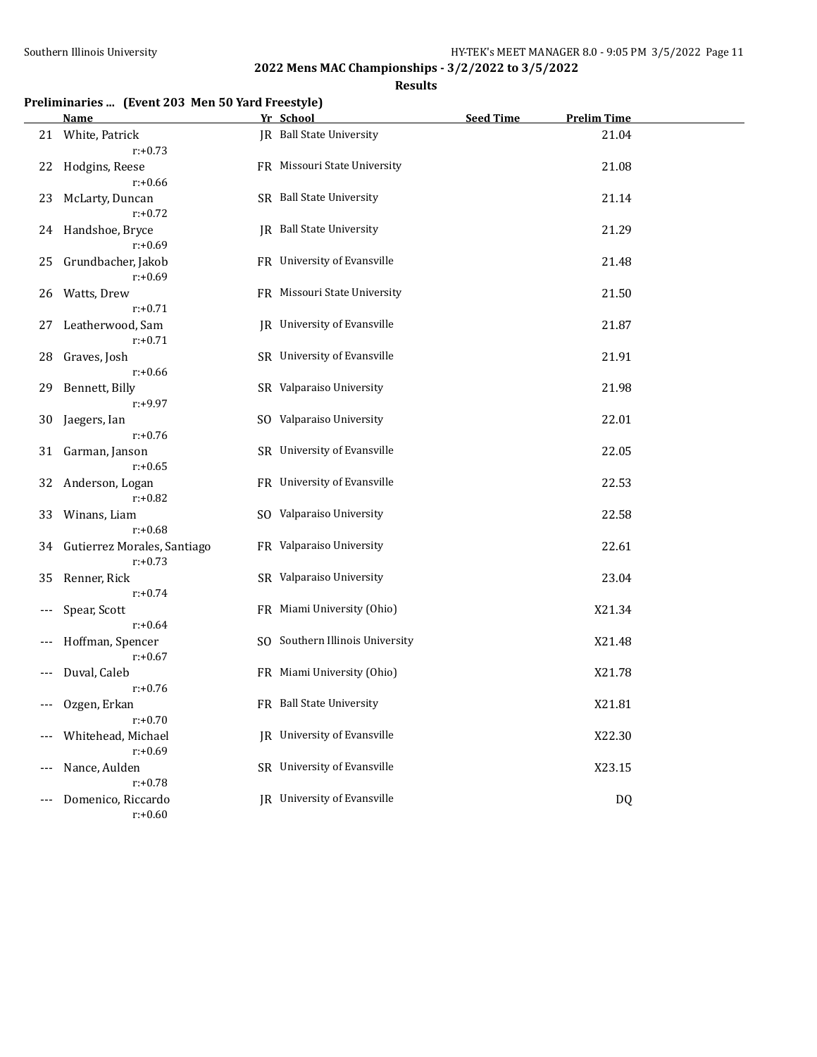## **Results**

## **Preliminaries ... (Event 203 Men 50 Yard Freestyle)**

|                     | Name                                      | Yr School                          | <b>Seed Time</b> | <b>Prelim Time</b> |  |
|---------------------|-------------------------------------------|------------------------------------|------------------|--------------------|--|
|                     | 21 White, Patrick<br>$r: +0.73$           | IR Ball State University           |                  | 21.04              |  |
| 22                  | Hodgins, Reese<br>$r: +0.66$              | FR Missouri State University       |                  | 21.08              |  |
| 23                  | McLarty, Duncan<br>$r: +0.72$             | SR Ball State University           |                  | 21.14              |  |
| 24                  | Handshoe, Bryce<br>$r: +0.69$             | JR Ball State University           |                  | 21.29              |  |
| 25                  | Grundbacher, Jakob<br>$r: +0.69$          | FR University of Evansville        |                  | 21.48              |  |
| 26                  | Watts, Drew<br>$r: +0.71$                 | FR Missouri State University       |                  | 21.50              |  |
| 27                  | Leatherwood, Sam<br>$r: +0.71$            | JR University of Evansville        |                  | 21.87              |  |
| 28                  | Graves, Josh<br>$r: +0.66$                | SR University of Evansville        |                  | 21.91              |  |
| 29                  | Bennett, Billy<br>$r: +9.97$              | SR Valparaiso University           |                  | 21.98              |  |
| 30                  | Jaegers, Ian<br>$r: +0.76$                | SO Valparaiso University           |                  | 22.01              |  |
|                     | 31 Garman, Janson<br>$r: +0.65$           | SR University of Evansville        |                  | 22.05              |  |
| 32                  | Anderson, Logan<br>$r: +0.82$             | FR University of Evansville        |                  | 22.53              |  |
| 33                  | Winans, Liam<br>$r: +0.68$                | SO Valparaiso University           |                  | 22.58              |  |
| 34                  | Gutierrez Morales, Santiago<br>$r: +0.73$ | FR Valparaiso University           |                  | 22.61              |  |
| 35                  | Renner, Rick<br>$r: +0.74$                | SR Valparaiso University           |                  | 23.04              |  |
| $---$               | Spear, Scott<br>$r: +0.64$                | FR Miami University (Ohio)         |                  | X21.34             |  |
|                     | Hoffman, Spencer<br>$r: +0.67$            | SO Southern Illinois University    |                  | X21.48             |  |
|                     | Duval, Caleb<br>$r: +0.76$                | FR Miami University (Ohio)         |                  | X21.78             |  |
| $\qquad \qquad - -$ | Ozgen, Erkan<br>$r: +0.70$                | FR Ball State University           |                  | X21.81             |  |
|                     | Whitehead, Michael<br>$r: +0.69$          | <b>IR</b> University of Evansville |                  | X22.30             |  |
| $---$               | Nance, Aulden<br>$r: +0.78$               | SR University of Evansville        |                  | X23.15             |  |
|                     | Domenico, Riccardo<br>$r: +0.60$          | IR University of Evansville        |                  | DQ                 |  |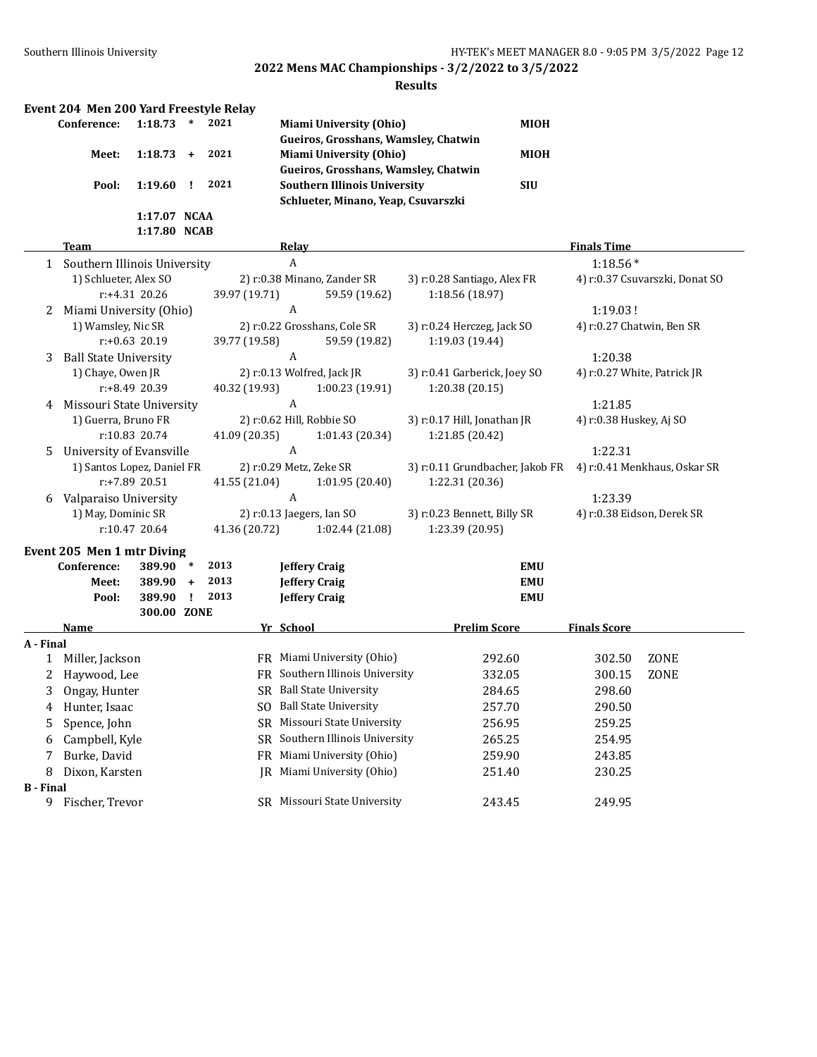|                  | Event 204 Men 200 Yard Freestyle Relay |                  |           |      |               |                  |                                      |                                                              |             |                             |                                |
|------------------|----------------------------------------|------------------|-----------|------|---------------|------------------|--------------------------------------|--------------------------------------------------------------|-------------|-----------------------------|--------------------------------|
|                  | Conference:                            | 1:18.73          | $\ast$    | 2021 |               |                  | <b>Miami University (Ohio)</b>       |                                                              | <b>MIOH</b> |                             |                                |
|                  |                                        |                  |           |      |               |                  | Gueiros, Grosshans, Wamsley, Chatwin |                                                              |             |                             |                                |
|                  | Meet:                                  | $1:18.73 +$      |           | 2021 |               |                  | <b>Miami University (Ohio)</b>       |                                                              | MIOH        |                             |                                |
|                  |                                        |                  |           |      |               |                  | Gueiros, Grosshans, Wamsley, Chatwin |                                                              |             |                             |                                |
|                  | Pool:                                  | 1:19.60          | п.        | 2021 |               |                  | <b>Southern Illinois University</b>  |                                                              | <b>SIU</b>  |                             |                                |
|                  |                                        |                  |           |      |               |                  | Schlueter, Minano, Yeap, Csuvarszki  |                                                              |             |                             |                                |
|                  |                                        | 1:17.07 NCAA     |           |      |               |                  |                                      |                                                              |             |                             |                                |
|                  |                                        | 1:17.80 NCAB     |           |      |               |                  |                                      |                                                              |             |                             |                                |
|                  | <b>Team</b>                            |                  |           |      |               | Relay            |                                      |                                                              |             | <b>Finals Time</b>          |                                |
|                  | 1 Southern Illinois University         |                  |           |      |               | $\boldsymbol{A}$ |                                      |                                                              |             | $1:18.56*$                  |                                |
|                  | 1) Schlueter, Alex SO                  |                  |           |      |               |                  | 2) r:0.38 Minano, Zander SR          | 3) r:0.28 Santiago, Alex FR                                  |             |                             | 4) r:0.37 Csuvarszki, Donat SO |
|                  |                                        | r:+4.31 20.26    |           |      | 39.97 (19.71) |                  | 59.59 (19.62)                        | 1:18.56 (18.97)                                              |             |                             |                                |
| 2                | Miami University (Ohio)                |                  |           |      |               | A                | 2) r:0.22 Grosshans, Cole SR         |                                                              |             | 1:19.03!                    |                                |
|                  | 1) Wamsley, Nic SR                     |                  |           |      |               |                  |                                      | 3) r:0.24 Herczeg, Jack SO                                   |             | 4) r:0.27 Chatwin, Ben SR   |                                |
|                  | <b>Ball State University</b>           | $r: +0.63$ 20.19 |           |      | 39.77 (19.58) | A                | 59.59 (19.82)                        | 1:19.03 (19.44)                                              |             | 1:20.38                     |                                |
| 3                | 1) Chaye, Owen JR                      |                  |           |      |               |                  | 2) r:0.13 Wolfred, Jack JR           | 3) r:0.41 Garberick, Joey SO                                 |             | 4) r:0.27 White, Patrick JR |                                |
|                  |                                        | r:+8.49 20.39    |           |      | 40.32 (19.93) |                  | 1:00.23 (19.91)                      | 1:20.38 (20.15)                                              |             |                             |                                |
| 4                | Missouri State University              |                  |           |      |               | $\boldsymbol{A}$ |                                      |                                                              |             | 1:21.85                     |                                |
|                  | 1) Guerra, Bruno FR                    |                  |           |      |               |                  | 2) r:0.62 Hill, Robbie SO            | 3) r:0.17 Hill, Jonathan JR                                  |             | 4) r:0.38 Huskey, Aj SO     |                                |
|                  |                                        | r:10.83 20.74    |           |      | 41.09 (20.35) |                  | 1:01.43 (20.34)                      | 1:21.85 (20.42)                                              |             |                             |                                |
| 5                | University of Evansville               |                  |           |      |               | A                |                                      |                                                              |             | 1:22.31                     |                                |
|                  | 1) Santos Lopez, Daniel FR             |                  |           |      |               |                  | 2) r:0.29 Metz, Zeke SR              | 3) r:0.11 Grundbacher, Jakob FR 4) r:0.41 Menkhaus, Oskar SR |             |                             |                                |
|                  |                                        | r:+7.89 20.51    |           |      | 41.55 (21.04) |                  | 1:01.95 (20.40)                      | 1:22.31 (20.36)                                              |             |                             |                                |
| 6                | Valparaiso University                  |                  |           |      |               | $\boldsymbol{A}$ |                                      |                                                              |             | 1:23.39                     |                                |
|                  | 1) May, Dominic SR                     |                  |           |      |               |                  | 2) r:0.13 Jaegers, Ian SO            | 3) r:0.23 Bennett, Billy SR                                  |             | 4) r:0.38 Eidson, Derek SR  |                                |
|                  |                                        | r:10.47 20.64    |           |      | 41.36 (20.72) |                  | 1:02.44 (21.08)                      | 1:23.39 (20.95)                                              |             |                             |                                |
|                  | Event 205 Men 1 mtr Diving             |                  |           |      |               |                  |                                      |                                                              |             |                             |                                |
|                  | Conference:                            | 389.90           | $\ast$    | 2013 |               |                  | <b>Jeffery Craig</b>                 |                                                              | <b>EMU</b>  |                             |                                |
|                  | Meet:                                  | 389.90           | $\ddot{}$ | 2013 |               |                  | <b>Jeffery Craig</b>                 |                                                              | <b>EMU</b>  |                             |                                |
|                  | Pool:                                  | 389.90           | - 1       | 2013 |               |                  | <b>Jeffery Craig</b>                 |                                                              | <b>EMU</b>  |                             |                                |
|                  |                                        | 300.00 ZONE      |           |      |               |                  |                                      |                                                              |             |                             |                                |
|                  | Name                                   |                  |           |      |               | Yr School        |                                      | <b>Prelim Score</b>                                          |             | <b>Finals Score</b>         |                                |
| A - Final        |                                        |                  |           |      |               |                  |                                      |                                                              |             |                             |                                |
| 1                | Miller, Jackson                        |                  |           |      |               |                  | FR Miami University (Ohio)           |                                                              | 292.60      | 302.50                      | ZONE                           |
| 2                | Haywood, Lee                           |                  |           |      |               |                  | FR Southern Illinois University      |                                                              | 332.05      | 300.15                      | ZONE                           |
| 3                | Ongay, Hunter                          |                  |           |      |               |                  | SR Ball State University             |                                                              | 284.65      | 298.60                      |                                |
|                  | Hunter, Isaac                          |                  |           |      |               |                  | SO Ball State University             |                                                              | 257.70      | 290.50                      |                                |
| 5                | Spence, John                           |                  |           |      |               |                  | SR Missouri State University         |                                                              | 256.95      | 259.25                      |                                |
| 6                | Campbell, Kyle                         |                  |           |      | SR.           |                  | Southern Illinois University         |                                                              | 265.25      | 254.95                      |                                |
| 7                | Burke, David                           |                  |           |      |               |                  | FR Miami University (Ohio)           |                                                              | 259.90      | 243.85                      |                                |
| 8                | Dixon, Karsten                         |                  |           |      | IR            |                  | Miami University (Ohio)              |                                                              | 251.40      | 230.25                      |                                |
| <b>B</b> - Final |                                        |                  |           |      |               |                  |                                      |                                                              |             |                             |                                |
|                  | 9 Fischer, Trevor                      |                  |           |      |               |                  | SR Missouri State University         |                                                              | 243.45      | 249.95                      |                                |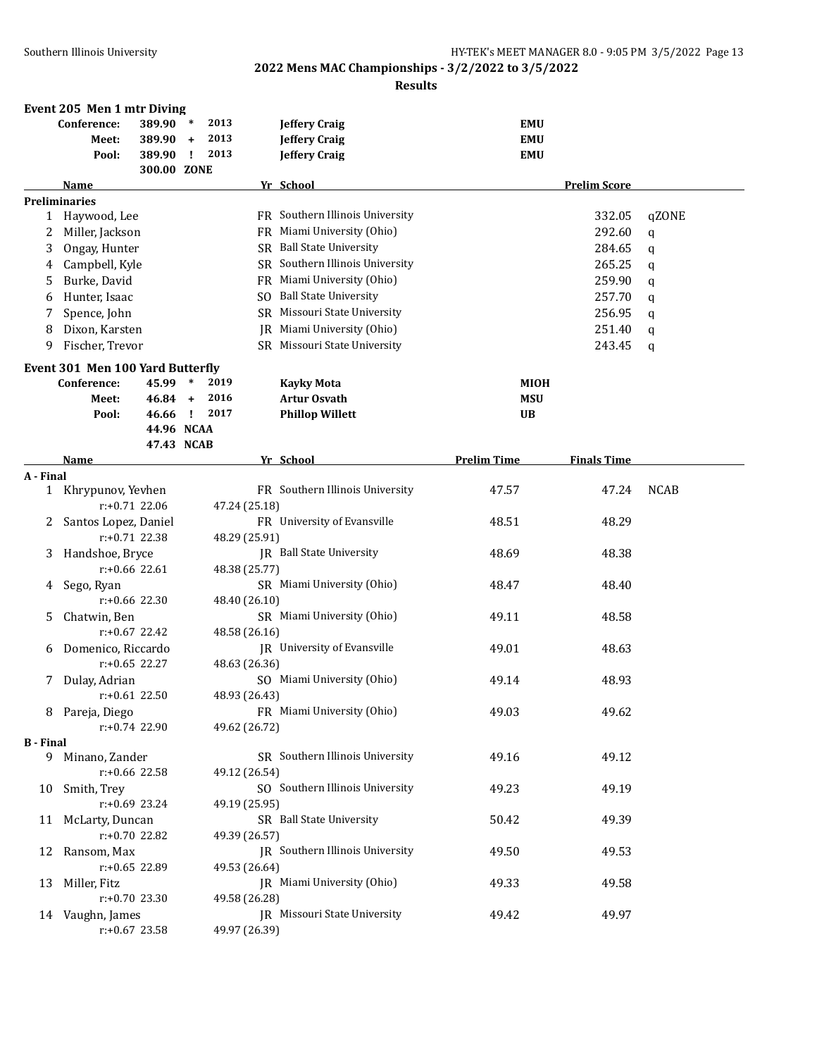|                  | Event 205 Men 1 mtr Diving               |                                               |              |                      |               |                                                                      |                                        |                     |             |
|------------------|------------------------------------------|-----------------------------------------------|--------------|----------------------|---------------|----------------------------------------------------------------------|----------------------------------------|---------------------|-------------|
|                  | Conference:<br>Meet:<br>Pool:            | 389.90 *<br>389.90 +<br>389.90<br>300.00 ZONE | $\mathbf{I}$ | 2013<br>2013<br>2013 |               | <b>Jeffery Craig</b><br><b>Jeffery Craig</b><br><b>Jeffery Craig</b> | <b>EMU</b><br><b>EMU</b><br><b>EMU</b> |                     |             |
|                  | Name                                     |                                               |              |                      |               | Yr School                                                            |                                        | <b>Prelim Score</b> |             |
|                  | <b>Preliminaries</b>                     |                                               |              |                      |               |                                                                      |                                        |                     |             |
|                  | 1 Haywood, Lee                           |                                               |              |                      |               | FR Southern Illinois University                                      |                                        | 332.05              | qZONE       |
| 2                | Miller, Jackson                          |                                               |              |                      |               | FR Miami University (Ohio)                                           |                                        | 292.60              | q           |
| 3                | Ongay, Hunter                            |                                               |              |                      |               | SR Ball State University                                             |                                        | 284.65              | q           |
| 4                | Campbell, Kyle                           |                                               |              |                      |               | SR Southern Illinois University                                      |                                        | 265.25              | q           |
| 5                | Burke, David                             |                                               |              |                      |               | FR Miami University (Ohio)                                           |                                        | 259.90              | q           |
| 6                | Hunter, Isaac                            |                                               |              |                      |               | SO Ball State University                                             |                                        | 257.70              | $\mathbf q$ |
| 7                | Spence, John                             |                                               |              |                      |               | SR Missouri State University                                         |                                        | 256.95              | q           |
| 8                | Dixon, Karsten                           |                                               |              |                      |               | JR Miami University (Ohio)                                           |                                        | 251.40              | q           |
| 9                | Fischer, Trevor                          |                                               |              |                      |               | SR Missouri State University                                         |                                        | 243.45              | $\mathbf q$ |
|                  | Event 301 Men 100 Yard Butterfly         |                                               |              |                      |               |                                                                      |                                        |                     |             |
|                  | Conference:                              | 45.99 *                                       |              | 2019                 |               | <b>Kavky Mota</b>                                                    | MIOH                                   |                     |             |
|                  | Meet:                                    | $46.84 +$                                     |              | 2016                 |               | <b>Artur Osvath</b>                                                  | <b>MSU</b>                             |                     |             |
|                  | Pool:                                    | 46.66                                         | $\mathbf{I}$ | 2017                 |               | <b>Phillop Willett</b>                                               | <b>UB</b>                              |                     |             |
|                  |                                          | 44.96 NCAA                                    |              |                      |               |                                                                      |                                        |                     |             |
|                  |                                          | 47.43 NCAB                                    |              |                      |               |                                                                      |                                        |                     |             |
|                  | Name                                     |                                               |              |                      |               | Yr School                                                            | <b>Prelim Time</b>                     | <b>Finals Time</b>  |             |
| A - Final        |                                          |                                               |              |                      |               |                                                                      |                                        |                     |             |
|                  | 1 Khrypunov, Yevhen                      |                                               |              |                      |               | FR Southern Illinois University                                      | 47.57                                  | 47.24               | <b>NCAB</b> |
|                  | $r: +0.71$ 22.06                         |                                               |              |                      | 47.24 (25.18) | FR University of Evansville                                          |                                        |                     |             |
| 2                | Santos Lopez, Daniel<br>$r: +0.71$ 22.38 |                                               |              |                      | 48.29 (25.91) |                                                                      | 48.51                                  | 48.29               |             |
| 3                | Handshoe, Bryce                          |                                               |              |                      |               | JR Ball State University                                             | 48.69                                  | 48.38               |             |
|                  | $r: +0.66$ 22.61                         |                                               |              |                      | 48.38 (25.77) |                                                                      |                                        |                     |             |
| 4                | Sego, Ryan                               |                                               |              |                      |               | SR Miami University (Ohio)                                           | 48.47                                  | 48.40               |             |
|                  | $r: +0.66$ 22.30                         |                                               |              |                      | 48.40 (26.10) |                                                                      |                                        |                     |             |
| 5                | Chatwin, Ben                             |                                               |              |                      |               | SR Miami University (Ohio)                                           | 49.11                                  | 48.58               |             |
|                  | $r: +0.67$ 22.42                         |                                               |              |                      | 48.58 (26.16) |                                                                      |                                        |                     |             |
| 6                | Domenico, Riccardo                       |                                               |              |                      |               | <b>IR</b> University of Evansville                                   | 49.01                                  | 48.63               |             |
|                  | $r: +0.65$ 22.27                         |                                               |              |                      | 48.63 (26.36) |                                                                      |                                        |                     |             |
| 7                | Dulay, Adrian                            |                                               |              |                      |               | SO Miami University (Ohio)                                           | 49.14                                  | 48.93               |             |
|                  | $r: +0.61$ 22.50                         |                                               |              |                      | 48.93 (26.43) |                                                                      |                                        |                     |             |
|                  | 8 Pareja, Diego                          |                                               |              |                      |               | FR Miami University (Ohio)                                           | 49.03                                  | 49.62               |             |
|                  | r:+0.74 22.90                            |                                               |              |                      | 49.62 (26.72) |                                                                      |                                        |                     |             |
| <b>B</b> - Final |                                          |                                               |              |                      |               | SR Southern Illinois University                                      |                                        | 49.12               |             |
|                  | 9 Minano, Zander<br>r:+0.66 22.58        |                                               |              |                      | 49.12 (26.54) |                                                                      | 49.16                                  |                     |             |
| 10               | Smith, Trey                              |                                               |              |                      |               | SO Southern Illinois University                                      | 49.23                                  | 49.19               |             |
|                  | r:+0.69 23.24                            |                                               |              |                      | 49.19 (25.95) |                                                                      |                                        |                     |             |
| 11               | McLarty, Duncan                          |                                               |              |                      |               | SR Ball State University                                             | 50.42                                  | 49.39               |             |
|                  | r:+0.70 22.82                            |                                               |              |                      | 49.39 (26.57) |                                                                      |                                        |                     |             |
| 12               | Ransom, Max                              |                                               |              |                      |               | JR Southern Illinois University                                      | 49.50                                  | 49.53               |             |
|                  | r:+0.65 22.89                            |                                               |              |                      | 49.53 (26.64) |                                                                      |                                        |                     |             |
| 13               | Miller, Fitz                             |                                               |              |                      |               | JR Miami University (Ohio)                                           | 49.33                                  | 49.58               |             |
|                  | $r: +0.70$ 23.30                         |                                               |              |                      | 49.58 (26.28) |                                                                      |                                        |                     |             |
|                  | 14 Vaughn, James                         |                                               |              |                      |               | <b>IR</b> Missouri State University                                  | 49.42                                  | 49.97               |             |
|                  | $r: +0.67$ 23.58                         |                                               |              |                      | 49.97 (26.39) |                                                                      |                                        |                     |             |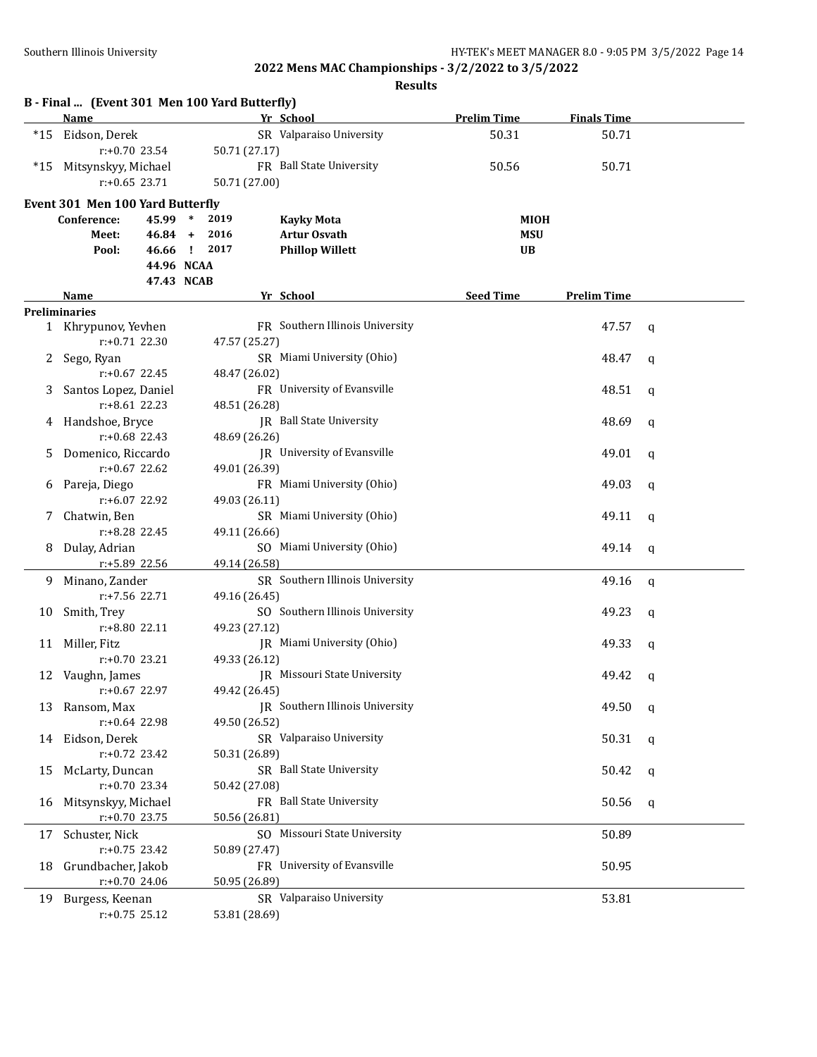|       | B - Final  (Event 301 Men 100 Yard Butterfly) |            |              |               |                                 |                    |                    |   |
|-------|-----------------------------------------------|------------|--------------|---------------|---------------------------------|--------------------|--------------------|---|
|       | <b>Name</b>                                   |            |              |               | Yr School                       | <b>Prelim Time</b> | <b>Finals Time</b> |   |
| $*15$ | Eidson, Derek                                 |            |              |               | SR Valparaiso University        | 50.31              | 50.71              |   |
|       | r:+0.70 23.54                                 |            |              | 50.71 (27.17) |                                 |                    |                    |   |
| *15   | Mitsynskyy, Michael                           |            |              |               | FR Ball State University        | 50.56              | 50.71              |   |
|       | $r: +0.65$ 23.71                              |            |              | 50.71 (27.00) |                                 |                    |                    |   |
|       | Event 301 Men 100 Yard Butterfly              |            |              |               |                                 |                    |                    |   |
|       | Conference:                                   | 45.99      | $\ast$       | 2019          | <b>Kayky Mota</b>               | MIOH               |                    |   |
|       | Meet:                                         | $46.84 +$  |              | 2016          | <b>Artur Osvath</b>             | <b>MSU</b>         |                    |   |
|       | Pool:                                         | 46.66      | $\mathbf{I}$ | 2017          | <b>Phillop Willett</b>          | <b>UB</b>          |                    |   |
|       |                                               | 44.96 NCAA |              |               |                                 |                    |                    |   |
|       |                                               | 47.43 NCAB |              |               |                                 |                    |                    |   |
|       | Name                                          |            |              |               | Yr School                       | <b>Seed Time</b>   | <b>Prelim Time</b> |   |
|       | <b>Preliminaries</b>                          |            |              |               |                                 |                    |                    |   |
|       | 1 Khrypunov, Yevhen                           |            |              |               | FR Southern Illinois University |                    | 47.57              | q |
|       | $r: +0.71$ 22.30                              |            |              | 47.57 (25.27) |                                 |                    |                    |   |
| 2     | Sego, Ryan                                    |            |              |               | SR Miami University (Ohio)      |                    | 48.47              | q |
|       | $r: +0.67$ 22.45                              |            |              | 48.47 (26.02) |                                 |                    |                    |   |
| 3     | Santos Lopez, Daniel                          |            |              |               | FR University of Evansville     |                    | 48.51              | q |
|       | $r: +8.61$ 22.23                              |            |              | 48.51 (26.28) |                                 |                    |                    |   |
| 4     | Handshoe, Bryce                               |            |              |               | JR Ball State University        |                    | 48.69              | a |
|       | $r: +0.68$ 22.43                              |            |              | 48.69 (26.26) |                                 |                    |                    |   |
| 5     | Domenico, Riccardo                            |            |              |               | JR University of Evansville     |                    | 49.01              | q |
|       | $r: +0.67$ 22.62                              |            |              | 49.01 (26.39) |                                 |                    |                    |   |
| 6     | Pareja, Diego                                 |            |              |               | FR Miami University (Ohio)      |                    | 49.03              | a |
|       | r:+6.07 22.92                                 |            |              | 49.03 (26.11) |                                 |                    |                    |   |
| 7     | Chatwin, Ben                                  |            |              |               | SR Miami University (Ohio)      |                    | 49.11              | q |
|       | r:+8.28 22.45                                 |            |              | 49.11 (26.66) |                                 |                    |                    |   |
| 8     | Dulay, Adrian                                 |            |              |               | SO Miami University (Ohio)      |                    | 49.14              | q |
|       | r:+5.89 22.56                                 |            |              | 49.14 (26.58) |                                 |                    |                    |   |
| 9.    | Minano, Zander                                |            |              |               | SR Southern Illinois University |                    | 49.16              | q |
|       | r:+7.56 22.71                                 |            |              | 49.16 (26.45) |                                 |                    |                    |   |
| 10    | Smith, Trey                                   |            |              |               | SO Southern Illinois University |                    | 49.23              | q |
|       | r:+8.80 22.11                                 |            |              | 49.23 (27.12) |                                 |                    |                    |   |
| 11    | Miller, Fitz                                  |            |              |               | JR Miami University (Ohio)      |                    | 49.33              | q |
|       | $r: +0.70$ 23.21                              |            |              | 49.33 (26.12) |                                 |                    |                    |   |
|       | 12 Vaughn, James                              |            |              |               | JR Missouri State University    |                    | 49.42              | q |
|       | r:+0.67 22.97                                 |            |              | 49.42 (26.45) |                                 |                    |                    |   |
| 13    | Ransom, Max                                   |            |              |               | JR Southern Illinois University |                    | 49.50              | q |
|       | r:+0.64 22.98                                 |            |              | 49.50 (26.52) |                                 |                    |                    |   |
| 14    | Eidson, Derek                                 |            |              |               | SR Valparaiso University        |                    | 50.31              | q |
|       | r:+0.72 23.42                                 |            |              | 50.31 (26.89) |                                 |                    |                    |   |
| 15    | McLarty, Duncan                               |            |              |               | SR Ball State University        |                    | 50.42              | q |
|       | r:+0.70 23.34                                 |            |              | 50.42 (27.08) |                                 |                    |                    |   |
| 16    | Mitsynskyy, Michael                           |            |              |               | FR Ball State University        |                    | 50.56              | q |
|       | r:+0.70 23.75                                 |            |              | 50.56 (26.81) |                                 |                    |                    |   |
| 17    | Schuster, Nick                                |            |              |               | SO Missouri State University    |                    | 50.89              |   |
|       | $r: +0.75$ 23.42                              |            |              | 50.89 (27.47) |                                 |                    |                    |   |
| 18    | Grundbacher, Jakob                            |            |              |               | FR University of Evansville     |                    | 50.95              |   |
|       | r:+0.70 24.06                                 |            |              | 50.95 (26.89) |                                 |                    |                    |   |
|       | 19 Burgess, Keenan                            |            |              |               | SR Valparaiso University        |                    | 53.81              |   |
|       | $r: +0.75$ 25.12                              |            |              | 53.81 (28.69) |                                 |                    |                    |   |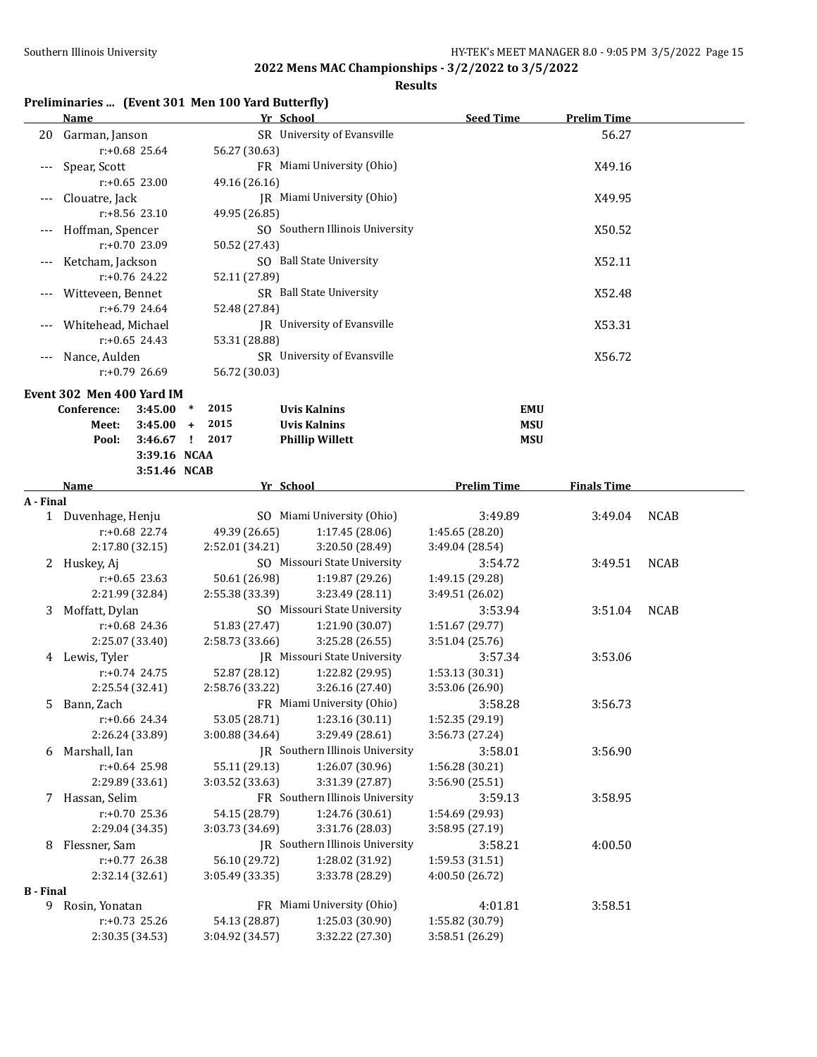**Results**

## **Preliminaries ... (Event 301 Men 100 Yard Butterfly)**

|                  | <b>Name</b>               | Yr School       |                                     | <b>Seed Time</b>   | <b>Prelim Time</b> |             |
|------------------|---------------------------|-----------------|-------------------------------------|--------------------|--------------------|-------------|
|                  | 20 Garman, Janson         |                 | SR University of Evansville         |                    | 56.27              |             |
|                  | r:+0.68 25.64             | 56.27 (30.63)   |                                     |                    |                    |             |
| $---$            | Spear, Scott              |                 | FR Miami University (Ohio)          |                    | X49.16             |             |
|                  | $r: +0.65$ 23.00          | 49.16 (26.16)   |                                     |                    |                    |             |
|                  | Clouatre, Jack            |                 | JR Miami University (Ohio)          |                    | X49.95             |             |
|                  | r:+8.56 23.10             | 49.95 (26.85)   |                                     |                    |                    |             |
|                  | Hoffman, Spencer          |                 | SO Southern Illinois University     |                    | X50.52             |             |
|                  | $r: +0.70$ 23.09          | 50.52 (27.43)   |                                     |                    |                    |             |
|                  |                           |                 |                                     |                    |                    |             |
|                  | Ketcham, Jackson          |                 | SO Ball State University            |                    | X52.11             |             |
|                  | $r: +0.76$ 24.22          | 52.11 (27.89)   |                                     |                    |                    |             |
|                  | Witteveen, Bennet         |                 | SR Ball State University            |                    | X52.48             |             |
|                  | $r: +6.79$ 24.64          | 52.48 (27.84)   |                                     |                    |                    |             |
|                  | Whitehead, Michael        |                 | JR University of Evansville         |                    | X53.31             |             |
|                  | $r: +0.65$ 24.43          | 53.31 (28.88)   |                                     |                    |                    |             |
|                  | Nance, Aulden             |                 | SR University of Evansville         |                    | X56.72             |             |
|                  | $r: +0.79$ 26.69          | 56.72 (30.03)   |                                     |                    |                    |             |
|                  | Event 302 Men 400 Yard IM |                 |                                     |                    |                    |             |
|                  | Conference:<br>3:45.00    | 2015<br>$\ast$  | <b>Uvis Kalnins</b>                 | <b>EMU</b>         |                    |             |
|                  | Meet:<br>3:45.00          | 2015<br>$+$     | <b>Uvis Kalnins</b>                 | <b>MSU</b>         |                    |             |
|                  | Pool:                     | 3:46.67 ! 2017  | <b>Phillip Willett</b>              | <b>MSU</b>         |                    |             |
|                  | 3:39.16 NCAA              |                 |                                     |                    |                    |             |
|                  | 3:51.46 NCAB              |                 |                                     |                    |                    |             |
|                  | <b>Name</b>               | Yr School       |                                     | <b>Prelim Time</b> | <b>Finals Time</b> |             |
| A - Final        |                           |                 |                                     |                    |                    |             |
|                  | 1 Duvenhage, Henju        |                 | SO Miami University (Ohio)          | 3:49.89            | 3:49.04            | <b>NCAB</b> |
|                  | $r: +0.68$ 22.74          | 49.39 (26.65)   | 1:17.45 (28.06)                     | 1:45.65 (28.20)    |                    |             |
|                  |                           |                 | 3:20.50 (28.49)                     |                    |                    |             |
|                  | 2:17.80 (32.15)           | 2:52.01 (34.21) | SO Missouri State University        | 3:49.04 (28.54)    |                    |             |
|                  | 2 Huskey, Aj              |                 |                                     | 3:54.72            | 3:49.51            | <b>NCAB</b> |
|                  | $r: +0.65$ 23.63          | 50.61 (26.98)   | 1:19.87 (29.26)                     | 1:49.15 (29.28)    |                    |             |
|                  | 2:21.99 (32.84)           | 2:55.38 (33.39) | 3:23.49 (28.11)                     | 3:49.51 (26.02)    |                    |             |
| 3                | Moffatt, Dylan            |                 | SO Missouri State University        | 3:53.94            | 3:51.04            | <b>NCAB</b> |
|                  | $r: +0.68$ 24.36          | 51.83 (27.47)   | 1:21.90 (30.07)                     | 1:51.67 (29.77)    |                    |             |
|                  | 2:25.07 (33.40)           | 2:58.73 (33.66) | 3:25.28 (26.55)                     | 3:51.04 (25.76)    |                    |             |
|                  | 4 Lewis, Tyler            |                 | <b>IR</b> Missouri State University | 3:57.34            | 3:53.06            |             |
|                  | $r: +0.74$ 24.75          | 52.87 (28.12)   | 1:22.82 (29.95)                     | 1:53.13 (30.31)    |                    |             |
|                  | 2:25.54 (32.41)           | 2:58.76 (33.22) | 3:26.16 (27.40)                     | 3:53.06 (26.90)    |                    |             |
| 5.               | Bann, Zach                |                 | FR Miami University (Ohio)          | 3:58.28            | 3:56.73            |             |
|                  | r:+0.66 24.34             | 53.05 (28.71)   | 1:23.16 (30.11)                     | 1:52.35 (29.19)    |                    |             |
|                  | 2:26.24 (33.89)           | 3:00.88 (34.64) | 3:29.49 (28.61)                     | 3:56.73 (27.24)    |                    |             |
| 6                | Marshall, Ian             |                 | JR Southern Illinois University     | 3:58.01            | 3:56.90            |             |
|                  | r:+0.64 25.98             | 55.11 (29.13)   | 1:26.07 (30.96)                     | 1:56.28 (30.21)    |                    |             |
|                  | 2:29.89 (33.61)           | 3:03.52 (33.63) | 3:31.39 (27.87)                     | 3:56.90 (25.51)    |                    |             |
|                  | 7 Hassan, Selim           |                 | FR Southern Illinois University     | 3:59.13            | 3:58.95            |             |
|                  | $r: +0.70$ 25.36          | 54.15 (28.79)   | 1:24.76 (30.61)                     | 1:54.69 (29.93)    |                    |             |
|                  | 2:29.04 (34.35)           | 3:03.73 (34.69) | 3:31.76 (28.03)                     | 3:58.95 (27.19)    |                    |             |
| 8                | Flessner, Sam             |                 | JR Southern Illinois University     | 3:58.21            | 4:00.50            |             |
|                  | r:+0.77 26.38             | 56.10 (29.72)   | 1:28.02 (31.92)                     | 1:59.53 (31.51)    |                    |             |
|                  | 2:32.14 (32.61)           | 3:05.49 (33.35) | 3:33.78 (28.29)                     | 4:00.50 (26.72)    |                    |             |
| <b>B</b> - Final |                           |                 |                                     |                    |                    |             |
| 9                | Rosin, Yonatan            |                 | FR Miami University (Ohio)          | 4:01.81            | 3:58.51            |             |
|                  | $r: +0.73$ 25.26          | 54.13 (28.87)   | 1:25.03 (30.90)                     | 1:55.82 (30.79)    |                    |             |
|                  | 2:30.35 (34.53)           | 3:04.92 (34.57) | 3:32.22 (27.30)                     | 3:58.51 (26.29)    |                    |             |
|                  |                           |                 |                                     |                    |                    |             |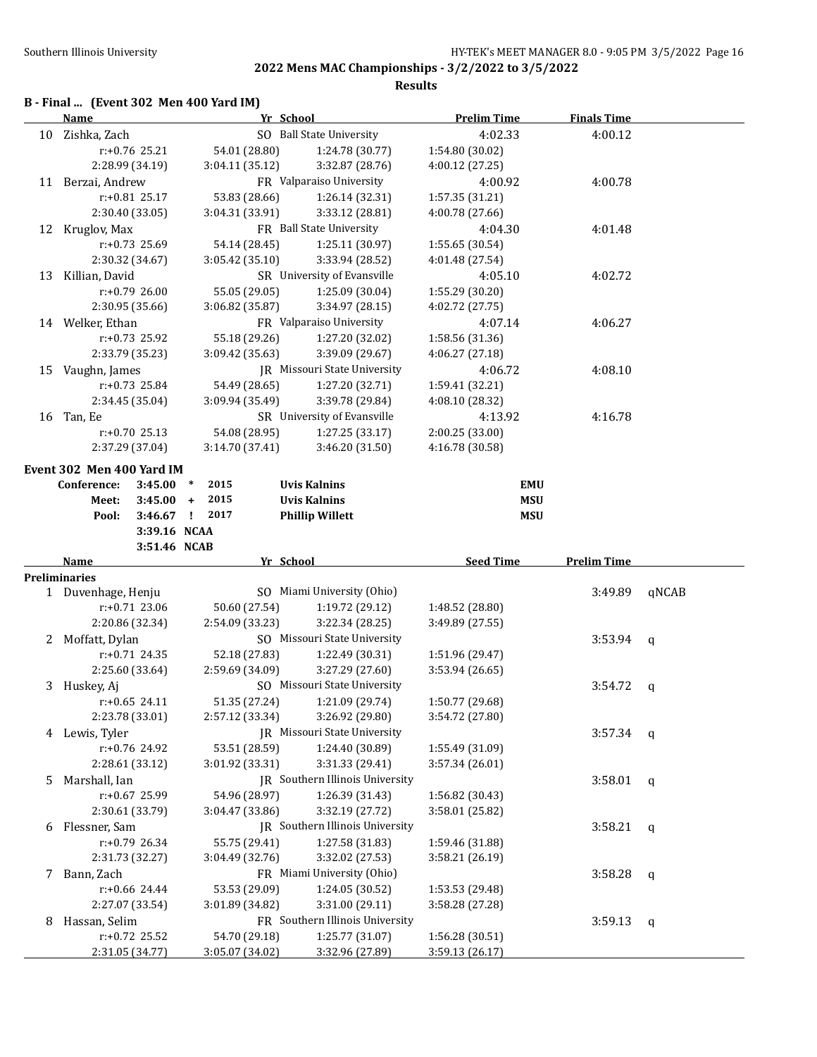**Results**

# **B - Final ... (Event 302 Men 400 Yard IM)**

|    | <b>Name</b>               |                  |                 | Yr School                       | <b>Prelim Time</b> | <b>Finals Time</b> |       |
|----|---------------------------|------------------|-----------------|---------------------------------|--------------------|--------------------|-------|
|    | 10 Zishka, Zach           |                  |                 | SO Ball State University        | 4:02.33            | 4:00.12            |       |
|    |                           | r:+0.76 25.21    | 54.01 (28.80)   | 1:24.78 (30.77)                 | 1:54.80 (30.02)    |                    |       |
|    |                           | 2:28.99 (34.19)  | 3:04.11 (35.12) | 3:32.87 (28.76)                 | 4:00.12 (27.25)    |                    |       |
|    | 11 Berzai, Andrew         |                  |                 | FR Valparaiso University        | 4:00.92            | 4:00.78            |       |
|    |                           | $r: +0.81$ 25.17 | 53.83 (28.66)   | 1:26.14 (32.31)                 | 1:57.35 (31.21)    |                    |       |
|    |                           | 2:30.40 (33.05)  | 3:04.31 (33.91) | 3:33.12 (28.81)                 | 4:00.78 (27.66)    |                    |       |
|    | 12 Kruglov, Max           |                  |                 | FR Ball State University        | 4:04.30            | 4:01.48            |       |
|    |                           | r:+0.73 25.69    | 54.14 (28.45)   | 1:25.11 (30.97)                 | 1:55.65 (30.54)    |                    |       |
|    |                           | 2:30.32 (34.67)  | 3:05.42 (35.10) | 3:33.94 (28.52)                 | 4:01.48 (27.54)    |                    |       |
| 13 | Killian, David            |                  |                 | SR University of Evansville     | 4:05.10            | 4:02.72            |       |
|    |                           | r:+0.79 26.00    | 55.05 (29.05)   | 1:25.09 (30.04)                 | 1:55.29 (30.20)    |                    |       |
|    |                           | 2:30.95 (35.66)  | 3:06.82 (35.87) | 3:34.97 (28.15)                 | 4:02.72 (27.75)    |                    |       |
|    | 14 Welker, Ethan          |                  |                 | FR Valparaiso University        | 4:07.14            | 4:06.27            |       |
|    |                           | r:+0.73 25.92    | 55.18 (29.26)   | 1:27.20 (32.02)                 | 1:58.56 (31.36)    |                    |       |
|    |                           | 2:33.79 (35.23)  | 3:09.42 (35.63) | 3:39.09 (29.67)                 | 4:06.27 (27.18)    |                    |       |
|    |                           |                  |                 | JR Missouri State University    | 4:06.72            | 4:08.10            |       |
|    | 15 Vaughn, James          | r:+0.73 25.84    | 54.49 (28.65)   | 1:27.20 (32.71)                 |                    |                    |       |
|    |                           |                  |                 |                                 | 1:59.41 (32.21)    |                    |       |
|    |                           | 2:34.45 (35.04)  | 3:09.94 (35.49) | 3:39.78 (29.84)                 | 4:08.10 (28.32)    |                    |       |
|    | 16 Tan, Ee                |                  |                 | SR University of Evansville     | 4:13.92            | 4:16.78            |       |
|    |                           | $r: +0.70$ 25.13 | 54.08 (28.95)   | 1:27.25 (33.17)                 | 2:00.25 (33.00)    |                    |       |
|    |                           | 2:37.29 (37.04)  | 3:14.70 (37.41) | 3:46.20 (31.50)                 | 4:16.78 (30.58)    |                    |       |
|    | Event 302 Men 400 Yard IM |                  |                 |                                 |                    |                    |       |
|    | Conference:               | 3:45.00          | 2015<br>$\ast$  | <b>Uvis Kalnins</b>             | <b>EMU</b>         |                    |       |
|    | Meet:                     | $3:45.00 +$      | 2015            | <b>Uvis Kalnins</b>             | <b>MSU</b>         |                    |       |
|    | Pool:                     | $3:46.67$ !      | 2017            | <b>Phillip Willett</b>          | <b>MSU</b>         |                    |       |
|    |                           | 3:39.16 NCAA     |                 |                                 |                    |                    |       |
|    |                           | 3:51.46 NCAB     |                 |                                 |                    |                    |       |
|    | Name                      |                  |                 | Yr School                       | <b>Seed Time</b>   | <b>Prelim Time</b> |       |
|    | <b>Preliminaries</b>      |                  |                 |                                 |                    |                    |       |
|    | 1 Duvenhage, Henju        |                  |                 | SO Miami University (Ohio)      |                    | 3:49.89            | qNCAB |
|    |                           | r:+0.71 23.06    | 50.60 (27.54)   | 1:19.72 (29.12)                 | 1:48.52 (28.80)    |                    |       |
|    |                           | 2:20.86 (32.34)  | 2:54.09 (33.23) | 3:22.34 (28.25)                 | 3:49.89 (27.55)    |                    |       |
|    | 2 Moffatt, Dylan          |                  |                 | SO Missouri State University    |                    | 3:53.94            | q     |
|    |                           | $r: +0.71$ 24.35 | 52.18 (27.83)   | 1:22.49 (30.31)                 | 1:51.96 (29.47)    |                    |       |
|    |                           | 2:25.60 (33.64)  | 2:59.69 (34.09) | 3:27.29 (27.60)                 | 3:53.94 (26.65)    |                    |       |
|    | 3 Huskey, Aj              |                  |                 | SO Missouri State University    |                    | 3:54.72            | q     |
|    |                           | $r: +0.65$ 24.11 | 51.35 (27.24)   | 1:21.09 (29.74)                 | 1:50.77 (29.68)    |                    |       |
|    |                           | 2:23.78 (33.01)  | 2:57.12 (33.34) | 3:26.92 (29.80)                 | 3:54.72 (27.80)    |                    |       |
|    | 4 Lewis, Tyler            |                  |                 | JR Missouri State University    |                    | 3:57.34            | q     |
|    |                           | r:+0.76 24.92    | 53.51 (28.59)   | 1:24.40 (30.89)                 | 1:55.49 (31.09)    |                    |       |
|    |                           | 2:28.61 (33.12)  | 3:01.92 (33.31) | 3:31.33 (29.41)                 | 3:57.34 (26.01)    |                    |       |
| 5  | Marshall, Ian             |                  |                 | JR Southern Illinois University |                    | 3:58.01            | q     |
|    |                           | r:+0.67 25.99    | 54.96 (28.97)   | 1:26.39 (31.43)                 | 1:56.82 (30.43)    |                    |       |
|    |                           | 2:30.61 (33.79)  | 3:04.47 (33.86) | 3:32.19 (27.72)                 | 3:58.01 (25.82)    |                    |       |
| 6  | Flessner, Sam             |                  |                 | JR Southern Illinois University |                    | 3:58.21            | q     |
|    |                           | r:+0.79 26.34    | 55.75 (29.41)   | 1:27.58 (31.83)                 | 1:59.46 (31.88)    |                    |       |
|    | 2:31.73 (32.27)           |                  |                 | 3:32.02 (27.53)                 | 3:58.21 (26.19)    |                    |       |
|    | 7 Bann, Zach              |                  | 3:04.49 (32.76) |                                 |                    |                    |       |
|    |                           |                  |                 | FR Miami University (Ohio)      |                    | 3:58.28            | q     |
|    |                           | r:+0.66 24.44    | 53.53 (29.09)   | 1:24.05 (30.52)                 | 1:53.53 (29.48)    |                    |       |
|    |                           | 2:27.07 (33.54)  | 3:01.89 (34.82) | 3:31.00 (29.11)                 | 3:58.28 (27.28)    |                    |       |
| 8  | Hassan, Selim             |                  |                 | FR Southern Illinois University |                    | 3:59.13            | q     |
|    |                           | r:+0.72 25.52    | 54.70 (29.18)   | 1:25.77 (31.07)                 | 1:56.28 (30.51)    |                    |       |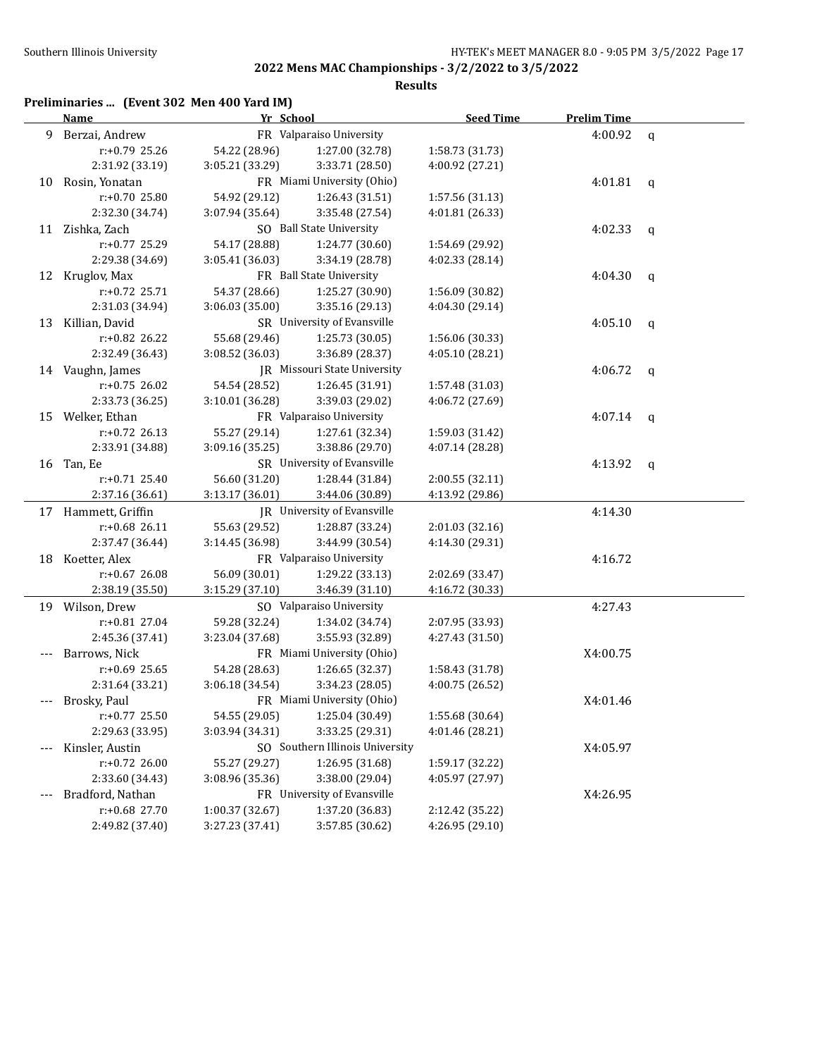**Results**

## **Preliminaries ... (Event 302 Men 400 Yard IM)**

|       | Name                | Yr School       |                                 | <b>Seed Time</b> | <b>Prelim Time</b> |             |
|-------|---------------------|-----------------|---------------------------------|------------------|--------------------|-------------|
| 9     | Berzai, Andrew      |                 | FR Valparaiso University        |                  | 4:00.92            | $\mathbf q$ |
|       | $r: +0.79$ 25.26    | 54.22 (28.96)   | 1:27.00 (32.78)                 | 1:58.73 (31.73)  |                    |             |
|       | 2:31.92 (33.19)     | 3:05.21 (33.29) | 3:33.71 (28.50)                 | 4:00.92 (27.21)  |                    |             |
| 10    | Rosin, Yonatan      |                 | FR Miami University (Ohio)      |                  | 4:01.81            | q           |
|       | r:+0.70 25.80       | 54.92 (29.12)   | 1:26.43 (31.51)                 | 1:57.56 (31.13)  |                    |             |
|       | 2:32.30 (34.74)     | 3:07.94 (35.64) | 3:35.48 (27.54)                 | 4:01.81(26.33)   |                    |             |
|       | 11 Zishka, Zach     |                 | SO Ball State University        |                  | 4:02.33            | q           |
|       | r:+0.77 25.29       | 54.17 (28.88)   | 1:24.77 (30.60)                 | 1:54.69 (29.92)  |                    |             |
|       | 2:29.38 (34.69)     | 3:05.41 (36.03) | 3:34.19 (28.78)                 | 4:02.33 (28.14)  |                    |             |
| 12    | Kruglov, Max        |                 | FR Ball State University        |                  | 4:04.30            | $\mathbf q$ |
|       | r:+0.72 25.71       | 54.37 (28.66)   | 1:25.27 (30.90)                 | 1:56.09 (30.82)  |                    |             |
|       | 2:31.03 (34.94)     | 3:06.03 (35.00) | 3:35.16 (29.13)                 | 4:04.30 (29.14)  |                    |             |
| 13    | Killian, David      |                 | SR University of Evansville     |                  | 4:05.10            | q           |
|       | r:+0.82 26.22       | 55.68 (29.46)   | 1:25.73 (30.05)                 | 1:56.06 (30.33)  |                    |             |
|       | 2:32.49 (36.43)     | 3:08.52 (36.03) | 3:36.89 (28.37)                 | 4:05.10 (28.21)  |                    |             |
|       | 14 Vaughn, James    |                 | JR Missouri State University    |                  | 4:06.72            | q           |
|       | $r: +0.75$ 26.02    | 54.54 (28.52)   | 1:26.45 (31.91)                 | 1:57.48 (31.03)  |                    |             |
|       | 2:33.73 (36.25)     | 3:10.01 (36.28) | 3:39.03 (29.02)                 | 4:06.72 (27.69)  |                    |             |
| 15    | Welker, Ethan       |                 | FR Valparaiso University        |                  | 4:07.14            | q           |
|       | $r: +0.72$ 26.13    | 55.27 (29.14)   | 1:27.61 (32.34)                 | 1:59.03 (31.42)  |                    |             |
|       | 2:33.91 (34.88)     | 3:09.16 (35.25) | 3:38.86 (29.70)                 | 4:07.14 (28.28)  |                    |             |
|       | 16 Tan, Ee          |                 | SR University of Evansville     |                  | 4:13.92            | q           |
|       | $r: +0.71$ 25.40    | 56.60 (31.20)   | 1:28.44 (31.84)                 | 2:00.55 (32.11)  |                    |             |
|       | 2:37.16 (36.61)     | 3:13.17 (36.01) | 3:44.06 (30.89)                 | 4:13.92 (29.86)  |                    |             |
|       | 17 Hammett, Griffin |                 | JR University of Evansville     |                  | 4:14.30            |             |
|       | r:+0.68 26.11       | 55.63 (29.52)   | 1:28.87 (33.24)                 | 2:01.03 (32.16)  |                    |             |
|       | 2:37.47 (36.44)     | 3:14.45 (36.98) | 3:44.99 (30.54)                 | 4:14.30 (29.31)  |                    |             |
| 18    | Koetter, Alex       |                 | FR Valparaiso University        |                  | 4:16.72            |             |
|       | $r: +0.67$ 26.08    | 56.09 (30.01)   | 1:29.22 (33.13)                 | 2:02.69 (33.47)  |                    |             |
|       | 2:38.19 (35.50)     | 3:15.29 (37.10) | 3:46.39 (31.10)                 | 4:16.72 (30.33)  |                    |             |
|       | 19 Wilson, Drew     |                 | SO Valparaiso University        |                  | 4:27.43            |             |
|       | r:+0.81 27.04       | 59.28 (32.24)   | 1:34.02 (34.74)                 | 2:07.95 (33.93)  |                    |             |
|       | 2:45.36 (37.41)     | 3:23.04 (37.68) | 3:55.93 (32.89)                 | 4:27.43 (31.50)  |                    |             |
|       | Barrows, Nick       |                 | FR Miami University (Ohio)      |                  | X4:00.75           |             |
|       | $r: +0.69$ 25.65    | 54.28 (28.63)   | 1:26.65 (32.37)                 | 1:58.43 (31.78)  |                    |             |
|       | 2:31.64 (33.21)     | 3:06.18 (34.54) | 3:34.23 (28.05)                 | 4:00.75 (26.52)  |                    |             |
| ---   | Brosky, Paul        |                 | FR Miami University (Ohio)      |                  | X4:01.46           |             |
|       | $r: +0.77$ 25.50    | 54.55 (29.05)   | 1:25.04 (30.49)                 | 1:55.68 (30.64)  |                    |             |
|       | 2:29.63 (33.95)     | 3:03.94 (34.31) | 3:33.25 (29.31)                 | 4:01.46 (28.21)  |                    |             |
|       | Kinsler, Austin     |                 | SO Southern Illinois University |                  | X4:05.97           |             |
|       | r:+0.72 26.00       | 55.27 (29.27)   | 1:26.95 (31.68)                 | 1:59.17 (32.22)  |                    |             |
|       | 2:33.60 (34.43)     | 3:08.96 (35.36) | 3:38.00 (29.04)                 | 4:05.97 (27.97)  |                    |             |
| $---$ | Bradford, Nathan    |                 | FR University of Evansville     |                  | X4:26.95           |             |
|       | r:+0.68 27.70       | 1:00.37 (32.67) | 1:37.20 (36.83)                 | 2:12.42 (35.22)  |                    |             |
|       | 2:49.82 (37.40)     | 3:27.23 (37.41) | 3:57.85 (30.62)                 | 4:26.95 (29.10)  |                    |             |
|       |                     |                 |                                 |                  |                    |             |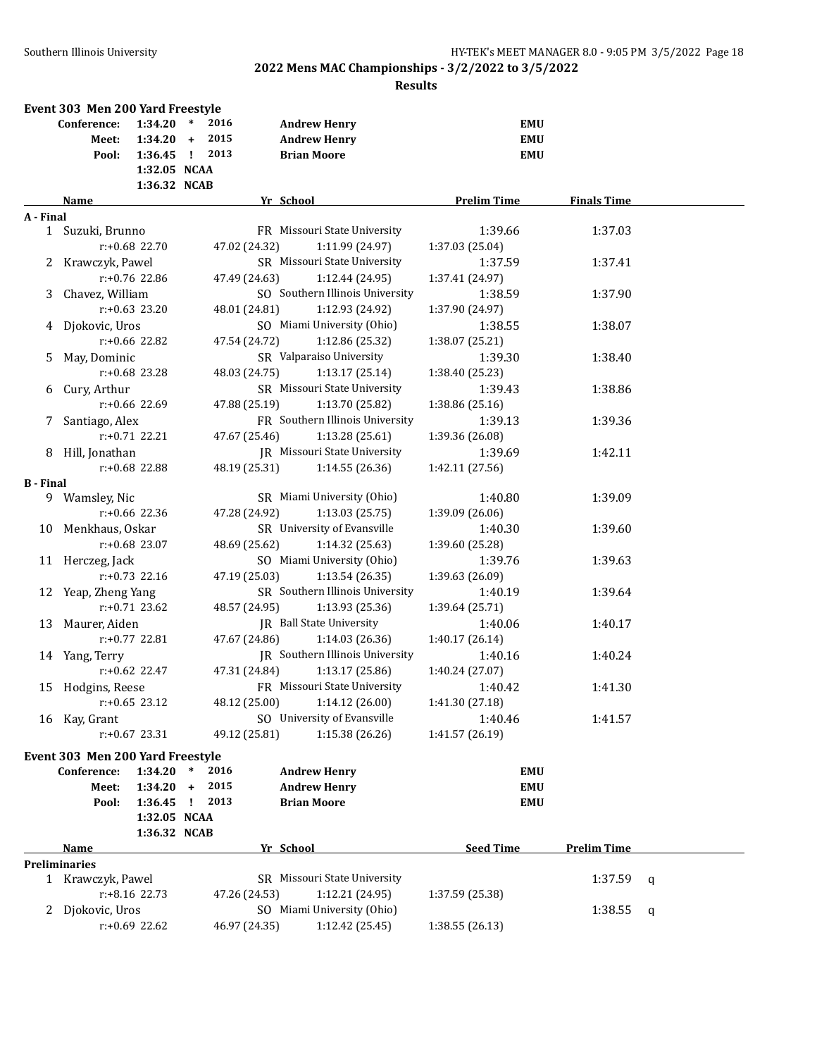|                  | Event 303 Men 200 Yard Freestyle |                                   |                                       |               |                                                                  |                                        |                    |   |
|------------------|----------------------------------|-----------------------------------|---------------------------------------|---------------|------------------------------------------------------------------|----------------------------------------|--------------------|---|
|                  | Conference:<br>Meet:<br>Pool:    | 1:34.20<br>1:34.20<br>$1:36.45$ ! | $\ast$<br>2016<br>2015<br>$+$<br>2013 |               | <b>Andrew Henry</b><br><b>Andrew Henry</b><br><b>Brian Moore</b> | <b>EMU</b><br><b>EMU</b><br><b>EMU</b> |                    |   |
|                  |                                  | 1:32.05 NCAA                      |                                       |               |                                                                  |                                        |                    |   |
|                  |                                  | 1:36.32 NCAB                      |                                       |               |                                                                  |                                        |                    |   |
|                  | Name                             |                                   |                                       |               | Yr School                                                        | <b>Prelim Time</b>                     | <b>Finals Time</b> |   |
| A - Final        |                                  |                                   |                                       |               |                                                                  |                                        |                    |   |
|                  | 1 Suzuki, Brunno                 |                                   |                                       |               | FR Missouri State University                                     | 1:39.66                                | 1:37.03            |   |
|                  |                                  | $r: +0.68$ 22.70                  |                                       | 47.02 (24.32) | 1:11.99 (24.97)                                                  | 1:37.03 (25.04)                        |                    |   |
|                  | 2 Krawczyk, Pawel                |                                   |                                       |               | SR Missouri State University                                     | 1:37.59                                | 1:37.41            |   |
|                  |                                  | $r: +0.76$ 22.86                  |                                       | 47.49 (24.63) | 1:12.44 (24.95)                                                  | 1:37.41 (24.97)                        |                    |   |
| 3                | Chavez, William                  |                                   |                                       |               | SO Southern Illinois University                                  | 1:38.59                                | 1:37.90            |   |
|                  |                                  | $r: +0.63$ 23.20                  |                                       | 48.01 (24.81) | 1:12.93 (24.92)                                                  | 1:37.90 (24.97)                        |                    |   |
|                  | 4 Djokovic, Uros                 |                                   |                                       |               | SO Miami University (Ohio)                                       | 1:38.55                                | 1:38.07            |   |
|                  |                                  | $r: +0.66$ 22.82                  |                                       | 47.54 (24.72) | 1:12.86 (25.32)                                                  | 1:38.07 (25.21)                        |                    |   |
| 5.               | May, Dominic                     |                                   |                                       |               | SR Valparaiso University                                         | 1:39.30                                | 1:38.40            |   |
|                  |                                  | $r: +0.68$ 23.28                  |                                       | 48.03 (24.75) | 1:13.17(25.14)                                                   | 1:38.40 (25.23)                        |                    |   |
| 6                | Cury, Arthur                     |                                   |                                       |               | SR Missouri State University                                     | 1:39.43                                | 1:38.86            |   |
|                  |                                  | $r: +0.66$ 22.69                  |                                       | 47.88 (25.19) | 1:13.70 (25.82)                                                  | 1:38.86 (25.16)                        |                    |   |
| 7                | Santiago, Alex                   |                                   |                                       |               | FR Southern Illinois University                                  | 1:39.13                                | 1:39.36            |   |
|                  |                                  | $r: +0.71$ 22.21                  |                                       | 47.67 (25.46) | 1:13.28 (25.61)                                                  | 1:39.36 (26.08)                        |                    |   |
| 8                | Hill, Jonathan                   |                                   |                                       |               | <b>IR</b> Missouri State University                              | 1:39.69                                | 1:42.11            |   |
|                  |                                  | r:+0.68 22.88                     |                                       | 48.19 (25.31) | 1:14.55 (26.36)                                                  | 1:42.11 (27.56)                        |                    |   |
| <b>B</b> - Final |                                  |                                   |                                       |               |                                                                  |                                        |                    |   |
|                  | 9 Wamsley, Nic                   |                                   |                                       |               | SR Miami University (Ohio)                                       | 1:40.80                                | 1:39.09            |   |
|                  |                                  | $r: +0.66$ 22.36                  |                                       | 47.28 (24.92) | 1:13.03 (25.75)                                                  | 1:39.09 (26.06)                        |                    |   |
|                  | 10 Menkhaus, Oskar               |                                   |                                       |               | SR University of Evansville                                      | 1:40.30                                | 1:39.60            |   |
|                  |                                  | r:+0.68 23.07                     |                                       | 48.69 (25.62) | 1:14.32 (25.63)                                                  | 1:39.60 (25.28)                        |                    |   |
|                  | 11 Herczeg, Jack                 |                                   |                                       |               | SO Miami University (Ohio)                                       | 1:39.76                                | 1:39.63            |   |
|                  |                                  | $r: +0.73$ 22.16                  |                                       | 47.19 (25.03) | 1:13.54 (26.35)                                                  | 1:39.63 (26.09)                        |                    |   |
|                  | 12 Yeap, Zheng Yang              |                                   |                                       |               | SR Southern Illinois University                                  | 1:40.19                                | 1:39.64            |   |
|                  |                                  | $r: +0.71$ 23.62                  |                                       | 48.57 (24.95) | 1:13.93 (25.36)                                                  | 1:39.64 (25.71)                        |                    |   |
|                  | 13 Maurer, Aiden                 |                                   |                                       |               | JR Ball State University                                         | 1:40.06                                | 1:40.17            |   |
|                  |                                  | $r: +0.77$ 22.81                  |                                       | 47.67 (24.86) | 1:14.03 (26.36)                                                  | 1:40.17 (26.14)                        |                    |   |
|                  | 14 Yang, Terry                   |                                   |                                       |               | JR Southern Illinois University                                  | 1:40.16                                | 1:40.24            |   |
|                  |                                  | $r: +0.62$ 22.47                  |                                       | 47.31 (24.84) | 1:13.17 (25.86)                                                  | 1:40.24 (27.07)                        |                    |   |
|                  | 15 Hodgins, Reese                |                                   |                                       |               | FR Missouri State University                                     | 1:40.42                                | 1:41.30            |   |
|                  |                                  | $r: +0.65$ 23.12                  |                                       | 48.12 (25.00) | 1:14.12 (26.00)                                                  | 1:41.30 (27.18)                        |                    |   |
|                  | 16 Kay, Grant                    |                                   |                                       |               | SO University of Evansville                                      | 1:40.46                                | 1:41.57            |   |
|                  |                                  | $r: +0.67$ 23.31                  |                                       | 49.12 (25.81) | 1:15.38 (26.26)                                                  | 1:41.57 (26.19)                        |                    |   |
|                  | Event 303 Men 200 Yard Freestyle |                                   |                                       |               |                                                                  |                                        |                    |   |
|                  | Conference:                      | 1:34.20                           | 2016<br>$\ast$                        |               | <b>Andrew Henry</b>                                              | EMU                                    |                    |   |
|                  | Meet:                            | 1:34.20                           | 2015<br>$\ddot{}$                     |               | <b>Andrew Henry</b>                                              | <b>EMU</b>                             |                    |   |
|                  | Pool:                            | 1:36.45                           | 2013<br>$\mathbf{I}$                  |               | <b>Brian Moore</b>                                               | <b>EMU</b>                             |                    |   |
|                  |                                  | 1:32.05 NCAA                      |                                       |               |                                                                  |                                        |                    |   |
|                  |                                  | 1:36.32 NCAB                      |                                       |               |                                                                  |                                        |                    |   |
|                  | Name                             |                                   |                                       |               | Yr School                                                        | <b>Seed Time</b>                       | <b>Prelim Time</b> |   |
|                  | <b>Preliminaries</b>             |                                   |                                       |               |                                                                  |                                        |                    |   |
|                  | 1 Krawczyk, Pawel                |                                   |                                       |               | SR Missouri State University                                     |                                        | 1:37.59            | q |
|                  |                                  | $r: +8.16$ 22.73                  |                                       | 47.26 (24.53) | 1:12.21 (24.95)                                                  | 1:37.59 (25.38)                        |                    |   |
| 2                | Djokovic, Uros                   |                                   |                                       |               | SO Miami University (Ohio)                                       |                                        | 1:38.55            | q |
|                  |                                  | $r: +0.69$ 22.62                  |                                       | 46.97 (24.35) | 1:12.42 (25.45)                                                  | 1:38.55 (26.13)                        |                    |   |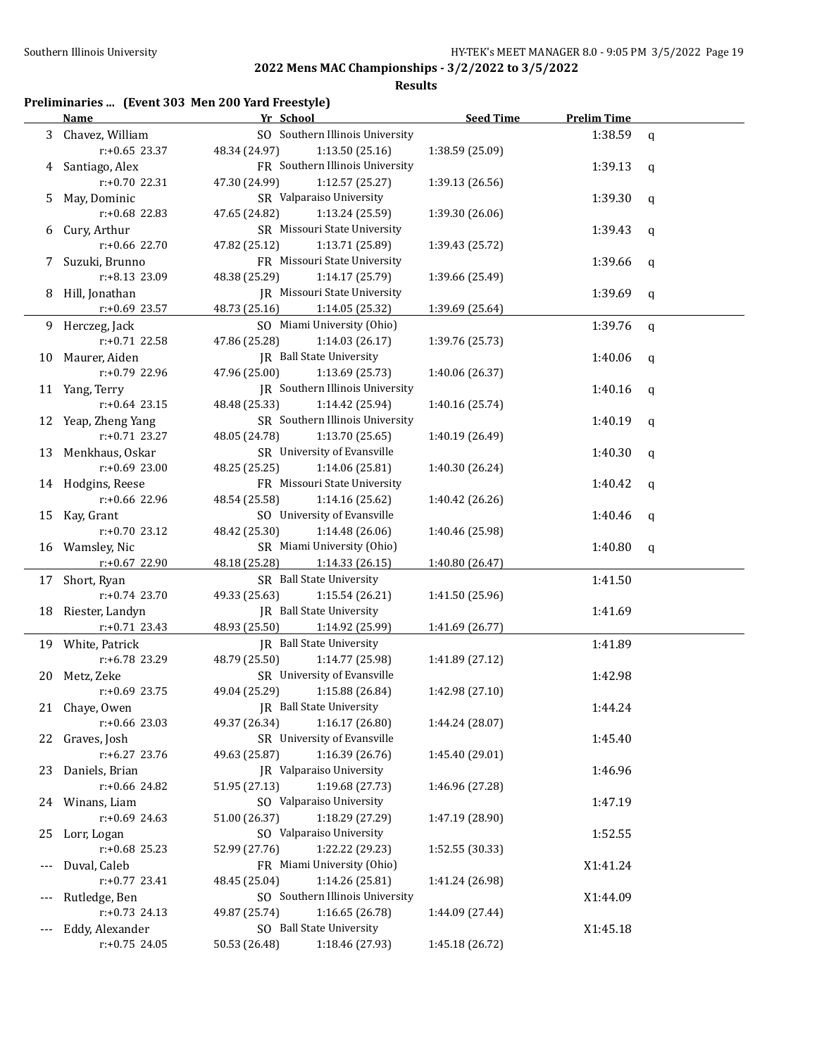**Results**

## **Preliminaries ... (Event 303 Men 200 Yard Freestyle)**

|     | <b>Name</b>         | Yr School                                                       | <b>Seed Time</b> | <b>Prelim Time</b> |             |
|-----|---------------------|-----------------------------------------------------------------|------------------|--------------------|-------------|
| 3   | Chavez, William     | SO Southern Illinois University                                 |                  | 1:38.59            | $\mathbf q$ |
|     | $r: +0.65$ 23.37    | 48.34 (24.97)<br>1:13.50(25.16)                                 | 1:38.59 (25.09)  |                    |             |
| 4   | Santiago, Alex      | FR Southern Illinois University                                 |                  | 1:39.13            | q           |
|     | r:+0.70 22.31       | 47.30 (24.99)<br>1:12.57 (25.27)                                | 1:39.13 (26.56)  |                    |             |
| 5   | May, Dominic        | SR Valparaiso University                                        |                  | 1:39.30            | q           |
|     | r:+0.68 22.83       | 47.65 (24.82)<br>1:13.24 (25.59)                                | 1:39.30 (26.06)  |                    |             |
| 6   | Cury, Arthur        | SR Missouri State University                                    |                  | 1:39.43            | q           |
|     | r:+0.66 22.70       | 47.82 (25.12)<br>1:13.71 (25.89)                                | 1:39.43 (25.72)  |                    |             |
| 7   | Suzuki, Brunno      | FR Missouri State University                                    |                  | 1:39.66            | q           |
|     | r:+8.13 23.09       | 48.38 (25.29)<br>1:14.17 (25.79)                                | 1:39.66 (25.49)  |                    |             |
| 8   | Hill, Jonathan      | <b>IR</b> Missouri State University                             |                  | 1:39.69            | $\mathbf q$ |
|     | r:+0.69 23.57       | 48.73 (25.16)<br>1:14.05 (25.32)                                | 1:39.69 (25.64)  |                    |             |
|     | 9 Herczeg, Jack     | SO Miami University (Ohio)                                      |                  | 1:39.76            | $\mathbf q$ |
|     | r:+0.71 22.58       | 47.86 (25.28)<br>1:14.03(26.17)                                 | 1:39.76 (25.73)  |                    |             |
| 10  | Maurer, Aiden       | <b>IR</b> Ball State University                                 |                  | 1:40.06            | q           |
|     | r:+0.79 22.96       | 47.96 (25.00)<br>1:13.69 (25.73)                                | 1:40.06 (26.37)  |                    |             |
|     | 11 Yang, Terry      | JR Southern Illinois University                                 |                  | 1:40.16            | q           |
|     | $r: +0.64$ 23.15    | 48.48 (25.33)<br>1:14.42 (25.94)                                | 1:40.16 (25.74)  |                    |             |
|     | 12 Yeap, Zheng Yang | SR Southern Illinois University                                 |                  | 1:40.19            |             |
|     | $r: +0.71$ 23.27    |                                                                 |                  |                    | q           |
|     |                     | 48.05 (24.78)<br>1:13.70 (25.65)<br>SR University of Evansville | 1:40.19 (26.49)  |                    |             |
| 13  | Menkhaus, Oskar     |                                                                 |                  | 1:40.30            | $\mathbf q$ |
|     | $r: +0.69$ 23.00    | 48.25 (25.25)<br>1:14.06 (25.81)                                | 1:40.30 (26.24)  |                    |             |
|     | 14 Hodgins, Reese   | FR Missouri State University                                    |                  | 1:40.42            | q           |
|     | r:+0.66 22.96       | 48.54 (25.58)<br>1:14.16 (25.62)                                | 1:40.42 (26.26)  |                    |             |
| 15  | Kay, Grant          | SO University of Evansville                                     |                  | 1:40.46            | $\mathbf q$ |
|     | r:+0.70 23.12       | 48.42 (25.30)<br>1:14.48 (26.06)                                | 1:40.46 (25.98)  |                    |             |
|     | 16 Wamsley, Nic     | SR Miami University (Ohio)                                      |                  | 1:40.80            | $\mathbf q$ |
|     | r:+0.67 22.90       | 48.18 (25.28)<br>1:14.33 (26.15)                                | 1:40.80 (26.47)  |                    |             |
| 17  | Short, Ryan         | SR Ball State University                                        |                  | 1:41.50            |             |
|     | $r: +0.74$ 23.70    | 49.33 (25.63)<br>1:15.54 (26.21)                                | 1:41.50 (25.96)  |                    |             |
| 18  | Riester, Landyn     | JR Ball State University                                        |                  | 1:41.69            |             |
|     | $r: +0.71$ 23.43    | 48.93 (25.50)<br>1:14.92 (25.99)                                | 1:41.69 (26.77)  |                    |             |
|     | 19 White, Patrick   | JR Ball State University                                        |                  | 1:41.89            |             |
|     | r:+6.78 23.29       | 48.79 (25.50)<br>1:14.77 (25.98)                                | 1:41.89 (27.12)  |                    |             |
|     | 20 Metz, Zeke       | SR University of Evansville                                     |                  | 1:42.98            |             |
|     | r:+0.69 23.75       | 49.04 (25.29)<br>1:15.88 (26.84)                                | 1:42.98 (27.10)  |                    |             |
|     | 21 Chaye, Owen      | JR Ball State University                                        |                  | 1:44.24            |             |
|     | $r+0.66$ 23.03      | 1:16.17 (26.80)<br>49.37 (26.34)                                | 1:44.24 (28.07)  |                    |             |
| 22  | Graves, Josh        | SR University of Evansville                                     |                  | 1:45.40            |             |
|     | r:+6.27 23.76       | 1:16.39 (26.76)<br>49.63 (25.87)                                | 1:45.40 (29.01)  |                    |             |
| 23  | Daniels, Brian      | JR Valparaiso University                                        |                  | 1:46.96            |             |
|     | r:+0.66 24.82       | 1:19.68 (27.73)<br>51.95 (27.13)                                | 1:46.96 (27.28)  |                    |             |
|     | 24 Winans, Liam     | SO Valparaiso University                                        |                  | 1:47.19            |             |
|     | r:+0.69 24.63       | 51.00 (26.37)<br>1:18.29 (27.29)                                | 1:47.19 (28.90)  |                    |             |
| 25  | Lorr, Logan         | SO Valparaiso University                                        |                  | 1:52.55            |             |
|     | $r: +0.68$ 25.23    | 52.99 (27.76)<br>1:22.22 (29.23)                                | 1:52.55 (30.33)  |                    |             |
| --- | Duval, Caleb        | FR Miami University (Ohio)                                      |                  | X1:41.24           |             |
|     | $r: +0.77$ 23.41    | 1:14.26 (25.81)<br>48.45 (25.04)                                | 1:41.24 (26.98)  |                    |             |
| --- | Rutledge, Ben       | SO Southern Illinois University                                 |                  | X1:44.09           |             |
|     | $r: +0.73$ 24.13    | 1:16.65 (26.78)<br>49.87 (25.74)                                | 1:44.09 (27.44)  |                    |             |
| --- | Eddy, Alexander     | SO Ball State University                                        |                  | X1:45.18           |             |
|     | $r: +0.75$ 24.05    | 50.53 (26.48)<br>1:18.46 (27.93)                                | 1:45.18 (26.72)  |                    |             |
|     |                     |                                                                 |                  |                    |             |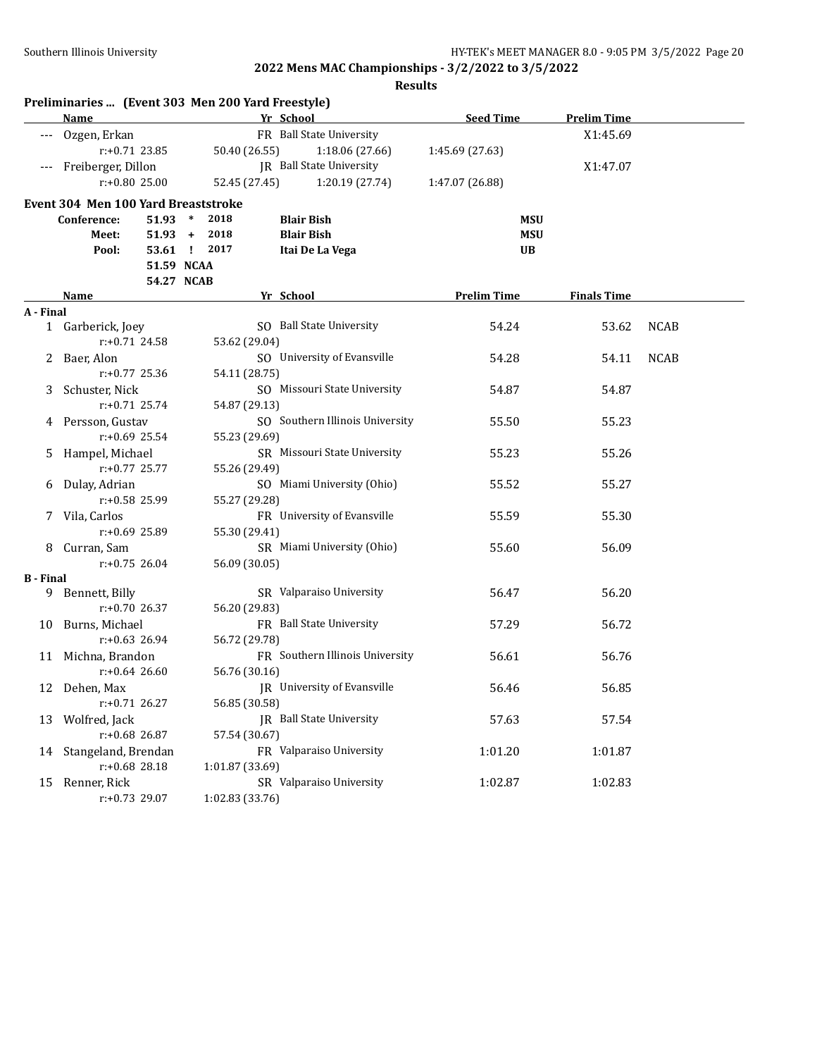|                  | Preliminaries  (Event 303 Men 200 Yard Freestyle) |                 |                                 |                    |                    |             |
|------------------|---------------------------------------------------|-----------------|---------------------------------|--------------------|--------------------|-------------|
|                  | Name                                              |                 | Yr School                       | <b>Seed Time</b>   | <b>Prelim Time</b> |             |
|                  | Ozgen, Erkan                                      |                 | FR Ball State University        |                    | X1:45.69           |             |
|                  | $r: +0.71$ 23.85                                  | 50.40 (26.55)   | 1:18.06 (27.66)                 | 1:45.69 (27.63)    |                    |             |
|                  | Freiberger, Dillon                                |                 | JR Ball State University        |                    | X1:47.07           |             |
|                  | $r: +0.80$ 25.00                                  | 52.45 (27.45)   | 1:20.19 (27.74)                 | 1:47.07 (26.88)    |                    |             |
|                  | Event 304 Men 100 Yard Breaststroke               |                 |                                 |                    |                    |             |
|                  | $51.93$ *<br>Conference:                          | 2018            | <b>Blair Bish</b>               | MSU                |                    |             |
|                  | Meet:                                             | $51.93 + 2018$  | <b>Blair Bish</b>               | <b>MSU</b>         |                    |             |
|                  | Pool:                                             | 53.61 ! 2017    | Itai De La Vega                 | <b>UB</b>          |                    |             |
|                  |                                                   | 51.59 NCAA      |                                 |                    |                    |             |
|                  |                                                   | 54.27 NCAB      |                                 |                    |                    |             |
|                  | <b>Name</b>                                       |                 | Yr School                       | <b>Prelim Time</b> | <b>Finals Time</b> |             |
| A - Final        |                                                   |                 |                                 |                    |                    |             |
|                  | 1 Garberick, Joey                                 |                 | SO Ball State University        | 54.24              | 53.62              | <b>NCAB</b> |
|                  | $r: +0.71$ 24.58                                  | 53.62 (29.04)   |                                 |                    |                    |             |
|                  | 2 Baer, Alon                                      |                 | SO University of Evansville     | 54.28              | 54.11              | <b>NCAB</b> |
|                  | $r: +0.77$ 25.36                                  | 54.11 (28.75)   |                                 |                    |                    |             |
| 3                | Schuster, Nick                                    |                 | SO Missouri State University    | 54.87              | 54.87              |             |
|                  | $r: +0.71$ 25.74                                  | 54.87 (29.13)   |                                 |                    |                    |             |
|                  | 4 Persson, Gustav                                 |                 | SO Southern Illinois University | 55.50              | 55.23              |             |
|                  | r:+0.69 25.54                                     | 55.23 (29.69)   |                                 |                    |                    |             |
| 5.               | Hampel, Michael                                   |                 | SR Missouri State University    | 55.23              | 55.26              |             |
|                  | r:+0.77 25.77                                     | 55.26 (29.49)   |                                 |                    |                    |             |
| 6                | Dulay, Adrian                                     |                 | SO Miami University (Ohio)      | 55.52              | 55.27              |             |
|                  | r:+0.58 25.99                                     | 55.27 (29.28)   |                                 |                    |                    |             |
|                  | 7 Vila, Carlos                                    |                 | FR University of Evansville     | 55.59              | 55.30              |             |
|                  | $r: +0.69$ 25.89                                  | 55.30 (29.41)   |                                 |                    |                    |             |
| 8.               | Curran, Sam                                       |                 | SR Miami University (Ohio)      | 55.60              | 56.09              |             |
|                  | $r: +0.75$ 26.04                                  | 56.09 (30.05)   |                                 |                    |                    |             |
| <b>B</b> - Final |                                                   |                 |                                 |                    |                    |             |
| 9.               | Bennett, Billy                                    |                 | SR Valparaiso University        | 56.47              | 56.20              |             |
|                  | $r: +0.70$ 26.37                                  | 56.20 (29.83)   |                                 |                    |                    |             |
|                  | 10 Burns, Michael                                 |                 | FR Ball State University        | 57.29              | 56.72              |             |
|                  | $r: +0.63$ 26.94                                  | 56.72 (29.78)   |                                 |                    |                    |             |
|                  | 11 Michna, Brandon                                |                 | FR Southern Illinois University | 56.61              | 56.76              |             |
|                  | $r: +0.64$ 26.60                                  | 56.76 (30.16)   |                                 |                    |                    |             |
|                  | 12 Dehen, Max                                     |                 | JR University of Evansville     | 56.46              | 56.85              |             |
|                  | $r: +0.71$ 26.27                                  | 56.85 (30.58)   |                                 |                    |                    |             |
| 13               | Wolfred, Jack                                     |                 | JR Ball State University        | 57.63              | 57.54              |             |
|                  | r:+0.68 26.87                                     | 57.54 (30.67)   |                                 |                    |                    |             |
|                  | 14 Stangeland, Brendan                            |                 | FR Valparaiso University        | 1:01.20            | 1:01.87            |             |
|                  | r:+0.68 28.18                                     | 1:01.87 (33.69) |                                 |                    |                    |             |
| 15               | Renner, Rick                                      |                 | SR Valparaiso University        | 1:02.87            | 1:02.83            |             |
|                  | r:+0.73 29.07                                     | 1:02.83 (33.76) |                                 |                    |                    |             |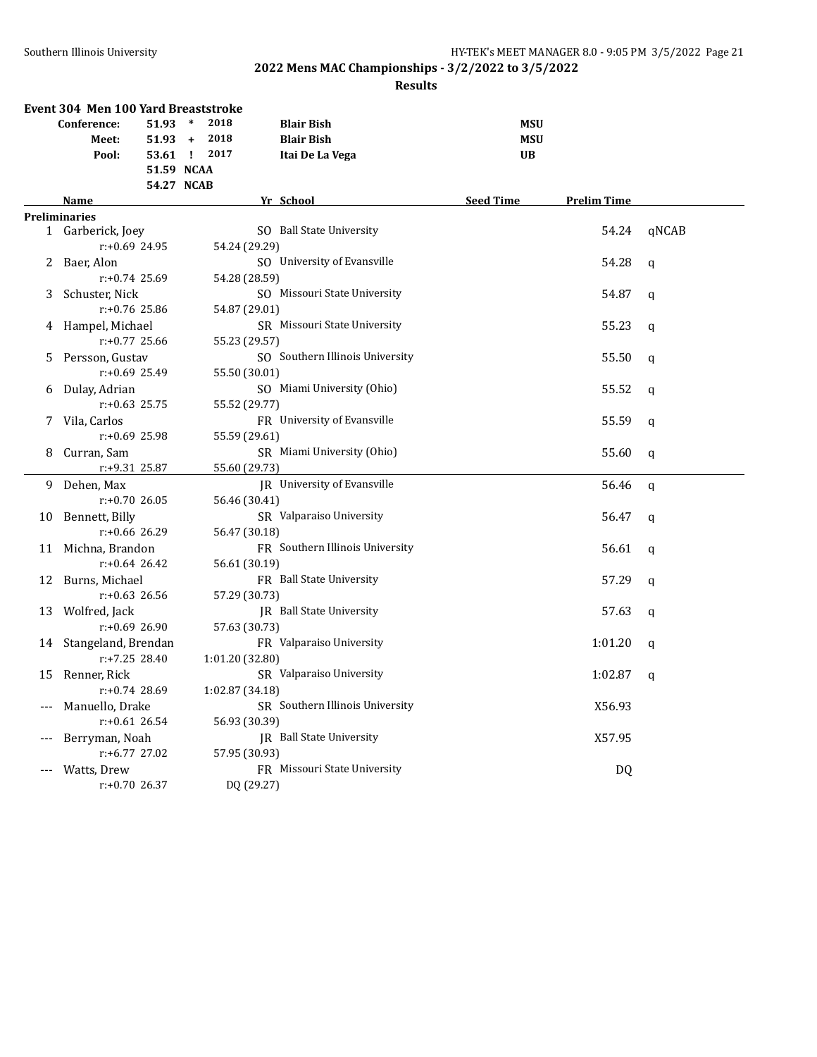|       | Event 304 Men 100 Yard Breaststroke |              |        |                 |                                 |                  |                    |              |
|-------|-------------------------------------|--------------|--------|-----------------|---------------------------------|------------------|--------------------|--------------|
|       | Conference:                         | 51.93        | $\ast$ | 2018            | <b>Blair Bish</b>               | <b>MSU</b>       |                    |              |
|       | Meet:                               | $51.93 +$    |        | 2018            | <b>Blair Bish</b>               | <b>MSU</b>       |                    |              |
|       | Pool:                               | 53.61 ! 2017 |        |                 | Itai De La Vega                 | <b>UB</b>        |                    |              |
|       |                                     | 51.59 NCAA   |        |                 |                                 |                  |                    |              |
|       |                                     | 54.27 NCAB   |        |                 |                                 |                  |                    |              |
|       | <b>Name</b>                         |              |        |                 | Yr School                       | <b>Seed Time</b> | <b>Prelim Time</b> |              |
|       | <b>Preliminaries</b>                |              |        |                 |                                 |                  |                    |              |
|       | 1 Garberick, Joey                   |              |        |                 | SO Ball State University        |                  | 54.24              | qNCAB        |
|       | $r: +0.69$ 24.95                    |              |        | 54.24 (29.29)   |                                 |                  |                    |              |
| 2     | Baer, Alon                          |              |        |                 | SO University of Evansville     |                  | 54.28              | q            |
|       | $r: +0.74$ 25.69                    |              |        | 54.28 (28.59)   |                                 |                  |                    |              |
| 3     | Schuster, Nick                      |              |        |                 | SO Missouri State University    |                  | 54.87              | $\mathsf{q}$ |
|       | $r: +0.76$ 25.86                    |              |        | 54.87 (29.01)   |                                 |                  |                    |              |
| 4     | Hampel, Michael                     |              |        |                 | SR Missouri State University    |                  | 55.23              | $\mathbf{q}$ |
|       | $r: +0.77$ 25.66                    |              |        | 55.23 (29.57)   |                                 |                  |                    |              |
| 5     | Persson, Gustav                     |              |        |                 | SO Southern Illinois University |                  | 55.50              | $\mathsf{q}$ |
|       | $r: +0.69$ 25.49                    |              |        | 55.50 (30.01)   |                                 |                  |                    |              |
| 6     | Dulay, Adrian                       |              |        |                 | SO Miami University (Ohio)      |                  | 55.52              | q            |
|       | $r: +0.63$ 25.75                    |              |        | 55.52 (29.77)   |                                 |                  |                    |              |
| 7     | Vila, Carlos                        |              |        |                 | FR University of Evansville     |                  | 55.59              | q            |
|       | $r: +0.69$ 25.98                    |              |        | 55.59 (29.61)   |                                 |                  |                    |              |
| 8     | Curran, Sam                         |              |        |                 | SR Miami University (Ohio)      |                  | 55.60              | $\mathbf q$  |
|       | r:+9.31 25.87                       |              |        | 55.60 (29.73)   |                                 |                  |                    |              |
| 9     | Dehen, Max                          |              |        |                 | JR University of Evansville     |                  | 56.46              | $\mathbf q$  |
|       | $r: +0.70$ 26.05                    |              |        | 56.46 (30.41)   |                                 |                  |                    |              |
| 10    | Bennett, Billy                      |              |        |                 | SR Valparaiso University        |                  | 56.47              | $\mathbf q$  |
|       | $r: +0.66$ 26.29                    |              |        | 56.47 (30.18)   |                                 |                  |                    |              |
| 11    | Michna, Brandon                     |              |        |                 | FR Southern Illinois University |                  | 56.61              | $\mathsf{q}$ |
|       | $r: +0.64$ 26.42                    |              |        | 56.61 (30.19)   |                                 |                  |                    |              |
| 12    | Burns, Michael                      |              |        |                 | FR Ball State University        |                  | 57.29              | q            |
|       | $r: +0.63$ 26.56                    |              |        | 57.29 (30.73)   |                                 |                  |                    |              |
| 13    | Wolfred, Jack                       |              |        |                 | JR Ball State University        |                  | 57.63              | q            |
|       | $r: +0.69$ 26.90                    |              |        | 57.63 (30.73)   |                                 |                  |                    |              |
| 14    | Stangeland, Brendan                 |              |        |                 | FR Valparaiso University        |                  | 1:01.20            | q            |
|       | $r: +7.25$ 28.40                    |              |        | 1:01.20 (32.80) |                                 |                  |                    |              |
| 15    | Renner, Rick                        |              |        |                 | SR Valparaiso University        |                  | 1:02.87            | q            |
|       | r:+0.74 28.69                       |              |        | 1:02.87 (34.18) |                                 |                  |                    |              |
| $---$ | Manuello, Drake                     |              |        |                 | SR Southern Illinois University |                  | X56.93             |              |
|       | $r: +0.61$ 26.54                    |              |        | 56.93 (30.39)   |                                 |                  |                    |              |
| $---$ | Berryman, Noah                      |              |        |                 | JR Ball State University        |                  | X57.95             |              |
|       | $r: +6.77$ 27.02                    |              |        | 57.95 (30.93)   |                                 |                  |                    |              |
|       | Watts, Drew                         |              |        |                 | FR Missouri State University    |                  | <b>DQ</b>          |              |
|       | $r: +0.70$ 26.37                    |              |        | DQ (29.27)      |                                 |                  |                    |              |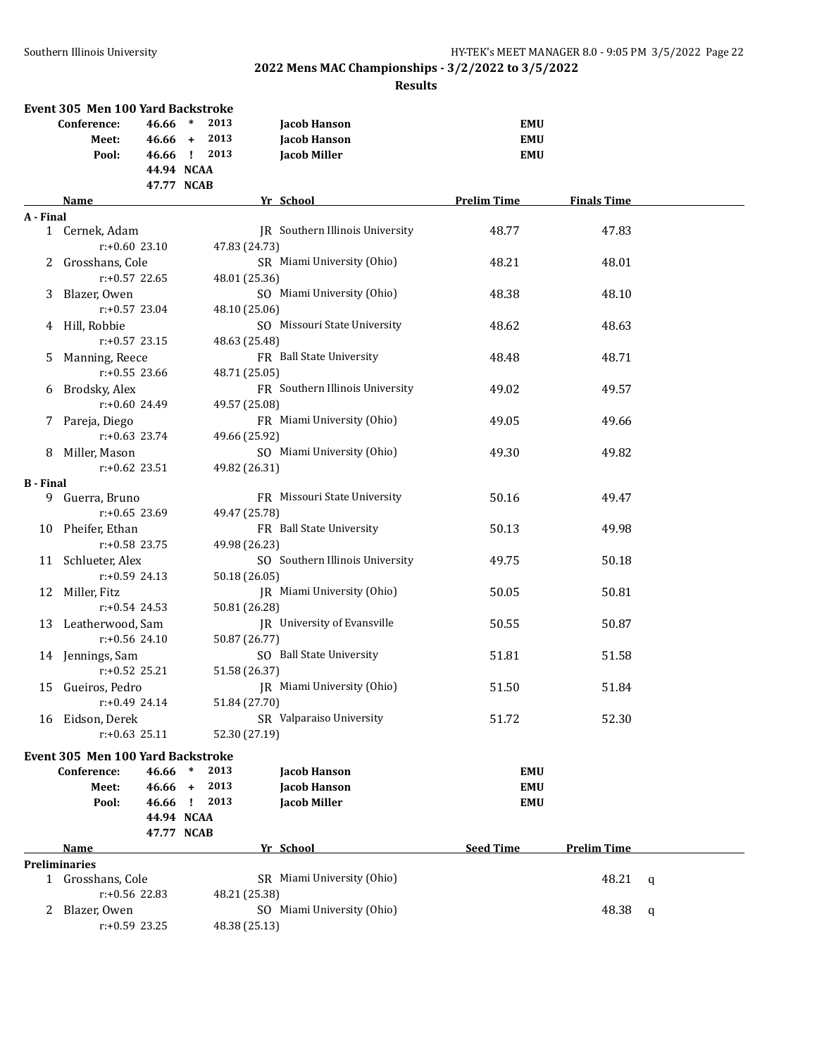|                  | Event 305 Men 100 Yard Backstroke |            |        |               |                                 |                    |                    |   |
|------------------|-----------------------------------|------------|--------|---------------|---------------------------------|--------------------|--------------------|---|
|                  | Conference:                       | 46.66      | $\ast$ | 2013          | <b>Jacob Hanson</b>             | <b>EMU</b>         |                    |   |
|                  | Meet:                             | $46.66 +$  |        | 2013          | <b>Jacob Hanson</b>             | <b>EMU</b>         |                    |   |
|                  | Pool:                             | 46.66 !    |        | 2013          | <b>Jacob Miller</b>             | <b>EMU</b>         |                    |   |
|                  |                                   | 44.94 NCAA |        |               |                                 |                    |                    |   |
|                  |                                   | 47.77 NCAB |        |               |                                 |                    |                    |   |
|                  | Name                              |            |        |               | Yr School                       | <b>Prelim Time</b> | <b>Finals Time</b> |   |
| A - Final        |                                   |            |        |               |                                 |                    |                    |   |
|                  | 1 Cernek, Adam                    |            |        |               | JR Southern Illinois University | 48.77              | 47.83              |   |
|                  | $r: +0.60$ 23.10                  |            |        | 47.83 (24.73) |                                 |                    |                    |   |
| $\mathbf{Z}$     | Grosshans, Cole                   |            |        |               | SR Miami University (Ohio)      | 48.21              | 48.01              |   |
|                  | $r: +0.57$ 22.65                  |            |        | 48.01 (25.36) |                                 |                    |                    |   |
| 3                | Blazer, Owen                      |            |        |               | SO Miami University (Ohio)      | 48.38              | 48.10              |   |
|                  | $r: +0.57$ 23.04                  |            |        | 48.10 (25.06) |                                 |                    |                    |   |
| 4                | Hill, Robbie                      |            |        |               | SO Missouri State University    | 48.62              | 48.63              |   |
|                  | $r: +0.57$ 23.15                  |            |        | 48.63 (25.48) |                                 |                    |                    |   |
| 5.               | Manning, Reece                    |            |        |               | FR Ball State University        | 48.48              | 48.71              |   |
|                  | $r: +0.55$ 23.66                  |            |        | 48.71 (25.05) |                                 |                    |                    |   |
| 6                | Brodsky, Alex                     |            |        |               | FR Southern Illinois University | 49.02              | 49.57              |   |
|                  | $r: +0.60$ 24.49                  |            |        | 49.57 (25.08) |                                 |                    |                    |   |
| 7                | Pareja, Diego                     |            |        |               | FR Miami University (Ohio)      | 49.05              | 49.66              |   |
|                  | $r: +0.63$ 23.74                  |            |        | 49.66 (25.92) |                                 |                    |                    |   |
| 8                | Miller, Mason                     |            |        |               | SO Miami University (Ohio)      | 49.30              | 49.82              |   |
|                  | $r: +0.62$ 23.51                  |            |        | 49.82 (26.31) |                                 |                    |                    |   |
| <b>B</b> - Final |                                   |            |        |               |                                 |                    |                    |   |
|                  | 9 Guerra, Bruno                   |            |        |               | FR Missouri State University    | 50.16              | 49.47              |   |
|                  | $r: +0.65$ 23.69                  |            |        | 49.47 (25.78) |                                 |                    |                    |   |
| 10               | Pheifer, Ethan                    |            |        |               | FR Ball State University        | 50.13              | 49.98              |   |
|                  | $r: +0.58$ 23.75                  |            |        | 49.98 (26.23) |                                 |                    |                    |   |
| 11               | Schlueter, Alex                   |            |        |               | SO Southern Illinois University | 49.75              | 50.18              |   |
|                  | $r: +0.59$ 24.13                  |            |        | 50.18 (26.05) |                                 |                    |                    |   |
| 12               | Miller, Fitz                      |            |        |               | JR Miami University (Ohio)      | 50.05              | 50.81              |   |
|                  | $r: +0.54$ 24.53                  |            |        | 50.81 (26.28) |                                 |                    |                    |   |
|                  | 13 Leatherwood, Sam               |            |        |               | JR University of Evansville     | 50.55              | 50.87              |   |
|                  | $r: +0.56$ 24.10                  |            |        | 50.87 (26.77) |                                 |                    |                    |   |
|                  | 14 Jennings, Sam                  |            |        |               | SO Ball State University        | 51.81              | 51.58              |   |
|                  | $r: +0.52$ 25.21                  |            |        | 51.58 (26.37) |                                 |                    |                    |   |
|                  | 15 Gueiros, Pedro                 |            |        |               | JR Miami University (Ohio)      | 51.50              | 51.84              |   |
|                  | $r: +0.49$ 24.14                  |            |        | 51.84 (27.70) |                                 |                    |                    |   |
| 16               | Eidson, Derek                     |            |        |               | SR Valparaiso University        | 51.72              | 52.30              |   |
|                  | $r: +0.63$ 25.11                  |            |        | 52.30 (27.19) |                                 |                    |                    |   |
|                  | Event 305 Men 100 Yard Backstroke |            |        |               |                                 |                    |                    |   |
|                  | Conference:                       | 46.66      | $\ast$ | 2013          | Jacob Hanson                    | <b>EMU</b>         |                    |   |
|                  | Meet:                             | $46.66 +$  |        | 2013          | <b>Jacob Hanson</b>             | <b>EMU</b>         |                    |   |
|                  | Pool:                             | 46.66 !    |        | 2013          | <b>Jacob Miller</b>             | <b>EMU</b>         |                    |   |
|                  |                                   | 44.94 NCAA |        |               |                                 |                    |                    |   |
|                  |                                   | 47.77 NCAB |        |               |                                 |                    |                    |   |
|                  | Name                              |            |        |               | Yr School                       | <b>Seed Time</b>   | <b>Prelim Time</b> |   |
|                  | <b>Preliminaries</b>              |            |        |               |                                 |                    |                    |   |
|                  | 1 Grosshans, Cole                 |            |        |               | SR Miami University (Ohio)      |                    | 48.21              | q |
|                  | $r: +0.56$ 22.83                  |            |        | 48.21 (25.38) | SO Miami University (Ohio)      |                    |                    |   |
| 2                | Blazer, Owen<br>$r: +0.59$ 23.25  |            |        | 48.38 (25.13) |                                 |                    | 48.38              | q |
|                  |                                   |            |        |               |                                 |                    |                    |   |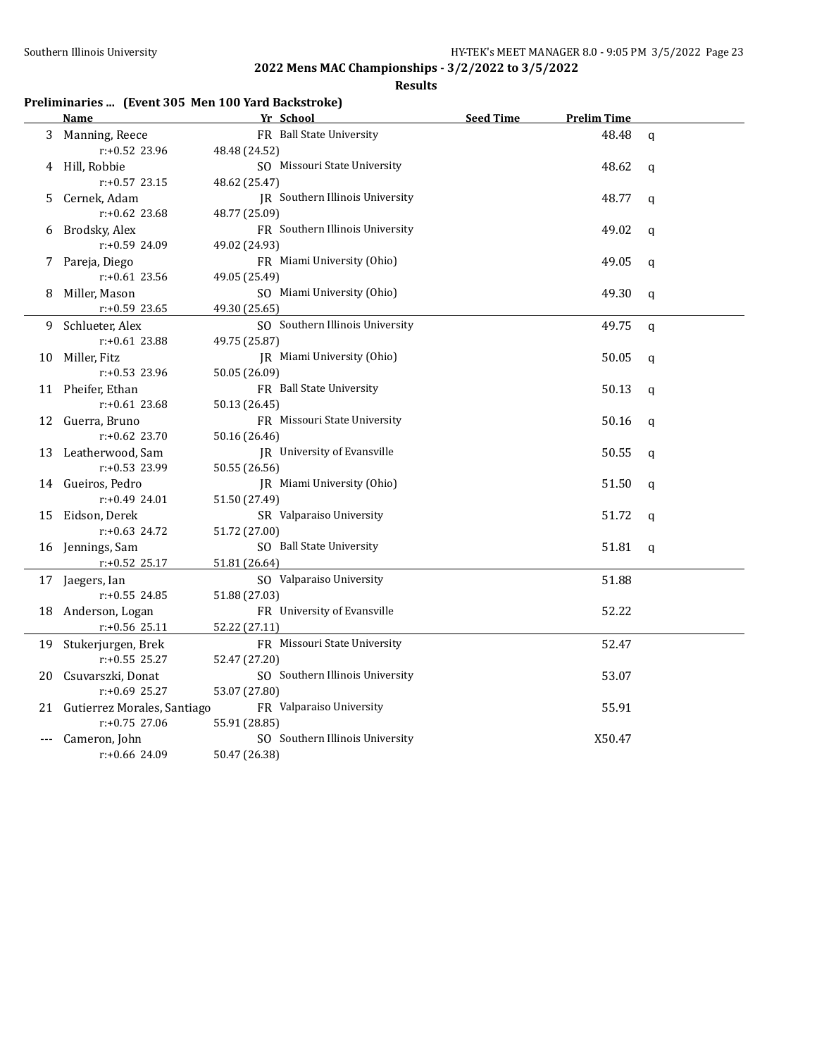#### **Results**

## **Preliminaries ... (Event 305 Men 100 Yard Backstroke)**

|    | Name                           | Yr School                              | <b>Seed Time</b> | <b>Prelim Time</b> |              |
|----|--------------------------------|----------------------------------------|------------------|--------------------|--------------|
| 3  | Manning, Reece                 | FR Ball State University               |                  | 48.48              | $\mathbf q$  |
|    | $r: +0.52$ 23.96               | 48.48 (24.52)                          |                  |                    |              |
|    | 4 Hill, Robbie                 | SO Missouri State University           |                  | 48.62              | $\mathbf{q}$ |
|    | $r: +0.57$ 23.15               | 48.62 (25.47)                          |                  |                    |              |
| 5. | Cernek, Adam                   | <b>IR</b> Southern Illinois University |                  | 48.77              | $\mathbf{q}$ |
|    | $r: +0.62$ 23.68               | 48.77 (25.09)                          |                  |                    |              |
| 6  | Brodsky, Alex                  | FR Southern Illinois University        |                  | 49.02              | $\mathbf{q}$ |
|    | r:+0.59 24.09                  | 49.02 (24.93)                          |                  |                    |              |
|    | 7 Pareja, Diego                | FR Miami University (Ohio)             |                  | 49.05              | $\mathbf q$  |
|    | $r: +0.61$ 23.56               | 49.05 (25.49)                          |                  |                    |              |
| 8  | Miller, Mason                  | SO Miami University (Ohio)             |                  | 49.30              | $\mathbf q$  |
|    | r:+0.59 23.65                  | 49.30 (25.65)                          |                  |                    |              |
| 9  | Schlueter, Alex                | SO Southern Illinois University        |                  | 49.75              | $\mathbf q$  |
|    | $r: +0.61$ 23.88               | 49.75 (25.87)                          |                  |                    |              |
| 10 | Miller, Fitz                   | JR Miami University (Ohio)             |                  | 50.05              | $\mathbf q$  |
|    | $r: +0.53$ 23.96               | 50.05 (26.09)                          |                  |                    |              |
|    | 11 Pheifer, Ethan              | FR Ball State University               |                  | 50.13              | $\mathbf q$  |
|    | $r: +0.61$ 23.68               | 50.13 (26.45)                          |                  |                    |              |
| 12 | Guerra, Bruno                  | FR Missouri State University           |                  | 50.16              | $\mathbf q$  |
|    | $r: +0.62$ 23.70               | 50.16 (26.46)                          |                  |                    |              |
|    | 13 Leatherwood, Sam            | JR University of Evansville            |                  | 50.55              | $\mathbf q$  |
|    | r:+0.53 23.99                  | 50.55 (26.56)                          |                  |                    |              |
|    | 14 Gueiros, Pedro              | JR Miami University (Ohio)             |                  | 51.50              | $\mathbf q$  |
|    | $r: +0.49$ 24.01               | 51.50 (27.49)                          |                  |                    |              |
|    | 15 Eidson, Derek               | SR Valparaiso University               |                  | 51.72              | q            |
|    | $r: +0.63$ 24.72               | 51.72 (27.00)                          |                  |                    |              |
|    | 16 Jennings, Sam               | SO Ball State University               |                  | 51.81              | $\mathbf q$  |
|    | r:+0.52 25.17                  | 51.81 (26.64)                          |                  |                    |              |
|    | 17 Jaegers, Ian                | SO Valparaiso University               |                  | 51.88              |              |
|    | $r: +0.55$ 24.85               | 51.88 (27.03)                          |                  |                    |              |
|    | 18 Anderson, Logan             | FR University of Evansville            |                  | 52.22              |              |
|    | r:+0.56 25.11                  | 52.22 (27.11)                          |                  |                    |              |
| 19 | Stukerjurgen, Brek             | FR Missouri State University           |                  | 52.47              |              |
|    | $r: +0.55$ 25.27               | 52.47 (27.20)                          |                  |                    |              |
| 20 | Csuvarszki, Donat              | SO Southern Illinois University        |                  | 53.07              |              |
|    | r:+0.69 25.27                  | 53.07 (27.80)                          |                  |                    |              |
|    | 21 Gutierrez Morales, Santiago | FR Valparaiso University               |                  | 55.91              |              |
|    | $r: +0.75$ 27.06               | 55.91 (28.85)                          |                  |                    |              |
|    | Cameron, John                  | SO Southern Illinois University        |                  | X50.47             |              |
|    | r:+0.66 24.09                  | 50.47 (26.38)                          |                  |                    |              |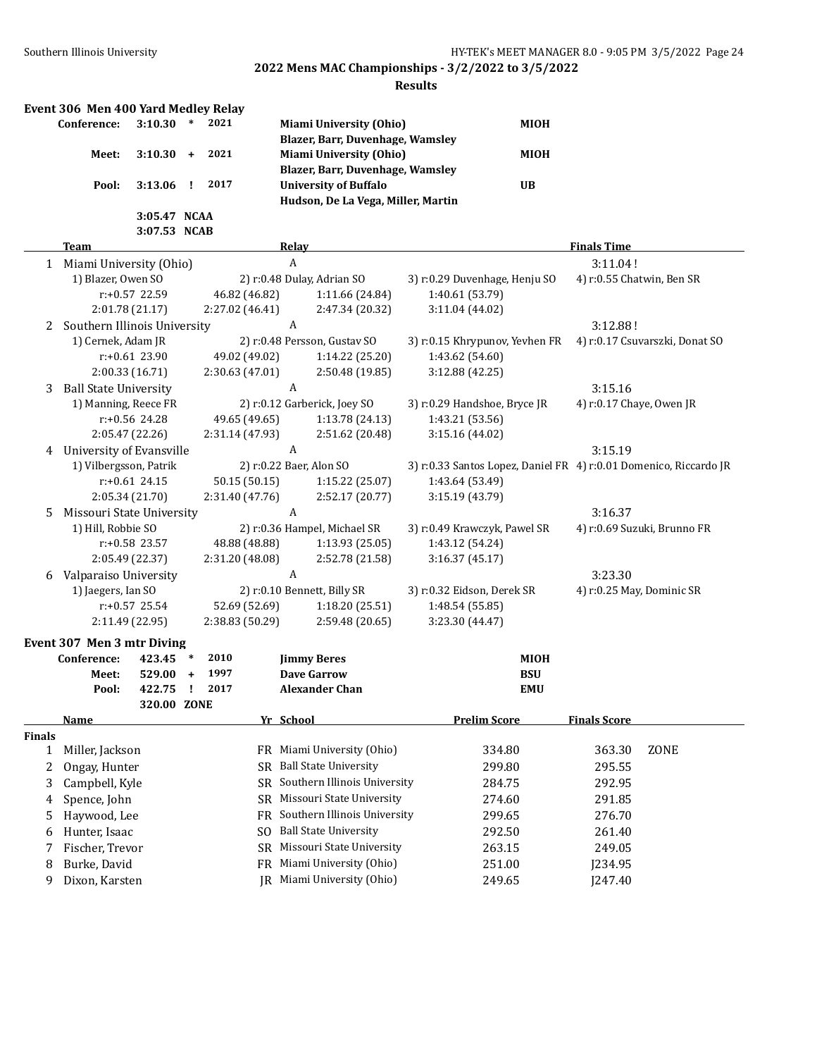|               | Event 306 Men 400 Yard Medley Relay |                  |           |                                  |           |                  |                                    |                                                                   |             |                           |                                |
|---------------|-------------------------------------|------------------|-----------|----------------------------------|-----------|------------------|------------------------------------|-------------------------------------------------------------------|-------------|---------------------------|--------------------------------|
|               | Conference:                         | 3:10.30          | $\ast$    | 2021                             |           |                  | <b>Miami University (Ohio)</b>     |                                                                   | MIOH        |                           |                                |
|               |                                     |                  |           |                                  |           |                  | Blazer, Barr, Duvenhage, Wamsley   |                                                                   |             |                           |                                |
|               | Meet:                               | 3:10.30          | $\ddot{}$ | 2021                             |           |                  | <b>Miami University (Ohio)</b>     |                                                                   | <b>MIOH</b> |                           |                                |
|               |                                     |                  |           |                                  |           |                  | Blazer, Barr, Duvenhage, Wamsley   |                                                                   |             |                           |                                |
|               | Pool:                               | 3:13.06          | Ţ.        | 2017                             |           |                  | <b>University of Buffalo</b>       |                                                                   | <b>UB</b>   |                           |                                |
|               |                                     |                  |           |                                  |           |                  | Hudson, De La Vega, Miller, Martin |                                                                   |             |                           |                                |
|               |                                     | 3:05.47 NCAA     |           |                                  |           |                  |                                    |                                                                   |             |                           |                                |
|               |                                     | 3:07.53 NCAB     |           |                                  |           |                  |                                    |                                                                   |             |                           |                                |
|               | Team                                |                  |           |                                  |           | Relay            |                                    |                                                                   |             | <b>Finals Time</b>        |                                |
|               | 1 Miami University (Ohio)           |                  |           |                                  |           | $\boldsymbol{A}$ |                                    |                                                                   |             | 3:11.04!                  |                                |
|               | 1) Blazer, Owen SO                  |                  |           |                                  |           |                  | 2) r:0.48 Dulay, Adrian SO         | 3) r:0.29 Duvenhage, Henju SO                                     |             | 4) r:0.55 Chatwin, Ben SR |                                |
|               |                                     | r:+0.57 22.59    |           | 46.82 (46.82)                    |           |                  | 1:11.66 (24.84)                    | 1:40.61 (53.79)                                                   |             |                           |                                |
|               |                                     | 2:01.78 (21.17)  |           | 2:27.02 (46.41)                  |           |                  | 2:47.34 (20.32)                    | 3:11.04 (44.02)                                                   |             |                           |                                |
| 2             | Southern Illinois University        |                  |           |                                  |           | A                |                                    |                                                                   |             | 3:12.88!                  |                                |
|               | 1) Cernek, Adam JR                  |                  |           |                                  |           |                  | 2) r:0.48 Persson, Gustav SO       | 3) r:0.15 Khrypunov, Yevhen FR                                    |             |                           | 4) r:0.17 Csuvarszki, Donat SO |
|               |                                     | r:+0.61 23.90    |           | 49.02 (49.02)                    |           |                  | 1:14.22 (25.20)                    | 1:43.62 (54.60)                                                   |             |                           |                                |
|               |                                     | 2:00.33 (16.71)  |           | 2:30.63 (47.01)                  |           |                  | 2:50.48 (19.85)                    | 3:12.88 (42.25)                                                   |             |                           |                                |
| 3             | <b>Ball State University</b>        |                  |           |                                  |           | A                |                                    |                                                                   |             | 3:15.16                   |                                |
|               | 1) Manning, Reece FR                |                  |           |                                  |           |                  | 2) r:0.12 Garberick, Joey SO       | 3) r:0.29 Handshoe, Bryce JR                                      |             | 4) r:0.17 Chaye, Owen JR  |                                |
|               |                                     | $r: +0.56$ 24.28 |           | 49.65 (49.65)                    |           |                  | 1:13.78 (24.13)                    | 1:43.21 (53.56)                                                   |             |                           |                                |
|               |                                     | 2:05.47 (22.26)  |           | 2:31.14 (47.93)                  |           |                  | 2:51.62 (20.48)                    | 3:15.16 (44.02)                                                   |             |                           |                                |
| 4             | University of Evansville            |                  |           |                                  |           | A                |                                    |                                                                   |             | 3:15.19                   |                                |
|               | 1) Vilbergsson, Patrik              |                  |           |                                  |           |                  | 2) r:0.22 Baer, Alon SO            | 3) r:0.33 Santos Lopez, Daniel FR 4) r:0.01 Domenico, Riccardo JR |             |                           |                                |
|               |                                     | $r: +0.61$ 24.15 |           | 50.15 (50.15)                    |           |                  | 1:15.22 (25.07)                    | 1:43.64 (53.49)                                                   |             |                           |                                |
|               |                                     | 2:05.34 (21.70)  |           | 2:31.40 (47.76)                  |           |                  | 2:52.17 (20.77)                    | 3:15.19 (43.79)                                                   |             |                           |                                |
| 5             | Missouri State University           |                  |           |                                  |           | A                |                                    |                                                                   |             | 3:16.37                   |                                |
|               | 1) Hill, Robbie SO                  |                  |           |                                  |           |                  | 2) r:0.36 Hampel, Michael SR       | 3) r:0.49 Krawczyk, Pawel SR                                      |             |                           | 4) r:0.69 Suzuki, Brunno FR    |
|               |                                     | r:+0.58 23.57    |           | 48.88 (48.88)                    |           |                  | 1:13.93 (25.05)                    | 1:43.12 (54.24)                                                   |             |                           |                                |
|               |                                     | 2:05.49 (22.37)  |           | 2:31.20 (48.08)                  |           |                  | 2:52.78 (21.58)                    | 3:16.37 (45.17)                                                   |             |                           |                                |
|               |                                     |                  |           |                                  |           | A                |                                    |                                                                   |             |                           |                                |
| 6             | Valparaiso University               |                  |           |                                  |           |                  |                                    |                                                                   |             | 3:23.30                   |                                |
|               | 1) Jaegers, Ian SO                  | r:+0.57 25.54    |           |                                  |           |                  | 2) r:0.10 Bennett, Billy SR        | 3) r:0.32 Eidson, Derek SR                                        |             | 4) r:0.25 May, Dominic SR |                                |
|               |                                     |                  |           | 52.69 (52.69)<br>2:38.83 (50.29) |           |                  | 1:18.20 (25.51)                    | 1:48.54 (55.85)                                                   |             |                           |                                |
|               |                                     | 2:11.49 (22.95)  |           |                                  |           |                  | 2:59.48 (20.65)                    | 3:23.30 (44.47)                                                   |             |                           |                                |
|               | Event 307 Men 3 mtr Diving          |                  |           |                                  |           |                  |                                    |                                                                   |             |                           |                                |
|               | Conference:                         | 423.45           | $\ast$    | 2010                             |           |                  | <b>Jimmy Beres</b>                 |                                                                   | <b>MIOH</b> |                           |                                |
|               | Meet:                               | 529.00           | $\ddot{}$ | 1997                             |           |                  | <b>Dave Garrow</b>                 |                                                                   | <b>BSU</b>  |                           |                                |
|               | Pool:                               | 422.75           | Ч.        | 2017                             |           |                  | <b>Alexander Chan</b>              |                                                                   | <b>EMU</b>  |                           |                                |
|               |                                     | 320.00 ZONE      |           |                                  |           |                  |                                    |                                                                   |             |                           |                                |
|               | Name                                |                  |           |                                  |           | Yr School        |                                    | <b>Prelim Score</b>                                               |             | <b>Finals Score</b>       |                                |
| <b>Finals</b> |                                     |                  |           |                                  |           |                  |                                    |                                                                   |             |                           |                                |
| 1             | Miller, Jackson                     |                  |           |                                  |           |                  | FR Miami University (Ohio)         | 334.80                                                            |             | 363.30                    | ZONE                           |
| 2             | Ongay, Hunter                       |                  |           |                                  | SR -      |                  | <b>Ball State University</b>       | 299.80                                                            |             | 295.55                    |                                |
| 3             | Campbell, Kyle                      |                  |           |                                  | SR.       |                  | Southern Illinois University       | 284.75                                                            |             | 292.95                    |                                |
| 4             | Spence, John                        |                  |           |                                  | SR -      |                  | Missouri State University          | 274.60                                                            |             | 291.85                    |                                |
| 5             | Haywood, Lee                        |                  |           |                                  | FR        |                  | Southern Illinois University       | 299.65                                                            |             | 276.70                    |                                |
| 6             | Hunter, Isaac                       |                  |           |                                  | SO.       |                  | <b>Ball State University</b>       | 292.50                                                            |             | 261.40                    |                                |
| 7             | Fischer, Trevor                     |                  |           |                                  | SR        |                  | Missouri State University          | 263.15                                                            |             | 249.05                    |                                |
| 8             | Burke, David                        |                  |           |                                  | <b>FR</b> |                  | Miami University (Ohio)            | 251.00                                                            |             | J234.95                   |                                |
| 9             | Dixon, Karsten                      |                  |           |                                  |           |                  | JR Miami University (Ohio)         | 249.65                                                            |             | J247.40                   |                                |
|               |                                     |                  |           |                                  |           |                  |                                    |                                                                   |             |                           |                                |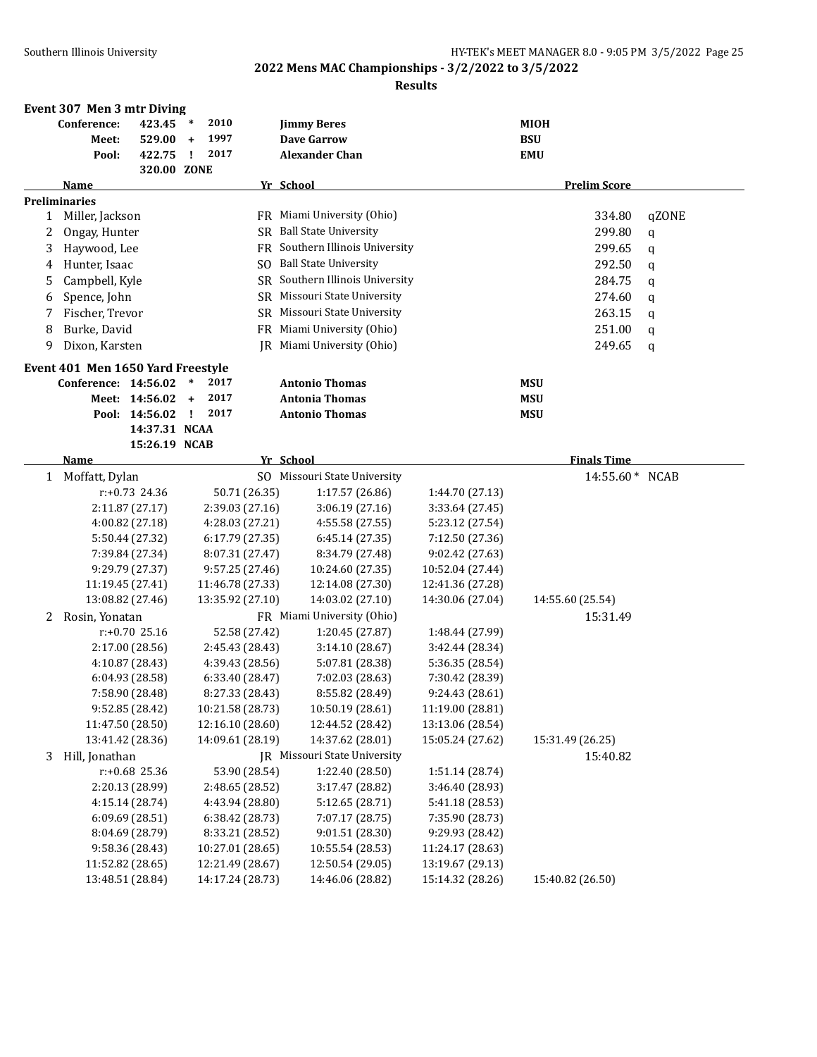|              | Event 307 Men 3 mtr Diving        |                  |              |                  |               |                                     |                  |                     |       |
|--------------|-----------------------------------|------------------|--------------|------------------|---------------|-------------------------------------|------------------|---------------------|-------|
|              | Conference:                       | 423.45           | $\ast$       | 2010             |               | <b>Jimmy Beres</b>                  |                  | <b>MIOH</b>         |       |
|              | Meet:                             | $529.00 +$       |              | 1997             |               | <b>Dave Garrow</b>                  |                  | <b>BSU</b>          |       |
|              | Pool:                             | 422.75           | $\mathbf{I}$ | 2017             |               | <b>Alexander Chan</b>               |                  | <b>EMU</b>          |       |
|              |                                   | 320.00 ZONE      |              |                  |               |                                     |                  |                     |       |
|              | Name                              |                  |              |                  |               | Yr School                           |                  | <b>Prelim Score</b> |       |
|              | <b>Preliminaries</b>              |                  |              |                  |               |                                     |                  |                     |       |
|              | 1 Miller, Jackson                 |                  |              |                  |               | FR Miami University (Ohio)          |                  | 334.80              | qZONE |
| 2            | Ongay, Hunter                     |                  |              |                  |               | SR Ball State University            |                  | 299.80              | q     |
| 3            | Haywood, Lee                      |                  |              |                  |               | FR Southern Illinois University     |                  | 299.65              | q     |
| 4            | Hunter, Isaac                     |                  |              |                  |               | SO Ball State University            |                  | 292.50              | q     |
| 5            | Campbell, Kyle                    |                  |              |                  |               | SR Southern Illinois University     |                  | 284.75              | q     |
| 6            | Spence, John                      |                  |              |                  |               | SR Missouri State University        |                  | 274.60              | q     |
| 7            | Fischer, Trevor                   |                  |              |                  |               | SR Missouri State University        |                  | 263.15              | q     |
| 8            | Burke, David                      |                  |              |                  |               | FR Miami University (Ohio)          |                  | 251.00              | q     |
| 9            | Dixon, Karsten                    |                  |              |                  | IR            | Miami University (Ohio)             |                  | 249.65              | q     |
|              |                                   |                  |              |                  |               |                                     |                  |                     |       |
|              | Event 401 Men 1650 Yard Freestyle |                  |              |                  |               |                                     |                  |                     |       |
|              | Conference: 14:56.02              |                  | $\ast$       | 2017             |               | <b>Antonio Thomas</b>               |                  | <b>MSU</b>          |       |
|              |                                   | Meet: 14:56.02   | $+$          | 2017             |               | <b>Antonia Thomas</b>               |                  | <b>MSU</b>          |       |
|              |                                   | Pool: 14:56.02   | $\mathbf{I}$ | 2017             |               | <b>Antonio Thomas</b>               |                  | <b>MSU</b>          |       |
|              |                                   | 14:37.31 NCAA    |              |                  |               |                                     |                  |                     |       |
|              |                                   | 15:26.19 NCAB    |              |                  |               |                                     |                  |                     |       |
|              | Name                              |                  |              |                  |               | Yr School                           |                  | <b>Finals Time</b>  |       |
| $\mathbf{1}$ | Moffatt, Dylan                    |                  |              |                  | SO.           | Missouri State University           |                  | 14:55.60* NCAB      |       |
|              |                                   | r:+0.73 24.36    |              |                  | 50.71 (26.35) | 1:17.57 (26.86)                     | 1:44.70 (27.13)  |                     |       |
|              |                                   | 2:11.87 (27.17)  |              | 2:39.03 (27.16)  |               | 3:06.19(27.16)                      | 3:33.64 (27.45)  |                     |       |
|              |                                   | 4:00.82 (27.18)  |              | 4:28.03 (27.21)  |               | 4:55.58 (27.55)                     | 5:23.12 (27.54)  |                     |       |
|              |                                   | 5:50.44 (27.32)  |              | 6:17.79 (27.35)  |               | 6:45.14 (27.35)                     | 7:12.50 (27.36)  |                     |       |
|              |                                   | 7:39.84 (27.34)  |              | 8:07.31 (27.47)  |               | 8:34.79 (27.48)                     | 9:02.42 (27.63)  |                     |       |
|              |                                   | 9:29.79 (27.37)  |              | 9:57.25 (27.46)  |               | 10:24.60 (27.35)                    | 10:52.04 (27.44) |                     |       |
|              |                                   | 11:19.45 (27.41) |              | 11:46.78 (27.33) |               | 12:14.08 (27.30)                    | 12:41.36 (27.28) |                     |       |
|              |                                   | 13:08.82 (27.46) |              | 13:35.92 (27.10) |               | 14:03.02 (27.10)                    | 14:30.06 (27.04) | 14:55.60 (25.54)    |       |
| 2            | Rosin, Yonatan                    |                  |              |                  |               | FR Miami University (Ohio)          |                  | 15:31.49            |       |
|              |                                   | $r: +0.70$ 25.16 |              |                  | 52.58 (27.42) | 1:20.45 (27.87)                     | 1:48.44 (27.99)  |                     |       |
|              |                                   | 2:17.00 (28.56)  |              | 2:45.43 (28.43)  |               | 3:14.10(28.67)                      | 3:42.44 (28.34)  |                     |       |
|              |                                   | 4:10.87 (28.43)  |              | 4:39.43 (28.56)  |               | 5:07.81 (28.38)                     | 5:36.35 (28.54)  |                     |       |
|              |                                   | 6:04.93 (28.58)  |              | 6:33.40 (28.47)  |               | 7:02.03 (28.63)                     | 7:30.42 (28.39)  |                     |       |
|              |                                   | 7:58.90 (28.48)  |              | 8:27.33 (28.43)  |               | 8:55.82 (28.49)                     | 9:24.43(28.61)   |                     |       |
|              |                                   | 9:52.85 (28.42)  |              | 10:21.58 (28.73) |               | 10:50.19 (28.61)                    | 11:19.00 (28.81) |                     |       |
|              |                                   | 11:47.50 (28.50) |              | 12:16.10 (28.60) |               | 12:44.52 (28.42)                    | 13:13.06 (28.54) |                     |       |
|              |                                   | 13:41.42 (28.36) |              | 14:09.61 (28.19) |               | 14:37.62 (28.01)                    | 15:05.24 (27.62) | 15:31.49 (26.25)    |       |
| 3            | Hill, Jonathan                    |                  |              |                  |               | <b>IR</b> Missouri State University |                  | 15:40.82            |       |
|              |                                   | r:+0.68 25.36    |              |                  | 53.90 (28.54) | 1:22.40 (28.50)                     | 1:51.14 (28.74)  |                     |       |
|              |                                   | 2:20.13 (28.99)  |              | 2:48.65 (28.52)  |               | 3:17.47 (28.82)                     | 3:46.40 (28.93)  |                     |       |
|              |                                   | 4:15.14 (28.74)  |              | 4:43.94 (28.80)  |               | 5:12.65 (28.71)                     | 5:41.18 (28.53)  |                     |       |
|              |                                   | 6:09.69(28.51)   |              | 6:38.42 (28.73)  |               | 7:07.17 (28.75)                     | 7:35.90 (28.73)  |                     |       |
|              |                                   | 8:04.69 (28.79)  |              | 8:33.21 (28.52)  |               | 9:01.51 (28.30)                     | 9:29.93 (28.42)  |                     |       |
|              |                                   | 9:58.36 (28.43)  |              | 10:27.01 (28.65) |               | 10:55.54 (28.53)                    | 11:24.17 (28.63) |                     |       |
|              |                                   | 11:52.82 (28.65) |              | 12:21.49 (28.67) |               | 12:50.54 (29.05)                    | 13:19.67 (29.13) |                     |       |
|              |                                   | 13:48.51 (28.84) |              | 14:17.24 (28.73) |               | 14:46.06 (28.82)                    | 15:14.32 (28.26) | 15:40.82 (26.50)    |       |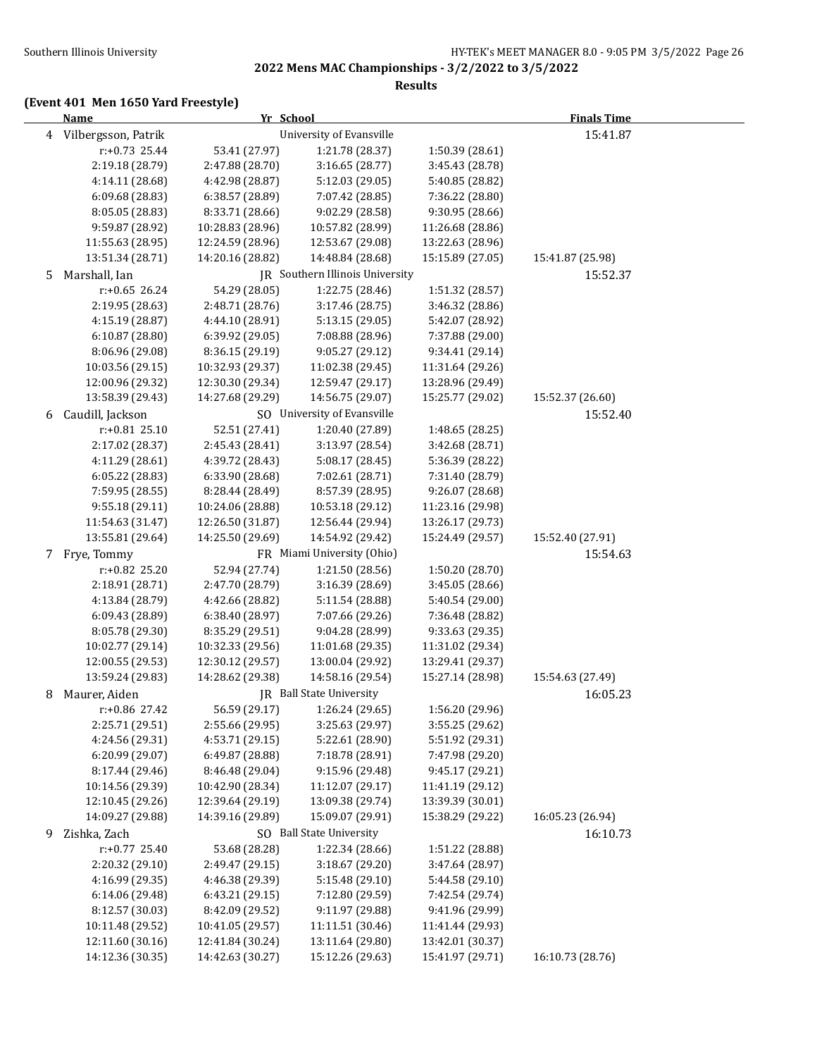#### **Results**

## **(Event 401 Men 1650 Yard Freestyle)**

|    | <b>Name</b>           | Yr School        |                                 |                  | <b>Finals Time</b> |  |
|----|-----------------------|------------------|---------------------------------|------------------|--------------------|--|
|    | 4 Vilbergsson, Patrik |                  | University of Evansville        |                  | 15:41.87           |  |
|    | $r: +0.73$ 25.44      | 53.41 (27.97)    | 1:21.78 (28.37)                 | 1:50.39 (28.61)  |                    |  |
|    | 2:19.18 (28.79)       | 2:47.88 (28.70)  | 3:16.65 (28.77)                 | 3:45.43 (28.78)  |                    |  |
|    | 4:14.11 (28.68)       | 4:42.98 (28.87)  | 5:12.03 (29.05)                 | 5:40.85 (28.82)  |                    |  |
|    | 6:09.68 (28.83)       | 6:38.57 (28.89)  | 7:07.42 (28.85)                 | 7:36.22 (28.80)  |                    |  |
|    | 8:05.05 (28.83)       | 8:33.71 (28.66)  | 9:02.29 (28.58)                 | 9:30.95 (28.66)  |                    |  |
|    | 9:59.87 (28.92)       | 10:28.83 (28.96) | 10:57.82 (28.99)                | 11:26.68 (28.86) |                    |  |
|    | 11:55.63 (28.95)      | 12:24.59 (28.96) | 12:53.67 (29.08)                | 13:22.63 (28.96) |                    |  |
|    | 13:51.34 (28.71)      | 14:20.16 (28.82) | 14:48.84 (28.68)                | 15:15.89 (27.05) | 15:41.87 (25.98)   |  |
| 5. | Marshall, Ian         |                  | JR Southern Illinois University |                  | 15:52.37           |  |
|    | $r: +0.65$ 26.24      | 54.29 (28.05)    | 1:22.75 (28.46)                 | 1:51.32 (28.57)  |                    |  |
|    | 2:19.95 (28.63)       | 2:48.71 (28.76)  | 3:17.46 (28.75)                 | 3:46.32 (28.86)  |                    |  |
|    | 4:15.19 (28.87)       | 4:44.10 (28.91)  | 5:13.15 (29.05)                 | 5:42.07 (28.92)  |                    |  |
|    | 6:10.87 (28.80)       | 6:39.92 (29.05)  | 7:08.88 (28.96)                 | 7:37.88 (29.00)  |                    |  |
|    | 8:06.96 (29.08)       | 8:36.15 (29.19)  | 9:05.27 (29.12)                 | 9:34.41 (29.14)  |                    |  |
|    | 10:03.56 (29.15)      | 10:32.93 (29.37) | 11:02.38 (29.45)                | 11:31.64 (29.26) |                    |  |
|    | 12:00.96 (29.32)      | 12:30.30 (29.34) | 12:59.47 (29.17)                | 13:28.96 (29.49) |                    |  |
|    | 13:58.39 (29.43)      | 14:27.68 (29.29) | 14:56.75 (29.07)                | 15:25.77 (29.02) | 15:52.37 (26.60)   |  |
| 6  | Caudill, Jackson      |                  | SO University of Evansville     |                  | 15:52.40           |  |
|    | $r: +0.81$ 25.10      | 52.51 (27.41)    | 1:20.40 (27.89)                 | 1:48.65 (28.25)  |                    |  |
|    | 2:17.02 (28.37)       | 2:45.43 (28.41)  | 3:13.97 (28.54)                 | 3:42.68 (28.71)  |                    |  |
|    | 4:11.29 (28.61)       | 4:39.72 (28.43)  | 5:08.17 (28.45)                 | 5:36.39 (28.22)  |                    |  |
|    | 6:05.22 (28.83)       | 6:33.90 (28.68)  | 7:02.61 (28.71)                 | 7:31.40 (28.79)  |                    |  |
|    | 7:59.95 (28.55)       | 8:28.44 (28.49)  | 8:57.39 (28.95)                 | 9:26.07 (28.68)  |                    |  |
|    | 9:55.18 (29.11)       | 10:24.06 (28.88) | 10:53.18 (29.12)                | 11:23.16 (29.98) |                    |  |
|    | 11:54.63 (31.47)      | 12:26.50 (31.87) | 12:56.44 (29.94)                | 13:26.17 (29.73) |                    |  |
|    | 13:55.81 (29.64)      | 14:25.50 (29.69) | 14:54.92 (29.42)                | 15:24.49 (29.57) | 15:52.40 (27.91)   |  |
|    | 7 Frye, Tommy         |                  | FR Miami University (Ohio)      |                  | 15:54.63           |  |
|    | r:+0.82 25.20         | 52.94 (27.74)    | 1:21.50 (28.56)                 | 1:50.20 (28.70)  |                    |  |
|    | 2:18.91 (28.71)       | 2:47.70 (28.79)  | 3:16.39 (28.69)                 | 3:45.05 (28.66)  |                    |  |
|    | 4:13.84 (28.79)       | 4:42.66 (28.82)  | 5:11.54 (28.88)                 | 5:40.54 (29.00)  |                    |  |
|    | 6:09.43 (28.89)       | 6:38.40 (28.97)  | 7:07.66 (29.26)                 | 7:36.48 (28.82)  |                    |  |
|    | 8:05.78 (29.30)       | 8:35.29 (29.51)  | 9:04.28 (28.99)                 | 9:33.63 (29.35)  |                    |  |
|    | 10:02.77 (29.14)      | 10:32.33 (29.56) | 11:01.68 (29.35)                | 11:31.02 (29.34) |                    |  |
|    | 12:00.55 (29.53)      | 12:30.12 (29.57) | 13:00.04 (29.92)                | 13:29.41 (29.37) |                    |  |
|    | 13:59.24 (29.83)      | 14:28.62 (29.38) | 14:58.16 (29.54)                | 15:27.14 (28.98) | 15:54.63 (27.49)   |  |
| 8  | Maurer, Aiden         |                  | JR Ball State University        |                  | 16:05.23           |  |
|    | r:+0.86 27.42         | 56.59 (29.17)    | 1:26.24 (29.65)                 | 1:56.20 (29.96)  |                    |  |
|    | 2:25.71 (29.51)       | 2:55.66 (29.95)  | 3:25.63 (29.97)                 | 3:55.25 (29.62)  |                    |  |
|    | 4:24.56 (29.31)       | 4:53.71 (29.15)  | 5:22.61 (28.90)                 | 5:51.92 (29.31)  |                    |  |
|    | 6:20.99 (29.07)       | 6:49.87 (28.88)  | 7:18.78 (28.91)                 | 7:47.98 (29.20)  |                    |  |
|    | 8:17.44 (29.46)       | 8:46.48 (29.04)  | 9:15.96 (29.48)                 | 9:45.17 (29.21)  |                    |  |
|    | 10:14.56 (29.39)      | 10:42.90 (28.34) | 11:12.07 (29.17)                | 11:41.19 (29.12) |                    |  |
|    | 12:10.45 (29.26)      | 12:39.64 (29.19) | 13:09.38 (29.74)                | 13:39.39 (30.01) |                    |  |
|    | 14:09.27 (29.88)      | 14:39.16 (29.89) | 15:09.07 (29.91)                | 15:38.29 (29.22) | 16:05.23 (26.94)   |  |
| 9  | Zishka, Zach          |                  | SO Ball State University        |                  | 16:10.73           |  |
|    | $r: +0.77$ 25.40      | 53.68 (28.28)    | 1:22.34 (28.66)                 | 1:51.22 (28.88)  |                    |  |
|    | 2:20.32 (29.10)       | 2:49.47 (29.15)  | 3:18.67 (29.20)                 | 3:47.64 (28.97)  |                    |  |
|    | 4:16.99 (29.35)       | 4:46.38 (29.39)  | 5:15.48 (29.10)                 | 5:44.58 (29.10)  |                    |  |
|    | 6:14.06 (29.48)       | 6:43.21 (29.15)  | 7:12.80 (29.59)                 | 7:42.54 (29.74)  |                    |  |
|    | 8:12.57 (30.03)       | 8:42.09 (29.52)  | 9:11.97 (29.88)                 | 9:41.96 (29.99)  |                    |  |
|    | 10:11.48 (29.52)      | 10:41.05 (29.57) | 11:11.51 (30.46)                | 11:41.44 (29.93) |                    |  |
|    | 12:11.60 (30.16)      | 12:41.84 (30.24) | 13:11.64 (29.80)                | 13:42.01 (30.37) |                    |  |
|    | 14:12.36 (30.35)      | 14:42.63 (30.27) | 15:12.26 (29.63)                | 15:41.97 (29.71) | 16:10.73 (28.76)   |  |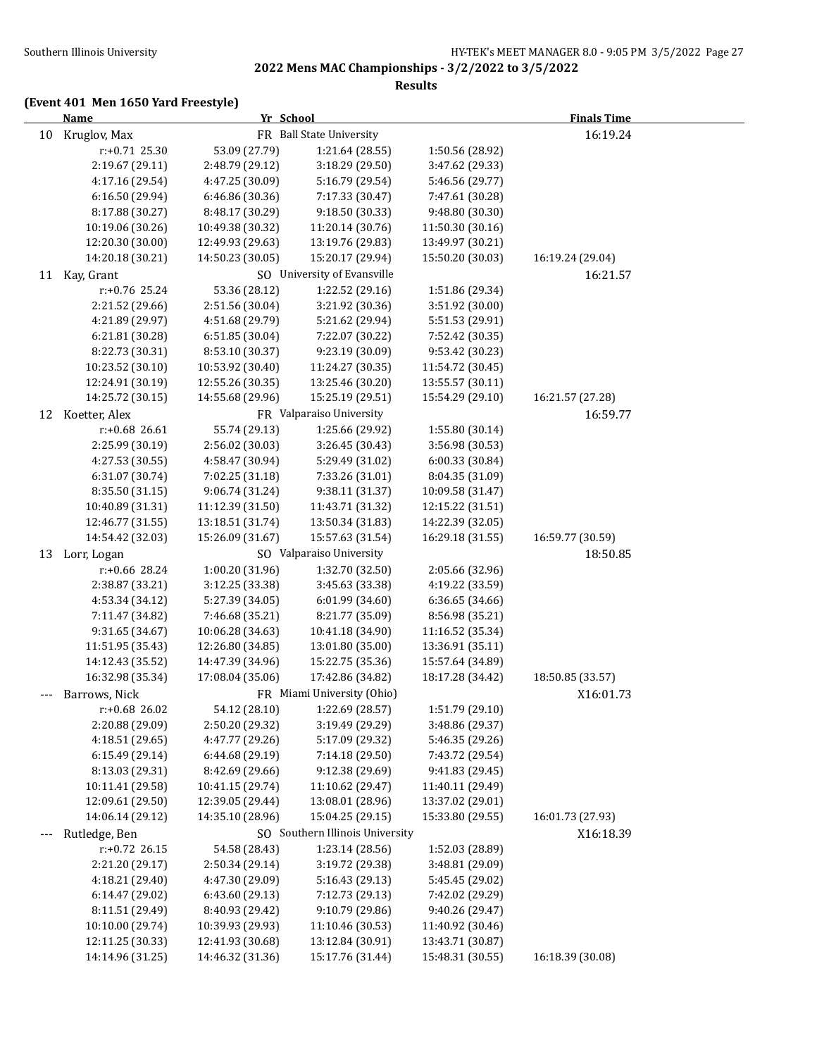### **Results**

## **(Event 401 Men 1650 Yard Freestyle)**

|       | <b>Name</b>      | Yr School        |                                 |                  | <b>Finals Time</b> |  |
|-------|------------------|------------------|---------------------------------|------------------|--------------------|--|
| 10    | Kruglov, Max     |                  | FR Ball State University        |                  | 16:19.24           |  |
|       | $r: +0.71$ 25.30 | 53.09 (27.79)    | 1:21.64 (28.55)                 | 1:50.56 (28.92)  |                    |  |
|       | 2:19.67 (29.11)  | 2:48.79 (29.12)  | 3:18.29 (29.50)                 | 3:47.62 (29.33)  |                    |  |
|       | 4:17.16 (29.54)  | 4:47.25 (30.09)  | 5:16.79 (29.54)                 | 5:46.56 (29.77)  |                    |  |
|       | 6:16.50 (29.94)  | 6:46.86 (30.36)  | 7:17.33 (30.47)                 | 7:47.61 (30.28)  |                    |  |
|       | 8:17.88 (30.27)  | 8:48.17 (30.29)  | 9:18.50 (30.33)                 | 9:48.80 (30.30)  |                    |  |
|       | 10:19.06 (30.26) | 10:49.38 (30.32) | 11:20.14 (30.76)                | 11:50.30 (30.16) |                    |  |
|       | 12:20.30 (30.00) | 12:49.93 (29.63) | 13:19.76 (29.83)                | 13:49.97 (30.21) |                    |  |
|       | 14:20.18 (30.21) | 14:50.23 (30.05) | 15:20.17 (29.94)                | 15:50.20 (30.03) | 16:19.24 (29.04)   |  |
|       | 11 Kay, Grant    |                  | SO University of Evansville     |                  | 16:21.57           |  |
|       | r:+0.76 25.24    | 53.36 (28.12)    | 1:22.52 (29.16)                 | 1:51.86 (29.34)  |                    |  |
|       | 2:21.52 (29.66)  | 2:51.56 (30.04)  | 3:21.92 (30.36)                 | 3:51.92 (30.00)  |                    |  |
|       | 4:21.89 (29.97)  | 4:51.68 (29.79)  | 5:21.62 (29.94)                 | 5:51.53 (29.91)  |                    |  |
|       | 6:21.81 (30.28)  | 6:51.85 (30.04)  | 7:22.07 (30.22)                 | 7:52.42 (30.35)  |                    |  |
|       | 8:22.73 (30.31)  | 8:53.10 (30.37)  | 9:23.19 (30.09)                 | 9:53.42 (30.23)  |                    |  |
|       | 10:23.52 (30.10) | 10:53.92 (30.40) | 11:24.27 (30.35)                | 11:54.72 (30.45) |                    |  |
|       | 12:24.91 (30.19) | 12:55.26 (30.35) | 13:25.46 (30.20)                | 13:55.57 (30.11) |                    |  |
|       | 14:25.72 (30.15) | 14:55.68 (29.96) | 15:25.19 (29.51)                | 15:54.29 (29.10) | 16:21.57 (27.28)   |  |
| 12    | Koetter, Alex    |                  | FR Valparaiso University        |                  | 16:59.77           |  |
|       | r:+0.68 26.61    | 55.74 (29.13)    | 1:25.66 (29.92)                 | 1:55.80 (30.14)  |                    |  |
|       | 2:25.99 (30.19)  | 2:56.02 (30.03)  | 3:26.45 (30.43)                 | 3:56.98 (30.53)  |                    |  |
|       | 4:27.53 (30.55)  | 4:58.47 (30.94)  | 5:29.49 (31.02)                 | 6:00.33 (30.84)  |                    |  |
|       | 6:31.07 (30.74)  | 7:02.25 (31.18)  | 7:33.26 (31.01)                 | 8:04.35 (31.09)  |                    |  |
|       | 8:35.50 (31.15)  | 9:06.74 (31.24)  | 9:38.11 (31.37)                 | 10:09.58 (31.47) |                    |  |
|       | 10:40.89 (31.31) | 11:12.39 (31.50) | 11:43.71 (31.32)                | 12:15.22 (31.51) |                    |  |
|       | 12:46.77 (31.55) | 13:18.51 (31.74) | 13:50.34 (31.83)                | 14:22.39 (32.05) |                    |  |
|       | 14:54.42 (32.03) | 15:26.09 (31.67) | 15:57.63 (31.54)                | 16:29.18 (31.55) | 16:59.77 (30.59)   |  |
|       | 13 Lorr, Logan   |                  | SO Valparaiso University        |                  | 18:50.85           |  |
|       | r:+0.66 28.24    | 1:00.20 (31.96)  | 1:32.70 (32.50)                 | 2:05.66 (32.96)  |                    |  |
|       | 2:38.87 (33.21)  | 3:12.25 (33.38)  | 3:45.63 (33.38)                 | 4:19.22 (33.59)  |                    |  |
|       | 4:53.34 (34.12)  | 5:27.39 (34.05)  | 6:01.99 (34.60)                 | 6:36.65 (34.66)  |                    |  |
|       | 7:11.47 (34.82)  | 7:46.68 (35.21)  | 8:21.77 (35.09)                 | 8:56.98 (35.21)  |                    |  |
|       | 9:31.65 (34.67)  | 10:06.28 (34.63) | 10:41.18 (34.90)                | 11:16.52 (35.34) |                    |  |
|       | 11:51.95 (35.43) | 12:26.80 (34.85) | 13:01.80 (35.00)                | 13:36.91 (35.11) |                    |  |
|       | 14:12.43 (35.52) | 14:47.39 (34.96) | 15:22.75 (35.36)                | 15:57.64 (34.89) |                    |  |
|       | 16:32.98 (35.34) | 17:08.04 (35.06) | 17:42.86 (34.82)                | 18:17.28 (34.42) | 18:50.85 (33.57)   |  |
|       | Barrows, Nick    |                  | FR Miami University (Ohio)      |                  | X16:01.73          |  |
|       | r:+0.68 26.02    | 54.12 (28.10)    | 1:22.69 (28.57)                 | 1:51.79 (29.10)  |                    |  |
|       | 2:20.88 (29.09)  | 2:50.20 (29.32)  | 3:19.49 (29.29)                 | 3:48.86 (29.37)  |                    |  |
|       | 4:18.51(29.65)   | 4:47.77 (29.26)  | 5:17.09 (29.32)                 | 5:46.35 (29.26)  |                    |  |
|       | 6:15.49 (29.14)  | 6:44.68 (29.19)  | 7:14.18 (29.50)                 | 7:43.72 (29.54)  |                    |  |
|       | 8:13.03 (29.31)  | 8:42.69 (29.66)  | 9:12.38 (29.69)                 | 9:41.83 (29.45)  |                    |  |
|       | 10:11.41 (29.58) | 10:41.15 (29.74) | 11:10.62 (29.47)                | 11:40.11 (29.49) |                    |  |
|       | 12:09.61 (29.50) | 12:39.05 (29.44) | 13:08.01 (28.96)                | 13:37.02 (29.01) |                    |  |
|       | 14:06.14 (29.12) | 14:35.10 (28.96) | 15:04.25 (29.15)                | 15:33.80 (29.55) | 16:01.73 (27.93)   |  |
| $---$ | Rutledge, Ben    |                  | SO Southern Illinois University |                  | X16:18.39          |  |
|       | r:+0.72 26.15    | 54.58 (28.43)    | 1:23.14 (28.56)                 | 1:52.03 (28.89)  |                    |  |
|       | 2:21.20 (29.17)  | 2:50.34 (29.14)  | 3:19.72 (29.38)                 | 3:48.81 (29.09)  |                    |  |
|       | 4:18.21 (29.40)  | 4:47.30 (29.09)  | 5:16.43 (29.13)                 | 5:45.45 (29.02)  |                    |  |
|       | 6:14.47 (29.02)  | 6:43.60 (29.13)  | 7:12.73 (29.13)                 | 7:42.02 (29.29)  |                    |  |
|       | 8:11.51 (29.49)  | 8:40.93 (29.42)  | 9:10.79 (29.86)                 | 9:40.26 (29.47)  |                    |  |
|       | 10:10.00 (29.74) | 10:39.93 (29.93) | 11:10.46 (30.53)                | 11:40.92 (30.46) |                    |  |
|       | 12:11.25 (30.33) | 12:41.93 (30.68) | 13:12.84 (30.91)                | 13:43.71 (30.87) |                    |  |
|       | 14:14.96 (31.25) | 14:46.32 (31.36) | 15:17.76 (31.44)                | 15:48.31 (30.55) | 16:18.39 (30.08)   |  |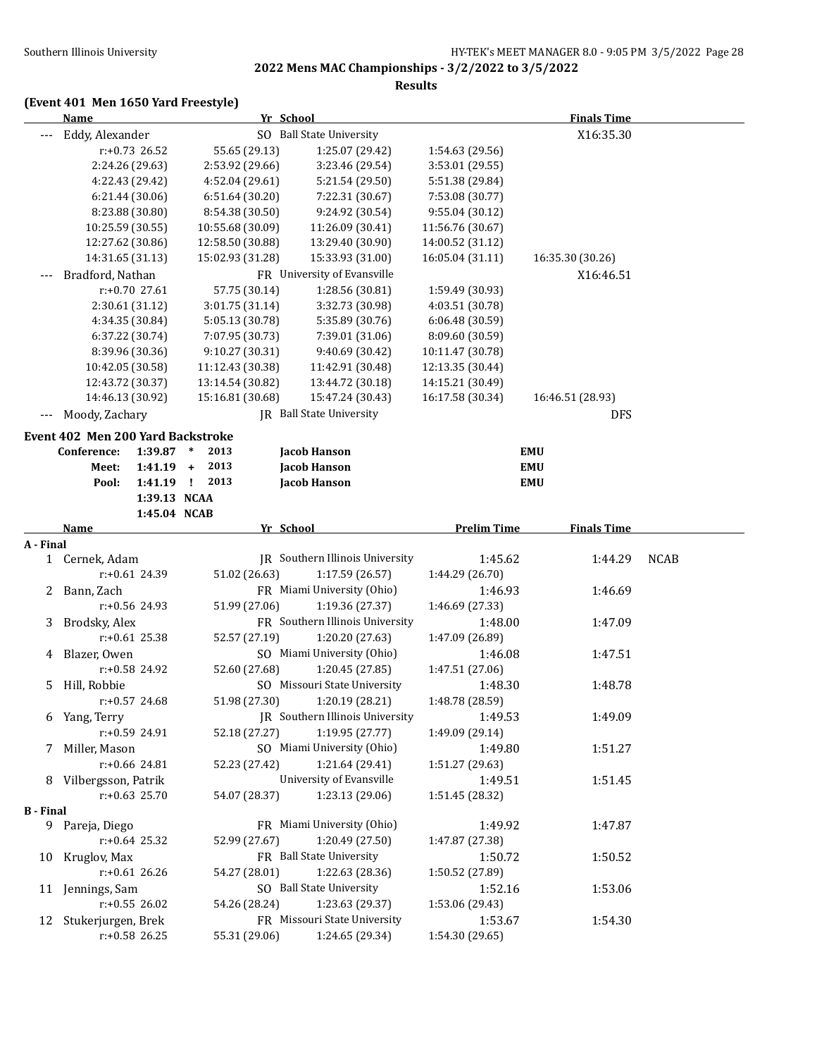**Results**

## **(Event 401 Men 1650 Yard Freestyle)**

|                  | Name                              |                  |                      | Yr School                                       |                            | <b>Finals Time</b> |             |
|------------------|-----------------------------------|------------------|----------------------|-------------------------------------------------|----------------------------|--------------------|-------------|
|                  | Eddy, Alexander                   |                  |                      | SO Ball State University                        |                            | X16:35.30          |             |
|                  |                                   | r:+0.73 26.52    | 55.65 (29.13)        | 1:25.07 (29.42)                                 | 1:54.63 (29.56)            |                    |             |
|                  | 2:24.26 (29.63)                   |                  | 2:53.92 (29.66)      | 3:23.46 (29.54)                                 | 3:53.01 (29.55)            |                    |             |
|                  | 4:22.43 (29.42)                   |                  | 4:52.04 (29.61)      | 5:21.54 (29.50)                                 | 5:51.38 (29.84)            |                    |             |
|                  | 6:21.44 (30.06)                   |                  | 6:51.64 (30.20)      | 7:22.31 (30.67)                                 | 7:53.08 (30.77)            |                    |             |
|                  | 8:23.88 (30.80)                   |                  | 8:54.38 (30.50)      | 9:24.92 (30.54)                                 | 9:55.04 (30.12)            |                    |             |
|                  | 10:25.59 (30.55)                  |                  | 10:55.68 (30.09)     | 11:26.09 (30.41)                                | 11:56.76 (30.67)           |                    |             |
|                  | 12:27.62 (30.86)                  |                  | 12:58.50 (30.88)     | 13:29.40 (30.90)                                | 14:00.52 (31.12)           |                    |             |
|                  | 14:31.65 (31.13)                  |                  | 15:02.93 (31.28)     | 15:33.93 (31.00)                                | 16:05.04 (31.11)           | 16:35.30 (30.26)   |             |
|                  | Bradford, Nathan                  |                  |                      | FR University of Evansville                     |                            | X16:46.51          |             |
|                  |                                   | $r: +0.70$ 27.61 | 57.75 (30.14)        | 1:28.56 (30.81)                                 | 1:59.49 (30.93)            |                    |             |
|                  | 2:30.61 (31.12)                   |                  | 3:01.75 (31.14)      | 3:32.73 (30.98)                                 | 4:03.51 (30.78)            |                    |             |
|                  | 4:34.35 (30.84)                   |                  | 5:05.13 (30.78)      | 5:35.89 (30.76)                                 | 6:06.48 (30.59)            |                    |             |
|                  | 6:37.22 (30.74)                   |                  | 7:07.95 (30.73)      | 7:39.01 (31.06)                                 | 8:09.60 (30.59)            |                    |             |
|                  | 8:39.96 (30.36)                   |                  | 9:10.27 (30.31)      | 9:40.69 (30.42)                                 | 10:11.47 (30.78)           |                    |             |
|                  | 10:42.05 (30.58)                  |                  | 11:12.43 (30.38)     | 11:42.91 (30.48)                                | 12:13.35 (30.44)           |                    |             |
|                  | 12:43.72 (30.37)                  |                  | 13:14.54 (30.82)     | 13:44.72 (30.18)                                | 14:15.21 (30.49)           |                    |             |
|                  | 14:46.13 (30.92)                  |                  | 15:16.81 (30.68)     | 15:47.24 (30.43)                                | 16:17.58 (30.34)           | 16:46.51 (28.93)   |             |
| $---$            | Moody, Zachary                    |                  |                      | <b>IR</b> Ball State University                 |                            | <b>DFS</b>         |             |
|                  | Event 402 Men 200 Yard Backstroke |                  |                      |                                                 |                            |                    |             |
|                  | Conference:                       | 1:39.87          | 2013<br>$\ast$       | <b>Jacob Hanson</b>                             |                            | <b>EMU</b>         |             |
|                  | Meet:                             | $1:41.19 +$      | 2013                 | <b>Jacob Hanson</b>                             |                            | <b>EMU</b>         |             |
|                  | Pool:                             | 1:41.19          | $\mathbf{I}$<br>2013 | Jacob Hanson                                    |                            | <b>EMU</b>         |             |
|                  |                                   | 1:39.13 NCAA     |                      |                                                 |                            |                    |             |
|                  |                                   | 1:45.04 NCAB     |                      |                                                 |                            |                    |             |
|                  | Name                              |                  |                      | Yr School                                       | <b>Prelim Time</b>         | <b>Finals Time</b> |             |
| A - Final        |                                   |                  |                      |                                                 |                            |                    |             |
|                  | 1 Cernek, Adam                    |                  |                      | JR Southern Illinois University                 | 1:45.62                    | 1:44.29            | <b>NCAB</b> |
|                  |                                   | $r: +0.61$ 24.39 | 51.02 (26.63)        | 1:17.59 (26.57)                                 | 1:44.29 (26.70)            |                    |             |
| 2                | Bann, Zach                        |                  |                      | FR Miami University (Ohio)                      | 1:46.93                    | 1:46.69            |             |
|                  |                                   | r:+0.56 24.93    | 51.99 (27.06)        | 1:19.36 (27.37)                                 | 1:46.69 (27.33)            |                    |             |
| 3                | Brodsky, Alex                     |                  |                      | FR Southern Illinois University                 | 1:48.00                    | 1:47.09            |             |
|                  |                                   | $r: +0.61$ 25.38 | 52.57 (27.19)        | 1:20.20 (27.63)                                 | 1:47.09 (26.89)            |                    |             |
| 4                | Blazer, Owen                      |                  |                      | SO Miami University (Ohio)                      | 1:46.08                    | 1:47.51            |             |
|                  |                                   | r:+0.58 24.92    | 52.60 (27.68)        | 1:20.45 (27.85)                                 | 1:47.51 (27.06)            |                    |             |
| 5.               | Hill, Robbie                      |                  |                      | SO Missouri State University                    | 1:48.30                    | 1:48.78            |             |
|                  |                                   | $r: +0.57$ 24.68 | 51.98 (27.30)        | 1:20.19 (28.21)                                 | 1:48.78 (28.59)            |                    |             |
|                  | 6 Yang, Terry                     |                  |                      | JR Southern Illinois University                 | 1:49.53                    | 1:49.09            |             |
|                  |                                   | r:+0.59 24.91    | 52.18 (27.27)        | 1:19.95 (27.77)                                 | 1:49.09 (29.14)            |                    |             |
|                  | 7 Miller, Mason                   |                  |                      | SO Miami University (Ohio)                      | 1:49.80                    | 1:51.27            |             |
|                  |                                   | r:+0.66 24.81    | 52.23 (27.42)        | 1:21.64 (29.41)                                 | 1:51.27 (29.63)            |                    |             |
|                  | 8 Vilbergsson, Patrik             |                  |                      | University of Evansville                        | 1:49.51                    | 1:51.45            |             |
|                  |                                   | $r: +0.63$ 25.70 | 54.07 (28.37)        | 1:23.13 (29.06)                                 | 1:51.45 (28.32)            |                    |             |
| <b>B</b> - Final |                                   |                  |                      |                                                 |                            |                    |             |
|                  | 9 Pareja, Diego                   |                  |                      | FR Miami University (Ohio)                      | 1:49.92                    | 1:47.87            |             |
|                  |                                   | $r: +0.64$ 25.32 | 52.99 (27.67)        | 1:20.49 (27.50)                                 | 1:47.87 (27.38)            |                    |             |
|                  | 10 Kruglov, Max                   |                  |                      | FR Ball State University                        | 1:50.72                    | 1:50.52            |             |
|                  |                                   |                  |                      |                                                 |                            |                    |             |
|                  |                                   | r:+0.61 26.26    | 54.27 (28.01)        | 1:22.63 (28.36)                                 | 1:50.52 (27.89)            |                    |             |
|                  | 11 Jennings, Sam                  |                  |                      | SO Ball State University                        | 1:52.16                    | 1:53.06            |             |
|                  |                                   | r:+0.55 26.02    | 54.26 (28.24)        | 1:23.63 (29.37)                                 | 1:53.06 (29.43)            |                    |             |
|                  | 12 Stukerjurgen, Brek             | r:+0.58 26.25    | 55.31 (29.06)        | FR Missouri State University<br>1:24.65 (29.34) | 1:53.67<br>1:54.30 (29.65) | 1:54.30            |             |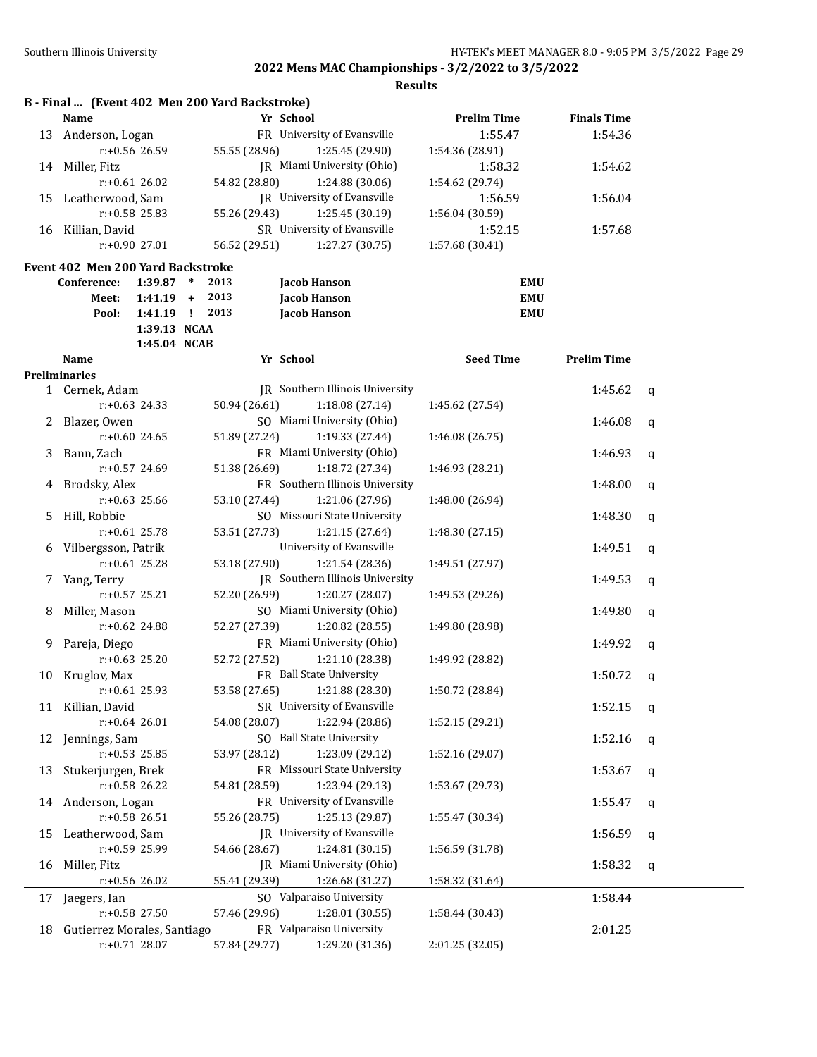|    | Name                              |                  | B - Final  (Event 402 Men 200 Yard Backstroke) | Yr School |                                        | <b>Prelim Time</b> | <b>Finals Time</b> |   |
|----|-----------------------------------|------------------|------------------------------------------------|-----------|----------------------------------------|--------------------|--------------------|---|
| 13 | Anderson, Logan                   |                  |                                                |           | FR University of Evansville            | 1:55.47            | 1:54.36            |   |
|    |                                   | r:+0.56 26.59    | 55.55 (28.96)                                  |           | 1:25.45 (29.90)                        | 1:54.36 (28.91)    |                    |   |
|    | 14 Miller, Fitz                   |                  |                                                |           | JR Miami University (Ohio)             | 1:58.32            | 1:54.62            |   |
|    |                                   | $r: +0.61$ 26.02 | 54.82 (28.80)                                  |           | 1:24.88 (30.06)                        | 1:54.62 (29.74)    |                    |   |
| 15 | Leatherwood, Sam                  |                  |                                                |           | JR University of Evansville            | 1:56.59            | 1:56.04            |   |
|    |                                   | r:+0.58 25.83    | 55.26 (29.43)                                  |           | 1:25.45 (30.19)                        | 1:56.04 (30.59)    |                    |   |
| 16 | Killian, David                    |                  |                                                |           | SR University of Evansville            | 1:52.15            | 1:57.68            |   |
|    |                                   | r:+0.90 27.01    | 56.52 (29.51)                                  |           | 1:27.27 (30.75)                        | 1:57.68 (30.41)    |                    |   |
|    | Event 402 Men 200 Yard Backstroke |                  |                                                |           |                                        |                    |                    |   |
|    | Conference:                       | $1:39.87$ *      | 2013                                           |           | Jacob Hanson                           |                    | EMU                |   |
|    | Meet:                             | $1:41.19 +$      | 2013                                           |           | <b>Jacob Hanson</b>                    |                    | <b>EMU</b>         |   |
|    | Pool:                             | 1:41.19 !        | 2013                                           |           | Jacob Hanson                           |                    | <b>EMU</b>         |   |
|    |                                   | 1:39.13 NCAA     |                                                |           |                                        |                    |                    |   |
|    |                                   | 1:45.04 NCAB     |                                                |           |                                        |                    |                    |   |
|    | Name                              |                  |                                                | Yr School |                                        | <b>Seed Time</b>   | <b>Prelim Time</b> |   |
|    | <b>Preliminaries</b>              |                  |                                                |           |                                        |                    |                    |   |
|    | 1 Cernek, Adam                    |                  |                                                |           | <b>IR</b> Southern Illinois University |                    | 1:45.62            | q |
|    |                                   | $r: +0.63$ 24.33 | 50.94 (26.61)                                  |           | 1:18.08 (27.14)                        | 1:45.62 (27.54)    |                    |   |
|    | Blazer, Owen                      |                  |                                                |           | SO Miami University (Ohio)             |                    | 1:46.08            | q |
|    |                                   | $r: +0.60$ 24.65 | 51.89 (27.24)                                  |           | 1:19.33 (27.44)                        | 1:46.08 (26.75)    |                    |   |
| 3  | Bann, Zach                        |                  |                                                |           | FR Miami University (Ohio)             |                    | 1:46.93            | q |
|    |                                   | r:+0.57 24.69    | 51.38 (26.69)                                  |           | 1:18.72 (27.34)                        | 1:46.93 (28.21)    |                    |   |
|    | Brodsky, Alex                     |                  |                                                |           | FR Southern Illinois University        |                    | 1:48.00            | q |
|    |                                   | $r: +0.63$ 25.66 | 53.10 (27.44)                                  |           | 1:21.06 (27.96)                        | 1:48.00 (26.94)    |                    |   |
| 5  | Hill, Robbie                      |                  |                                                |           | SO Missouri State University           |                    | 1:48.30            | q |
|    |                                   | $r: +0.61$ 25.78 | 53.51 (27.73)                                  |           | 1:21.15 (27.64)                        | 1:48.30 (27.15)    |                    |   |
| 6  | Vilbergsson, Patrik               |                  |                                                |           | University of Evansville               |                    | 1:49.51            | q |
|    |                                   | $r: +0.61$ 25.28 | 53.18 (27.90)                                  |           | 1:21.54 (28.36)                        | 1:49.51 (27.97)    |                    |   |
| 7. | Yang, Terry                       |                  |                                                |           | JR Southern Illinois University        |                    | 1:49.53            | q |
|    |                                   | $r: +0.57$ 25.21 | 52.20 (26.99)                                  |           | 1:20.27 (28.07)                        | 1:49.53 (29.26)    |                    |   |
| 8  | Miller, Mason                     |                  |                                                |           | SO Miami University (Ohio)             |                    | 1:49.80            | q |
|    |                                   | r:+0.62 24.88    | 52.27 (27.39)                                  |           | 1:20.82 (28.55)                        | 1:49.80 (28.98)    |                    |   |
| 9. | Pareja, Diego                     |                  |                                                |           | FR Miami University (Ohio)             |                    | 1:49.92            | q |
|    |                                   | $r: +0.63$ 25.20 | 52.72 (27.52)                                  |           | 1:21.10 (28.38)                        | 1:49.92 (28.82)    |                    |   |
| 10 | Kruglov, Max                      |                  |                                                |           | FR Ball State University               |                    | 1:50.72            | q |
|    | r:+0.61 25.93                     |                  | 53.58 (27.65)                                  |           | 1:21.88 (28.30)                        | 1:50.72 (28.84)    |                    |   |
|    | 11 Killian, David                 |                  |                                                |           | SR University of Evansville            |                    | 1:52.15            | q |
|    |                                   | $r: +0.64$ 26.01 | 54.08 (28.07)                                  |           | 1:22.94 (28.86)                        | 1:52.15 (29.21)    |                    |   |
|    | 12 Jennings, Sam                  |                  |                                                |           | SO Ball State University               |                    | 1:52.16            | q |
|    |                                   | r:+0.53 25.85    | 53.97 (28.12)                                  |           | 1:23.09 (29.12)                        | 1:52.16 (29.07)    |                    |   |
| 13 | Stukerjurgen, Brek                |                  |                                                |           | FR Missouri State University           |                    | 1:53.67            | q |
|    |                                   | r:+0.58 26.22    | 54.81 (28.59)                                  |           | 1:23.94 (29.13)                        | 1:53.67 (29.73)    |                    |   |
| 14 | Anderson, Logan                   |                  |                                                |           | FR University of Evansville            |                    | 1:55.47            | q |
|    |                                   | r:+0.58 26.51    | 55.26 (28.75)                                  |           | 1:25.13 (29.87)                        | 1:55.47 (30.34)    |                    |   |
| 15 | Leatherwood, Sam                  |                  |                                                |           | <b>IR</b> University of Evansville     |                    | 1:56.59            | q |
|    |                                   | r:+0.59 25.99    | 54.66 (28.67)                                  |           | 1:24.81 (30.15)                        | 1:56.59 (31.78)    |                    |   |
| 16 | Miller, Fitz                      |                  |                                                |           | JR Miami University (Ohio)             |                    | 1:58.32            | q |
|    |                                   | $r: +0.56$ 26.02 | 55.41 (29.39)                                  |           | 1:26.68 (31.27)                        | 1:58.32 (31.64)    |                    |   |
|    |                                   |                  |                                                |           | SO Valparaiso University               |                    |                    |   |
| 17 | Jaegers, Ian                      | r:+0.58 27.50    | 57.46 (29.96)                                  |           | 1:28.01 (30.55)                        |                    | 1:58.44            |   |
|    |                                   |                  |                                                |           | FR Valparaiso University               | 1:58.44 (30.43)    |                    |   |
| 18 | Gutierrez Morales, Santiago       |                  | 57.84 (29.77)                                  |           | 1:29.20 (31.36)                        |                    | 2:01.25            |   |
|    |                                   | $r: +0.71$ 28.07 |                                                |           |                                        | 2:01.25 (32.05)    |                    |   |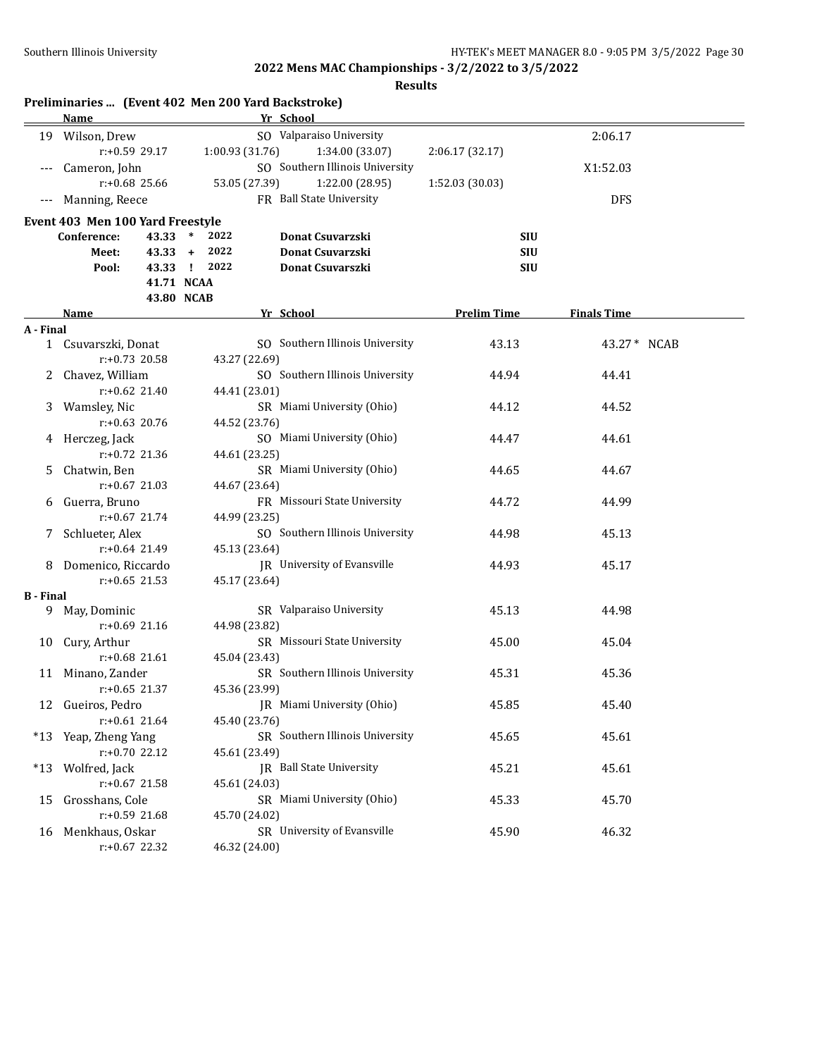|                  | Name                             | Preliminaries  (Event 402 Men 200 Yard Backstroke) |                    |                    |
|------------------|----------------------------------|----------------------------------------------------|--------------------|--------------------|
|                  |                                  | Yr School<br>SO Valparaiso University              |                    |                    |
|                  | 19 Wilson, Drew                  |                                                    |                    | 2:06.17            |
|                  | r:+0.59 29.17                    | 1:00.93(31.76)<br>1:34.00 (33.07)                  | 2:06.17 (32.17)    |                    |
|                  | Cameron, John                    | SO Southern Illinois University                    |                    | X1:52.03           |
|                  | $r: +0.68$ 25.66                 | 53.05 (27.39)<br>1:22.00 (28.95)                   | 1:52.03 (30.03)    |                    |
| $---$            | Manning, Reece                   | FR Ball State University                           |                    | <b>DFS</b>         |
|                  | Event 403 Men 100 Yard Freestyle |                                                    |                    |                    |
|                  | 43.33<br>Conference:             | $\ast$<br>2022<br>Donat Csuvarzski                 | SIU                |                    |
|                  | $43.33 +$<br>Meet:               | 2022<br>Donat Csuvarzski                           | <b>SIU</b>         |                    |
|                  | Pool:                            | 43.33 !<br>2022<br>Donat Csuvarszki                | <b>SIU</b>         |                    |
|                  |                                  | 41.71 NCAA                                         |                    |                    |
|                  |                                  | 43.80 NCAB                                         |                    |                    |
|                  | Name                             | Yr School                                          | <b>Prelim Time</b> | <b>Finals Time</b> |
| A - Final        |                                  |                                                    |                    |                    |
|                  | 1 Csuvarszki, Donat              | SO Southern Illinois University                    | 43.13              | 43.27 * NCAB       |
|                  | $r: +0.73$ 20.58                 | 43.27 (22.69)                                      |                    |                    |
| 2.               | Chavez, William                  | SO Southern Illinois University                    | 44.94              | 44.41              |
|                  | $r: +0.62$ 21.40                 | 44.41 (23.01)                                      |                    |                    |
| 3                | Wamsley, Nic                     | SR Miami University (Ohio)                         | 44.12              | 44.52              |
|                  | $r: +0.63$ 20.76                 | 44.52 (23.76)                                      |                    |                    |
| 4                | Herczeg, Jack                    | SO Miami University (Ohio)                         | 44.47              | 44.61              |
|                  | $r: +0.72$ 21.36                 | 44.61 (23.25)                                      |                    |                    |
| 5                | Chatwin, Ben                     | SR Miami University (Ohio)                         | 44.65              | 44.67              |
|                  | $r: +0.67$ 21.03                 | 44.67 (23.64)                                      |                    |                    |
| 6                | Guerra, Bruno                    | FR Missouri State University                       | 44.72              | 44.99              |
|                  | $r: +0.67$ 21.74                 | 44.99 (23.25)                                      |                    |                    |
| 7.               | Schlueter, Alex                  | SO Southern Illinois University                    | 44.98              | 45.13              |
|                  | $r: +0.64$ 21.49                 | 45.13 (23.64)                                      |                    |                    |
| 8.               | Domenico, Riccardo               | JR University of Evansville                        | 44.93              | 45.17              |
|                  | $r: +0.65$ 21.53                 | 45.17 (23.64)                                      |                    |                    |
| <b>B</b> - Final |                                  |                                                    |                    |                    |
|                  | 9 May, Dominic                   | SR Valparaiso University                           | 45.13              | 44.98              |
|                  | r:+0.69 21.16                    | 44.98 (23.82)                                      |                    |                    |
| 10               | Cury, Arthur                     | SR Missouri State University                       | 45.00              | 45.04              |
|                  | r:+0.68 21.61                    | 45.04 (23.43)                                      |                    |                    |
|                  | 11 Minano, Zander                | SR Southern Illinois University                    | 45.31              | 45.36              |
|                  | r:+0.65 21.37                    | 45.36 (23.99)                                      |                    |                    |
|                  | 12 Gueiros, Pedro                | JR Miami University (Ohio)                         | 45.85              | 45.40              |
|                  | $r: +0.61$ 21.64                 | 45.40 (23.76)                                      |                    |                    |
|                  | *13 Yeap, Zheng Yang             | SR Southern Illinois University                    | 45.65              | 45.61              |
|                  | r:+0.70 22.12                    | 45.61 (23.49)                                      |                    |                    |
| *13              | Wolfred, Jack                    | JR Ball State University                           | 45.21              | 45.61              |
|                  | r:+0.67 21.58                    | 45.61 (24.03)                                      |                    |                    |
| 15               | Grosshans, Cole                  | SR Miami University (Ohio)                         | 45.33              | 45.70              |
|                  | $r: +0.59$ 21.68                 | 45.70 (24.02)                                      |                    |                    |
| 16               | Menkhaus, Oskar                  | SR University of Evansville                        | 45.90              | 46.32              |
|                  | r:+0.67 22.32                    | 46.32 (24.00)                                      |                    |                    |
|                  |                                  |                                                    |                    |                    |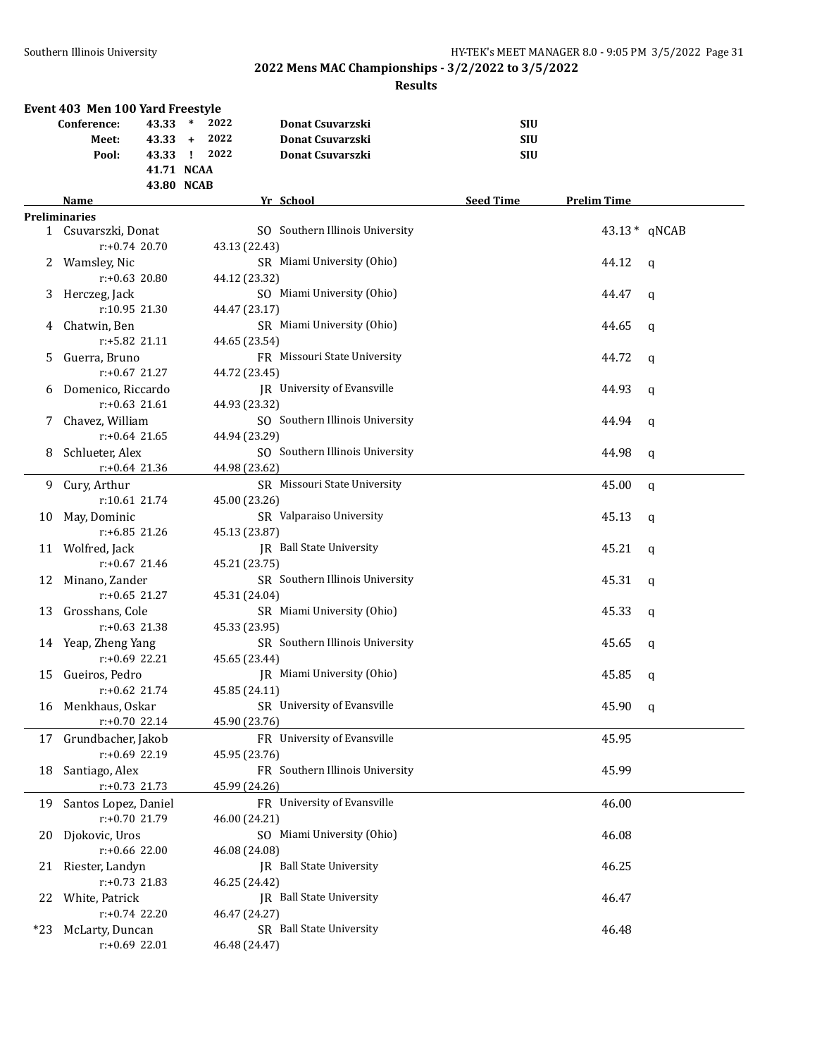|       | Event 403 Men 100 Yard Freestyle |                |                                 |                  |                    |              |
|-------|----------------------------------|----------------|---------------------------------|------------------|--------------------|--------------|
|       | Conference:<br>43.33             | $\ast$<br>2022 | Donat Csuvarzski                | <b>SIU</b>       |                    |              |
|       | $43.33 +$<br>Meet:               | 2022           | <b>Donat Csuvarzski</b>         | <b>SIU</b>       |                    |              |
|       | 43.33 !<br>Pool:                 | 2022           | Donat Csuvarszki                | <b>SIU</b>       |                    |              |
|       | 41.71 NCAA                       |                |                                 |                  |                    |              |
|       | 43.80 NCAB                       |                |                                 |                  |                    |              |
|       | Name                             |                | Yr School                       | <b>Seed Time</b> | <b>Prelim Time</b> |              |
|       | <b>Preliminaries</b>             |                |                                 |                  |                    |              |
|       | 1 Csuvarszki, Donat              |                | SO Southern Illinois University |                  |                    | 43.13* qNCAB |
|       | $r: +0.74$ 20.70                 | 43.13 (22.43)  |                                 |                  |                    |              |
| 2     | Wamsley, Nic                     |                | SR Miami University (Ohio)      |                  | 44.12              | q            |
|       | $r: +0.63$ 20.80                 | 44.12 (23.32)  |                                 |                  |                    |              |
| 3     | Herczeg, Jack                    |                | SO Miami University (Ohio)      |                  | 44.47              | q            |
|       | r:10.95 21.30                    | 44.47 (23.17)  |                                 |                  |                    |              |
| 4     | Chatwin, Ben                     |                | SR Miami University (Ohio)      |                  | 44.65              | q            |
|       | r:+5.82 21.11                    | 44.65 (23.54)  |                                 |                  |                    |              |
| 5.    | Guerra, Bruno                    |                | FR Missouri State University    |                  | 44.72              | $\mathbf q$  |
|       | $r: +0.67$ 21.27                 | 44.72 (23.45)  |                                 |                  |                    |              |
| 6     | Domenico, Riccardo               |                | JR University of Evansville     |                  | 44.93              | q            |
|       | $r: +0.63$ 21.61                 | 44.93 (23.32)  |                                 |                  |                    |              |
| 7     | Chavez, William                  |                | SO Southern Illinois University |                  | 44.94              | q            |
|       | $r: +0.64$ 21.65                 | 44.94 (23.29)  |                                 |                  |                    |              |
| 8     | Schlueter, Alex                  |                | SO Southern Illinois University |                  | 44.98              | q            |
|       | $r: +0.64$ 21.36                 | 44.98 (23.62)  |                                 |                  |                    |              |
| 9.    | Cury, Arthur                     |                | SR Missouri State University    |                  | 45.00              | q            |
|       | r:10.61 21.74                    | 45.00 (23.26)  |                                 |                  |                    |              |
| 10    | May, Dominic                     |                | SR Valparaiso University        |                  | 45.13              | q            |
|       | r:+6.85 21.26                    | 45.13 (23.87)  |                                 |                  |                    |              |
|       | 11 Wolfred, Jack                 |                | JR Ball State University        |                  | 45.21              | q            |
|       | $r: +0.67$ 21.46                 | 45.21 (23.75)  |                                 |                  |                    |              |
| 12    | Minano, Zander                   |                | SR Southern Illinois University |                  | 45.31              | q            |
|       | $r: +0.65$ 21.27                 | 45.31 (24.04)  |                                 |                  |                    |              |
| 13    | Grosshans, Cole                  |                | SR Miami University (Ohio)      |                  | 45.33              | q            |
|       | $r: +0.63$ 21.38                 | 45.33 (23.95)  |                                 |                  |                    |              |
|       | 14 Yeap, Zheng Yang              |                | SR Southern Illinois University |                  | 45.65              | q            |
|       | $r: +0.69$ 22.21                 | 45.65 (23.44)  |                                 |                  |                    |              |
| 15    | Gueiros, Pedro                   |                | IR Miami University (Ohio)      |                  | 45.85              | q            |
|       | $r: +0.62$ 21.74                 | 45.85 (24.11)  |                                 |                  |                    |              |
|       | 16 Menkhaus, Oskar               |                | SR University of Evansville     |                  | 45.90              | $\mathbf{q}$ |
|       | r:+0.70 22.14                    | 45.90 (23.76)  |                                 |                  |                    |              |
| 17    | Grundbacher, Jakob               |                | FR University of Evansville     |                  | 45.95              |              |
|       | r:+0.69 22.19                    | 45.95 (23.76)  |                                 |                  |                    |              |
| 18    | Santiago, Alex                   |                | FR Southern Illinois University |                  | 45.99              |              |
|       | $r.+0.73$ 21.73                  | 45.99 (24.26)  |                                 |                  |                    |              |
| 19    | Santos Lopez, Daniel             |                | FR University of Evansville     |                  | 46.00              |              |
|       | r:+0.70 21.79                    | 46.00 (24.21)  |                                 |                  |                    |              |
| 20    | Djokovic, Uros                   |                | SO Miami University (Ohio)      |                  | 46.08              |              |
|       | r:+0.66 22.00                    | 46.08 (24.08)  |                                 |                  |                    |              |
| 21    | Riester, Landyn                  |                | JR Ball State University        |                  | 46.25              |              |
|       | $r: +0.73$ 21.83                 | 46.25 (24.42)  |                                 |                  |                    |              |
| 22    | White, Patrick                   |                | JR Ball State University        |                  | 46.47              |              |
|       | r:+0.74 22.20                    | 46.47 (24.27)  |                                 |                  |                    |              |
| $*23$ | McLarty, Duncan                  |                | SR Ball State University        |                  | 46.48              |              |
|       | r:+0.69 22.01                    | 46.48 (24.47)  |                                 |                  |                    |              |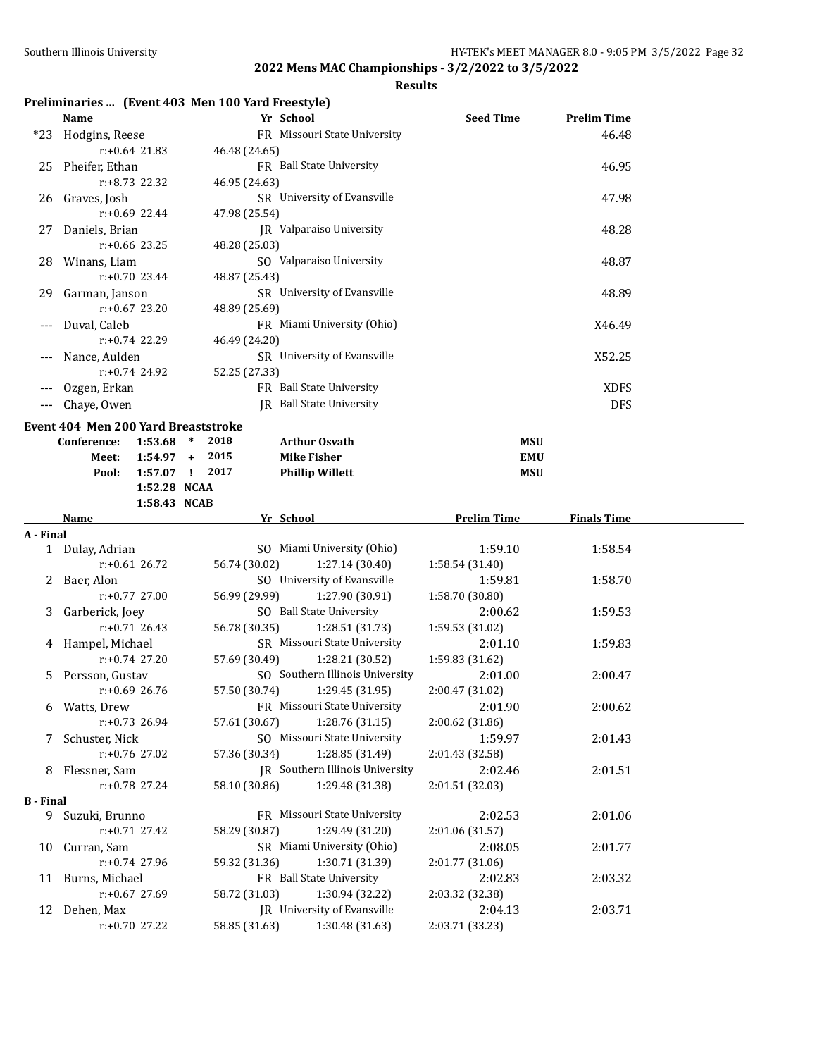## **Results**

## **Preliminaries ... (Event 403 Men 100 Yard Freestyle)**

|           | <b>Name</b>                                                |               | Yr School |                                                 | <b>Seed Time</b>           | <b>Prelim Time</b> |  |
|-----------|------------------------------------------------------------|---------------|-----------|-------------------------------------------------|----------------------------|--------------------|--|
| $*23$     | Hodgins, Reese                                             |               |           | FR Missouri State University                    |                            | 46.48              |  |
|           | $r: +0.64$ 21.83                                           | 46.48 (24.65) |           |                                                 |                            |                    |  |
| 25        | Pheifer, Ethan                                             |               |           | FR Ball State University                        |                            | 46.95              |  |
|           | r:+8.73 22.32                                              | 46.95 (24.63) |           |                                                 |                            |                    |  |
|           | 26 Graves, Josh                                            |               |           | SR University of Evansville                     |                            | 47.98              |  |
|           | $r: +0.69$ 22.44                                           | 47.98 (25.54) |           |                                                 |                            |                    |  |
|           | 27 Daniels, Brian                                          |               |           | JR Valparaiso University                        |                            | 48.28              |  |
|           | $r: +0.66$ 23.25                                           | 48.28 (25.03) |           |                                                 |                            |                    |  |
|           | 28 Winans, Liam                                            |               |           | SO Valparaiso University                        |                            | 48.87              |  |
|           | $r: +0.70$ 23.44                                           | 48.87 (25.43) |           |                                                 |                            |                    |  |
|           | 29 Garman, Janson                                          |               |           | SR University of Evansville                     |                            | 48.89              |  |
|           | $r: +0.67$ 23.20                                           | 48.89 (25.69) |           |                                                 |                            |                    |  |
|           | Duval, Caleb                                               |               |           | FR Miami University (Ohio)                      |                            | X46.49             |  |
|           | $r: +0.74$ 22.29                                           | 46.49 (24.20) |           |                                                 |                            |                    |  |
| ---       | Nance, Aulden                                              |               |           | SR University of Evansville                     |                            | X52.25             |  |
|           | $r: +0.74$ 24.92                                           | 52.25 (27.33) |           |                                                 |                            |                    |  |
|           | Ozgen, Erkan                                               |               |           | FR Ball State University                        |                            | <b>XDFS</b>        |  |
|           | Chaye, Owen                                                |               |           | IR Ball State University                        |                            | <b>DFS</b>         |  |
|           | Event 404 Men 200 Yard Breaststroke                        |               |           |                                                 |                            |                    |  |
|           | Conference:<br>$1:53.68$ *                                 | 2018          |           | <b>Arthur Osvath</b>                            | <b>MSU</b>                 |                    |  |
|           | $1:54.97 +$<br>Meet:                                       | 2015          |           | <b>Mike Fisher</b>                              | <b>EMU</b>                 |                    |  |
|           | $1:57.07$ !<br>Pool:                                       | 2017          |           | <b>Phillip Willett</b>                          | <b>MSU</b>                 |                    |  |
|           | 1:52.28 NCAA                                               |               |           |                                                 |                            |                    |  |
|           | 1:58.43 NCAB                                               |               |           |                                                 |                            |                    |  |
|           | <b>Name</b>                                                |               | Yr School |                                                 | <b>Prelim Time</b>         | <b>Finals Time</b> |  |
| A - Final |                                                            |               |           |                                                 |                            |                    |  |
|           | 1 Dulay, Adrian                                            |               |           | SO Miami University (Ohio)                      | 1:59.10                    | 1:58.54            |  |
|           | $r: +0.61$ 26.72                                           | 56.74 (30.02) |           | 1:27.14(30.40)                                  | 1:58.54 (31.40)            |                    |  |
|           | 2 Baer, Alon                                               |               |           | SO University of Evansville                     | 1:59.81                    | 1:58.70            |  |
|           | $r: +0.77$ 27.00                                           | 56.99 (29.99) |           | 1:27.90 (30.91)                                 | 1:58.70 (30.80)            |                    |  |
|           | 3 Garberick, Joey                                          |               |           | SO Ball State University                        | 2:00.62                    | 1:59.53            |  |
|           | $r: +0.71$ 26.43<br>$\mathbf{H}$ 1 <b>M</b> $\mathbf{H}$ 1 | 56.78 (30.35) |           | 1:28.51 (31.73)<br>CD Missouri Ctate University | 1:59.53 (31.02)<br>20.0110 | 1.500              |  |

|                  | $r: +0.71$ 26.43  | $56.78(30.35)$ 1:28.51 (31.73)     | 1:59.53(31.02)  |         |  |
|------------------|-------------------|------------------------------------|-----------------|---------|--|
|                  | 4 Hampel, Michael | SR Missouri State University       | 2:01.10         | 1:59.83 |  |
|                  | $r: +0.74$ 27.20  | 57.69 (30.49) 1:28.21 (30.52)      | 1:59.83 (31.62) |         |  |
|                  | 5 Persson, Gustav | SO Southern Illinois University    | 2:01.00         | 2:00.47 |  |
|                  | r:+0.69 26.76     | 57.50 (30.74) 1:29.45 (31.95)      | 2:00.47 (31.02) |         |  |
| 6                | Watts, Drew       | FR Missouri State University       | 2:01.90         | 2:00.62 |  |
|                  | $r: +0.73$ 26.94  | $57.61(30.67)$ 1:28.76 (31.15)     | 2:00.62(31.86)  |         |  |
| 7                | Schuster, Nick    | SO Missouri State University       | 1:59.97         | 2:01.43 |  |
|                  | r:+0.76 27.02     | 57.36 (30.34) 1:28.85 (31.49)      | 2:01.43 (32.58) |         |  |
| 8                | Flessner, Sam     | IR Southern Illinois University    | 2:02.46         | 2:01.51 |  |
|                  | r:+0.78 27.24     | 58.10 (30.86) 1:29.48 (31.38)      | 2:01.51 (32.03) |         |  |
| <b>B</b> - Final |                   |                                    |                 |         |  |
| 9                | Suzuki, Brunno    | FR Missouri State University       | 2:02.53         | 2:01.06 |  |
|                  | $r: +0.71$ 27.42  | 58.29 (30.87) 1:29.49 (31.20)      | 2:01.06(31.57)  |         |  |
| 10               | Curran, Sam       | SR Miami University (Ohio)         | 2:08.05         | 2:01.77 |  |
|                  | r:+0.74 27.96     | 59.32 (31.36) 1:30.71 (31.39)      | 2:01.77(31.06)  |         |  |
| 11               | Burns, Michael    | FR Ball State University           | 2:02.83         | 2:03.32 |  |
|                  | $r: +0.67$ 27.69  | 58.72 (31.03) 1:30.94 (32.22)      | 2:03.32 (32.38) |         |  |
| 12               | Dehen, Max        | <b>IR</b> University of Evansville | 2:04.13         | 2:03.71 |  |
|                  | $r: +0.70$ 27.22  | 58.85 (31.63) 1:30.48 (31.63)      | 2:03.71 (33.23) |         |  |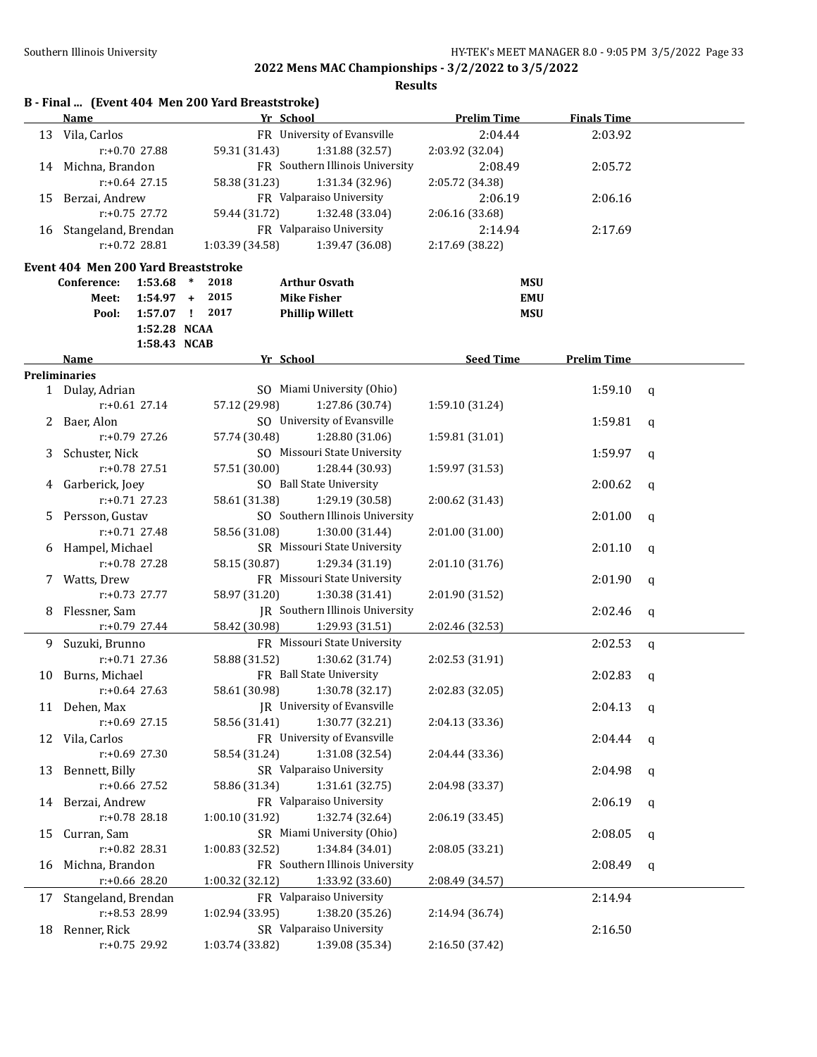|    |                                     |                  | B - Final  (Event 404 Men 200 Yard Breaststroke) |                                             |                    |                    |             |
|----|-------------------------------------|------------------|--------------------------------------------------|---------------------------------------------|--------------------|--------------------|-------------|
|    | <b>Name</b>                         |                  |                                                  | Yr School                                   | <b>Prelim Time</b> | <b>Finals Time</b> |             |
|    | 13 Vila, Carlos                     |                  |                                                  | FR University of Evansville                 | 2:04.44            | 2:03.92            |             |
|    |                                     | r:+0.70 27.88    | 59.31 (31.43)                                    | 1:31.88 (32.57)                             | 2:03.92 (32.04)    |                    |             |
|    | 14 Michna, Brandon                  |                  |                                                  | FR Southern Illinois University             | 2:08.49            | 2:05.72            |             |
|    |                                     | $r: +0.64$ 27.15 | 58.38 (31.23)                                    | 1:31.34 (32.96)                             | 2:05.72 (34.38)    |                    |             |
| 15 | Berzai, Andrew                      |                  |                                                  | FR Valparaiso University                    | 2:06.19            | 2:06.16            |             |
|    |                                     | r:+0.75 27.72    | 59.44 (31.72)                                    | 1:32.48 (33.04)                             | 2:06.16 (33.68)    |                    |             |
|    | 16 Stangeland, Brendan              |                  |                                                  | FR Valparaiso University                    | 2:14.94            | 2:17.69            |             |
|    |                                     | $r: +0.72$ 28.81 | 1:03.39 (34.58)                                  | 1:39.47 (36.08)                             | 2:17.69 (38.22)    |                    |             |
|    | Event 404 Men 200 Yard Breaststroke |                  |                                                  |                                             |                    |                    |             |
|    | Conference:                         | 1:53.68          | 2018<br>$\ast$                                   | <b>Arthur Osvath</b>                        | <b>MSU</b>         |                    |             |
|    | Meet:                               | $1:54.97 +$      | 2015                                             | <b>Mike Fisher</b>                          | <b>EMU</b>         |                    |             |
|    | Pool:                               |                  | 1:57.07 ! 2017                                   | <b>Phillip Willett</b>                      | <b>MSU</b>         |                    |             |
|    |                                     | 1:52.28 NCAA     |                                                  |                                             |                    |                    |             |
|    |                                     | 1:58.43 NCAB     |                                                  |                                             |                    |                    |             |
|    | Name                                |                  |                                                  | Yr School                                   | <b>Seed Time</b>   | <b>Prelim Time</b> |             |
|    | <b>Preliminaries</b>                |                  |                                                  |                                             |                    |                    |             |
|    | 1 Dulay, Adrian                     |                  |                                                  | SO Miami University (Ohio)                  |                    | 1:59.10            | q           |
|    |                                     | $r: +0.61$ 27.14 | 57.12 (29.98)                                    | 1:27.86 (30.74)                             | 1:59.10 (31.24)    |                    |             |
| 2  | Baer, Alon                          |                  |                                                  | SO University of Evansville                 |                    | 1:59.81            | q           |
|    |                                     | $r: +0.79$ 27.26 | 57.74 (30.48)                                    | 1:28.80 (31.06)                             | 1:59.81 (31.01)    |                    |             |
| 3  | Schuster, Nick                      |                  |                                                  | SO Missouri State University                |                    | 1:59.97            | q           |
|    |                                     | $r: +0.78$ 27.51 | 57.51 (30.00)                                    | 1:28.44 (30.93)                             | 1:59.97 (31.53)    |                    |             |
| 4  | Garberick, Joey                     |                  |                                                  | SO Ball State University                    |                    | 2:00.62            | q           |
|    |                                     | $r: +0.71$ 27.23 | 58.61 (31.38)                                    | 1:29.19 (30.58)                             | 2:00.62 (31.43)    |                    |             |
| 5. | Persson, Gustav                     |                  |                                                  | SO Southern Illinois University             |                    | 2:01.00            | q           |
|    |                                     | $r: +0.71$ 27.48 | 58.56 (31.08)                                    | 1:30.00 (31.44)                             | 2:01.00 (31.00)    |                    |             |
| 6  | Hampel, Michael                     |                  |                                                  | SR Missouri State University                |                    | 2:01.10            | q           |
|    |                                     | r:+0.78 27.28    | 58.15 (30.87)                                    | 1:29.34 (31.19)                             | 2:01.10 (31.76)    |                    |             |
| 7. | Watts, Drew                         |                  |                                                  | FR Missouri State University                |                    | 2:01.90            | q           |
|    |                                     | $r: +0.73$ 27.77 | 58.97 (31.20)                                    | 1:30.38 (31.41)                             | 2:01.90 (31.52)    |                    |             |
| 8  | Flessner, Sam                       |                  |                                                  | <b>IR</b> Southern Illinois University      |                    | 2:02.46            | q           |
|    |                                     | r:+0.79 27.44    | 58.42 (30.98)                                    | 1:29.93 (31.51)                             | 2:02.46 (32.53)    |                    |             |
| 9. | Suzuki, Brunno                      |                  |                                                  | FR Missouri State University                |                    | 2:02.53            | $\mathbf q$ |
|    |                                     | $r: +0.71$ 27.36 | 58.88 (31.52)                                    | 1:30.62 (31.74)                             | 2:02.53 (31.91)    |                    |             |
|    | 10 Burns, Michael                   |                  |                                                  | FR Ball State University                    |                    | 2:02.83            | q           |
|    |                                     | r:+0.64 27.63    | 58.61 (30.98)                                    | 1:30.78 (32.17)                             | 2:02.83 (32.05)    |                    |             |
|    | 11 Dehen, Max                       | r:+0.69 27.15    |                                                  | JR University of Evansville                 |                    | 2:04.13            | q           |
|    |                                     |                  | 58.56 (31.41)                                    | 1:30.77 (32.21)                             | 2:04.13 (33.36)    |                    |             |
|    | 12 Vila, Carlos                     |                  |                                                  | FR University of Evansville                 |                    | 2:04.44            | q           |
|    |                                     | r:+0.69 27.30    | 58.54 (31.24)                                    | 1:31.08 (32.54)<br>SR Valparaiso University | 2:04.44 (33.36)    |                    |             |
| 13 | Bennett, Billy                      | r:+0.66 27.52    | 58.86 (31.34)                                    | 1:31.61 (32.75)                             | 2:04.98 (33.37)    | 2:04.98            | q           |
|    |                                     |                  |                                                  | FR Valparaiso University                    |                    |                    |             |
| 14 | Berzai, Andrew                      | $r: +0.78$ 28.18 | 1:00.10 (31.92)                                  | 1:32.74 (32.64)                             | 2:06.19 (33.45)    | 2:06.19            | q           |
| 15 | Curran, Sam                         |                  |                                                  | SR Miami University (Ohio)                  |                    | 2:08.05            |             |
|    |                                     | r:+0.82 28.31    | 1:00.83 (32.52)                                  | 1:34.84 (34.01)                             | 2:08.05 (33.21)    |                    | q           |
| 16 | Michna, Brandon                     |                  |                                                  | FR Southern Illinois University             |                    | 2:08.49            |             |
|    |                                     | r:+0.66 28.20    | 1:00.32 (32.12)                                  | 1:33.92 (33.60)                             | 2:08.49 (34.57)    |                    | q           |
|    |                                     |                  |                                                  | FR Valparaiso University                    |                    |                    |             |
| 17 | Stangeland, Brendan                 | r:+8.53 28.99    |                                                  | 1:38.20 (35.26)                             |                    | 2:14.94            |             |
| 18 | Renner, Rick                        |                  | 1:02.94 (33.95)                                  | SR Valparaiso University                    | 2:14.94 (36.74)    | 2:16.50            |             |
|    |                                     | r:+0.75 29.92    | 1:03.74 (33.82)                                  | 1:39.08 (35.34)                             | 2:16.50 (37.42)    |                    |             |
|    |                                     |                  |                                                  |                                             |                    |                    |             |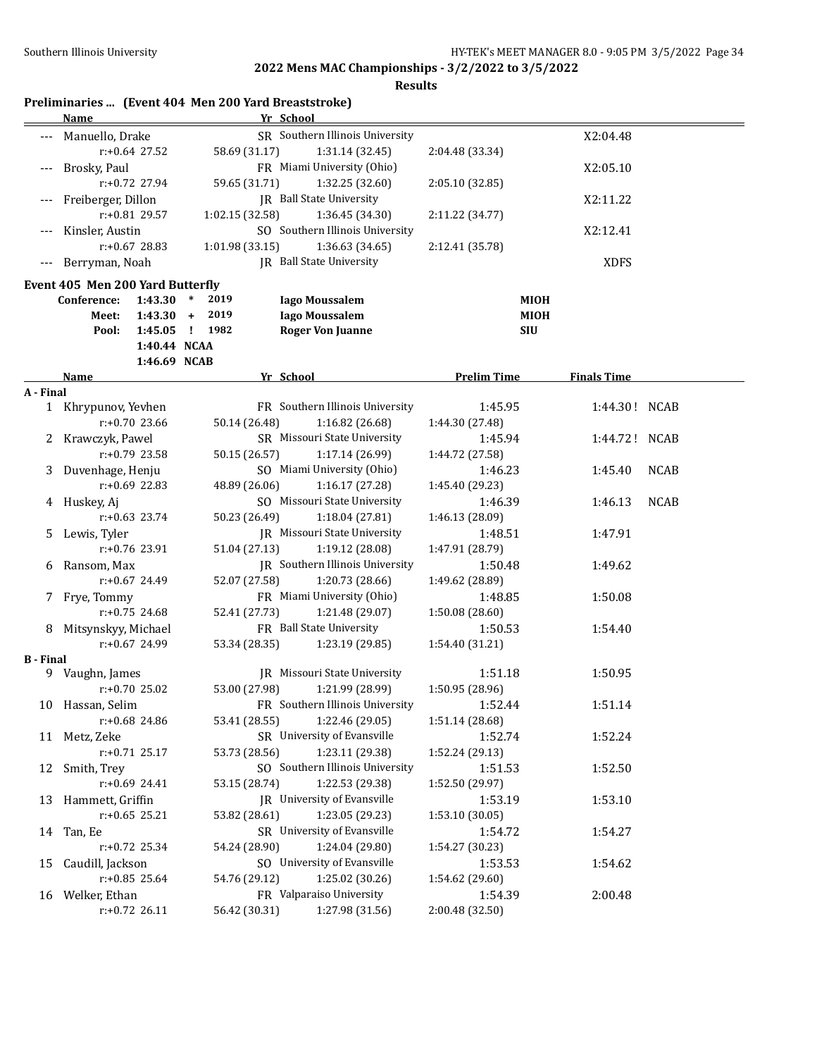|                  | Preliminaries  (Event 404 Men 200 Yard Breaststroke)<br>Name |                  |                      |                 | Yr School |                                                 |                 |                    |                    |               |  |
|------------------|--------------------------------------------------------------|------------------|----------------------|-----------------|-----------|-------------------------------------------------|-----------------|--------------------|--------------------|---------------|--|
|                  | Manuello, Drake                                              |                  |                      |                 |           | SR Southern Illinois University                 |                 |                    | X2:04.48           |               |  |
|                  |                                                              | r:+0.64 27.52    |                      | 58.69 (31.17)   |           | 1:31.14 (32.45)                                 | 2:04.48 (33.34) |                    |                    |               |  |
|                  | Brosky, Paul                                                 |                  |                      |                 |           | FR Miami University (Ohio)                      |                 |                    | X2:05.10           |               |  |
|                  |                                                              | r:+0.72 27.94    |                      | 59.65 (31.71)   |           | 1:32.25 (32.60)                                 | 2:05.10 (32.85) |                    |                    |               |  |
|                  | Freiberger, Dillon                                           |                  |                      |                 |           | JR Ball State University                        |                 |                    | X2:11.22           |               |  |
|                  |                                                              | r:+0.81 29.57    |                      | 1:02.15 (32.58) |           | 1:36.45 (34.30)                                 | 2:11.22 (34.77) |                    |                    |               |  |
|                  | Kinsler, Austin                                              |                  |                      |                 |           | SO Southern Illinois University                 |                 |                    | X2:12.41           |               |  |
|                  |                                                              | $r: +0.67$ 28.83 |                      | 1:01.98 (33.15) |           | 1:36.63 (34.65)                                 | 2:12.41 (35.78) |                    |                    |               |  |
| $-\, -\, -$      | Berryman, Noah                                               |                  |                      |                 |           | JR Ball State University                        |                 |                    | <b>XDFS</b>        |               |  |
|                  | Event 405 Men 200 Yard Butterfly                             |                  |                      |                 |           |                                                 |                 |                    |                    |               |  |
|                  | Conference:                                                  | 1:43.30          | $\ast$<br>2019       |                 |           | <b>Iago Moussalem</b>                           |                 | MIOH               |                    |               |  |
|                  | Meet:                                                        | 1:43.30          | 2019<br>$+$          |                 |           | <b>Iago Moussalem</b>                           |                 | MIOH               |                    |               |  |
|                  | Pool:                                                        | 1:45.05          | 1982<br>$\mathbf{I}$ |                 |           | <b>Roger Von Juanne</b>                         |                 | <b>SIU</b>         |                    |               |  |
|                  |                                                              | 1:40.44 NCAA     |                      |                 |           |                                                 |                 |                    |                    |               |  |
|                  |                                                              | 1:46.69 NCAB     |                      |                 |           |                                                 |                 |                    |                    |               |  |
|                  | <b>Name</b>                                                  |                  |                      |                 | Yr School |                                                 |                 | <b>Prelim Time</b> | <b>Finals Time</b> |               |  |
| A - Final        |                                                              |                  |                      |                 |           | FR Southern Illinois University                 |                 |                    |                    |               |  |
|                  | 1 Khrypunov, Yevhen                                          | $r: +0.70$ 23.66 |                      |                 |           |                                                 |                 | 1:45.95            |                    | 1:44.30! NCAB |  |
|                  |                                                              |                  |                      | 50.14 (26.48)   |           | 1:16.82 (26.68)<br>SR Missouri State University | 1:44.30 (27.48) |                    |                    |               |  |
| $\mathbf{Z}$     | Krawczyk, Pawel                                              | $r: +0.79$ 23.58 |                      |                 |           | 1:17.14 (26.99)                                 |                 | 1:45.94            |                    | 1:44.72! NCAB |  |
|                  | Duvenhage, Henju                                             |                  |                      | 50.15 (26.57)   |           | SO Miami University (Ohio)                      | 1:44.72 (27.58) | 1:46.23            | 1:45.40            | <b>NCAB</b>   |  |
| 3                |                                                              | $r: +0.69$ 22.83 |                      | 48.89 (26.06)   |           | 1:16.17 (27.28)                                 | 1:45.40 (29.23) |                    |                    |               |  |
|                  |                                                              |                  |                      |                 |           | SO Missouri State University                    |                 | 1:46.39            | 1:46.13            | <b>NCAB</b>   |  |
|                  | 4 Huskey, Aj                                                 | $r: +0.63$ 23.74 |                      | 50.23 (26.49)   |           | 1:18.04 (27.81)                                 | 1:46.13 (28.09) |                    |                    |               |  |
| 5                | Lewis, Tyler                                                 |                  |                      |                 |           | JR Missouri State University                    |                 | 1:48.51            | 1:47.91            |               |  |
|                  |                                                              | r:+0.76 23.91    |                      | 51.04 (27.13)   |           | 1:19.12 (28.08)                                 | 1:47.91 (28.79) |                    |                    |               |  |
| 6                | Ransom, Max                                                  |                  |                      |                 |           | JR Southern Illinois University                 |                 | 1:50.48            | 1:49.62            |               |  |
|                  |                                                              | $r: +0.67$ 24.49 |                      | 52.07 (27.58)   |           | 1:20.73 (28.66)                                 | 1:49.62 (28.89) |                    |                    |               |  |
| 7                | Frye, Tommy                                                  |                  |                      |                 |           | FR Miami University (Ohio)                      |                 | 1:48.85            | 1:50.08            |               |  |
|                  |                                                              | $r: +0.75$ 24.68 |                      | 52.41 (27.73)   |           | 1:21.48 (29.07)                                 | 1:50.08 (28.60) |                    |                    |               |  |
| 8                | Mitsynskyy, Michael                                          |                  |                      |                 |           | FR Ball State University                        |                 | 1:50.53            | 1:54.40            |               |  |
|                  |                                                              | r:+0.67 24.99    |                      | 53.34 (28.35)   |           | 1:23.19 (29.85)                                 | 1:54.40 (31.21) |                    |                    |               |  |
| <b>B</b> - Final |                                                              |                  |                      |                 |           |                                                 |                 |                    |                    |               |  |
|                  | 9 Vaughn, James                                              |                  |                      |                 |           | JR Missouri State University                    |                 | 1:51.18            | 1:50.95            |               |  |
|                  | r:+0.70 25.02                                                |                  |                      |                 |           | 53.00 (27.98) 1:21.99 (28.99)                   | 1:50.95 (28.96) |                    |                    |               |  |
|                  | 10 Hassan, Selim                                             |                  |                      |                 |           | FR Southern Illinois University                 |                 | 1:52.44            | 1:51.14            |               |  |
|                  |                                                              | r:+0.68 24.86    |                      | 53.41 (28.55)   |           | 1:22.46 (29.05)                                 | 1:51.14 (28.68) |                    |                    |               |  |
|                  | 11 Metz, Zeke                                                |                  |                      |                 |           | SR University of Evansville                     |                 | 1:52.74            | 1:52.24            |               |  |
|                  |                                                              | $r: +0.71$ 25.17 |                      | 53.73 (28.56)   |           | 1:23.11 (29.38)                                 | 1:52.24 (29.13) |                    |                    |               |  |
|                  | 12 Smith, Trey                                               |                  |                      |                 |           | SO Southern Illinois University                 |                 | 1:51.53            | 1:52.50            |               |  |
|                  |                                                              | $r: +0.69$ 24.41 |                      | 53.15 (28.74)   |           | 1:22.53 (29.38)                                 | 1:52.50 (29.97) |                    |                    |               |  |
| 13               | Hammett, Griffin                                             |                  |                      |                 |           | JR University of Evansville                     |                 | 1:53.19            | 1:53.10            |               |  |
|                  |                                                              | $r: +0.65$ 25.21 |                      | 53.82 (28.61)   |           | 1:23.05 (29.23)                                 | 1:53.10 (30.05) |                    |                    |               |  |
|                  | 14 Tan, Ee                                                   |                  |                      |                 |           | SR University of Evansville                     |                 | 1:54.72            | 1:54.27            |               |  |
|                  |                                                              | r:+0.72 25.34    |                      | 54.24 (28.90)   |           | 1:24.04 (29.80)                                 | 1:54.27 (30.23) |                    |                    |               |  |
| 15               | Caudill, Jackson                                             |                  |                      |                 |           | SO University of Evansville                     |                 | 1:53.53            | 1:54.62            |               |  |
|                  |                                                              | $r: +0.85$ 25.64 |                      | 54.76 (29.12)   |           | 1:25.02 (30.26)                                 | 1:54.62 (29.60) |                    |                    |               |  |
|                  | 16 Welker, Ethan                                             |                  |                      |                 |           | FR Valparaiso University                        |                 | 1:54.39            | 2:00.48            |               |  |
|                  |                                                              | r:+0.72 26.11    |                      | 56.42 (30.31)   |           | 1:27.98 (31.56)                                 | 2:00.48 (32.50) |                    |                    |               |  |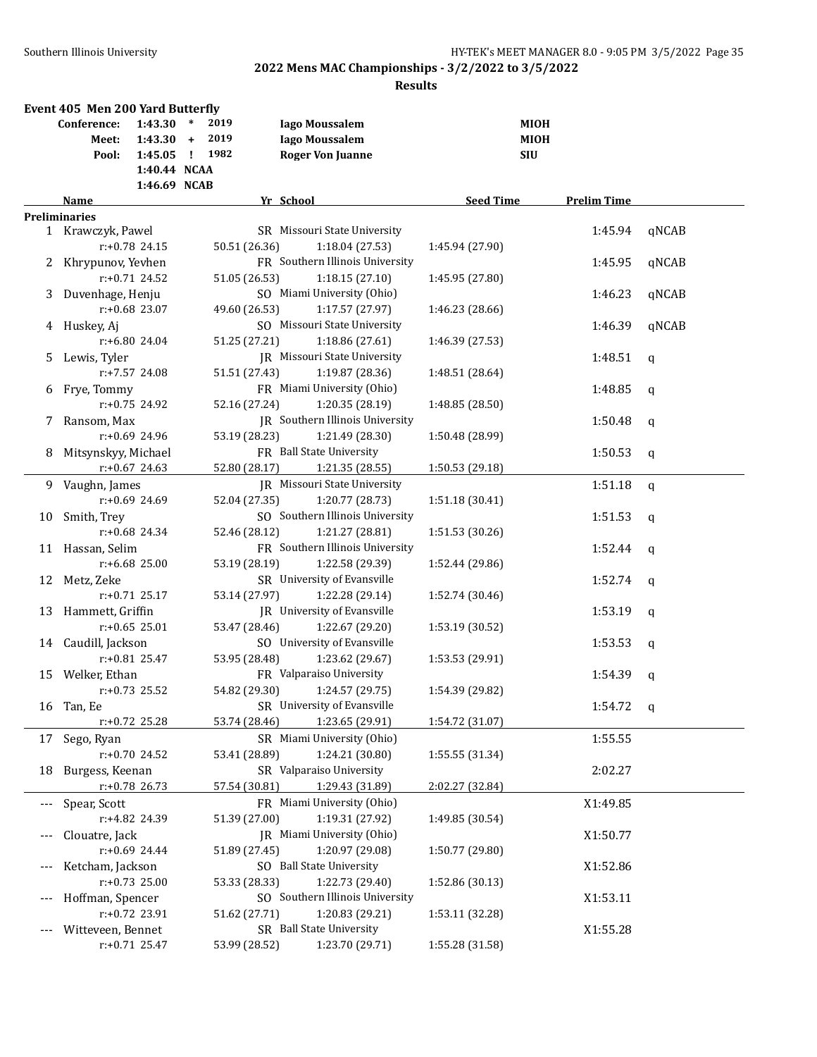|       | Event 405 Men 200 Yard Butterfly |                  |        |               |                                     |                  |                    |              |
|-------|----------------------------------|------------------|--------|---------------|-------------------------------------|------------------|--------------------|--------------|
|       | Conference:                      | 1:43.30          | $\ast$ | 2019          | <b>Iago Moussalem</b>               |                  | <b>MIOH</b>        |              |
|       | Meet:                            | $1:43.30 +$      |        | 2019          | <b>Iago Moussalem</b>               |                  | <b>MIOH</b>        |              |
|       | Pool:                            | $1:45.05$ !      |        | 1982          | <b>Roger Von Juanne</b>             |                  | <b>SIU</b>         |              |
|       |                                  | 1:40.44 NCAA     |        |               |                                     |                  |                    |              |
|       |                                  | 1:46.69 NCAB     |        |               |                                     |                  |                    |              |
|       | Name                             |                  |        |               | Yr School                           | <b>Seed Time</b> | <b>Prelim Time</b> |              |
|       | <b>Preliminaries</b>             |                  |        |               |                                     |                  |                    |              |
|       | 1 Krawczyk, Pawel                |                  |        |               | SR Missouri State University        |                  | 1:45.94            | qNCAB        |
|       |                                  | $r: +0.78$ 24.15 |        | 50.51 (26.36) | 1:18.04 (27.53)                     | 1:45.94 (27.90)  |                    |              |
| 2     | Khrypunov, Yevhen                |                  |        |               | FR Southern Illinois University     |                  | 1:45.95            | qNCAB        |
|       |                                  | $r: +0.71$ 24.52 |        | 51.05 (26.53) | 1:18.15(27.10)                      | 1:45.95 (27.80)  |                    |              |
| 3     | Duvenhage, Henju                 |                  |        |               | SO Miami University (Ohio)          |                  | 1:46.23            | qNCAB        |
|       |                                  | $r: +0.68$ 23.07 |        | 49.60 (26.53) | 1:17.57 (27.97)                     | 1:46.23 (28.66)  |                    |              |
| 4     | Huskey, Aj                       |                  |        |               | SO Missouri State University        |                  | 1:46.39            | qNCAB        |
|       |                                  | r:+6.80 24.04    |        | 51.25 (27.21) | 1:18.86 (27.61)                     | 1:46.39 (27.53)  |                    |              |
| 5.    | Lewis, Tyler                     |                  |        |               | <b>IR</b> Missouri State University |                  | 1:48.51            | $\mathbf q$  |
|       |                                  | $r: +7.57$ 24.08 |        | 51.51 (27.43) | 1:19.87 (28.36)                     | 1:48.51 (28.64)  |                    |              |
| 6     | Frye, Tommy                      |                  |        |               | FR Miami University (Ohio)          |                  | 1:48.85            | $\mathbf q$  |
|       |                                  | $r: +0.75$ 24.92 |        | 52.16 (27.24) | 1:20.35 (28.19)                     | 1:48.85 (28.50)  |                    |              |
| 7     | Ransom, Max                      |                  |        |               | JR Southern Illinois University     |                  | 1:50.48            | q            |
|       |                                  | $r: +0.69$ 24.96 |        | 53.19 (28.23) | 1:21.49 (28.30)                     | 1:50.48 (28.99)  |                    |              |
| 8     | Mitsynskyy, Michael              |                  |        |               | FR Ball State University            |                  | 1:50.53            | $\mathsf{q}$ |
|       |                                  | $r: +0.67$ 24.63 |        | 52.80 (28.17) | 1:21.35 (28.55)                     | 1:50.53 (29.18)  |                    |              |
|       | 9 Vaughn, James                  |                  |        |               | IR Missouri State University        |                  | 1:51.18            | $\mathsf{q}$ |
|       |                                  | $r: +0.69$ 24.69 |        | 52.04 (27.35) | 1:20.77 (28.73)                     | 1:51.18 (30.41)  |                    |              |
| 10    | Smith, Trey                      |                  |        |               | SO Southern Illinois University     |                  | 1:51.53            | $\mathsf{q}$ |
|       |                                  | $r: +0.68$ 24.34 |        | 52.46 (28.12) | 1:21.27 (28.81)                     | 1:51.53 (30.26)  |                    |              |
|       | 11 Hassan, Selim                 |                  |        |               | FR Southern Illinois University     |                  | 1:52.44            | q            |
|       |                                  | $r: +6.68$ 25.00 |        | 53.19 (28.19) | 1:22.58 (29.39)                     | 1:52.44 (29.86)  |                    |              |
|       | 12 Metz, Zeke                    |                  |        |               | SR University of Evansville         |                  | 1:52.74            | q            |
|       |                                  | $r: +0.71$ 25.17 |        | 53.14 (27.97) | 1:22.28 (29.14)                     | 1:52.74 (30.46)  |                    |              |
| 13    | Hammett, Griffin                 |                  |        |               | JR University of Evansville         |                  | 1:53.19            | q            |
|       |                                  | $r: +0.65$ 25.01 |        | 53.47 (28.46) | 1:22.67 (29.20)                     | 1:53.19 (30.52)  |                    |              |
|       | 14 Caudill, Jackson              |                  |        |               | SO University of Evansville         |                  | 1:53.53            | $\mathbf q$  |
|       |                                  | $r: +0.81$ 25.47 |        | 53.95 (28.48) | 1:23.62 (29.67)                     | 1:53.53 (29.91)  |                    |              |
| 15    | Welker, Ethan                    |                  |        |               | FR Valparaiso University            |                  | 1:54.39            | $\mathbf q$  |
|       |                                  | $r: +0.73$ 25.52 |        | 54.82 (29.30) | 1:24.57 (29.75)                     | 1:54.39 (29.82)  |                    |              |
|       | 16 Tan, Ee                       |                  |        |               | SR University of Evansville         |                  | 1:54.72            | $\mathbf{q}$ |
|       |                                  | $r: +0.72$ 25.28 |        | 53.74 (28.46) | 1:23.65 (29.91)                     | 1:54.72 (31.07)  |                    |              |
| 17    | Sego, Ryan                       |                  |        |               | SR Miami University (Ohio)          |                  | 1:55.55            |              |
|       |                                  | r:+0.70 24.52    |        | 53.41 (28.89) | 1:24.21 (30.80)                     | 1:55.55 (31.34)  |                    |              |
| 18    | Burgess, Keenan                  |                  |        |               | SR Valparaiso University            |                  | 2:02.27            |              |
|       |                                  | $r+0.78$ 26.73   |        | 57.54 (30.81) | 1:29.43 (31.89)                     | 2:02.27 (32.84)  |                    |              |
| $---$ | Spear, Scott                     |                  |        |               | FR Miami University (Ohio)          |                  | X1:49.85           |              |
|       |                                  | r:+4.82 24.39    |        | 51.39 (27.00) | 1:19.31 (27.92)                     | 1:49.85 (30.54)  |                    |              |
| $---$ | Clouatre, Jack                   |                  |        |               | JR Miami University (Ohio)          |                  | X1:50.77           |              |
|       |                                  | r:+0.69 24.44    |        | 51.89 (27.45) | 1:20.97 (29.08)                     | 1:50.77 (29.80)  |                    |              |
| $---$ | Ketcham, Jackson                 |                  |        |               | SO Ball State University            |                  | X1:52.86           |              |
|       |                                  | $r: +0.73$ 25.00 |        | 53.33 (28.33) | 1:22.73 (29.40)                     | 1:52.86 (30.13)  |                    |              |
| $---$ | Hoffman, Spencer                 |                  |        |               | SO Southern Illinois University     |                  | X1:53.11           |              |
|       |                                  | r:+0.72 23.91    |        | 51.62 (27.71) | 1:20.83 (29.21)                     | 1:53.11 (32.28)  |                    |              |
|       | Witteveen, Bennet                |                  |        |               | SR Ball State University            |                  | X1:55.28           |              |
|       |                                  | $r: +0.71$ 25.47 |        | 53.99 (28.52) | 1:23.70 (29.71)                     | 1:55.28 (31.58)  |                    |              |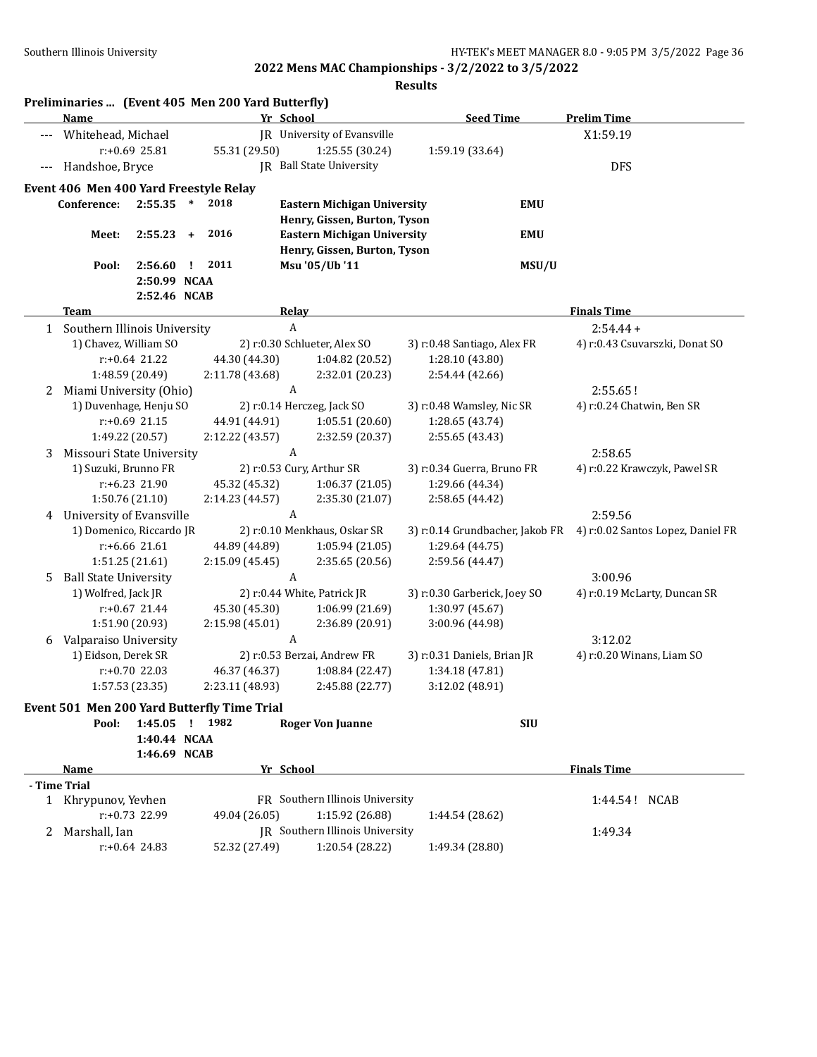|       | Preliminaries  (Event 405 Men 200 Yard Butterfly)<br>Name |                  |               |                 | Yr School                  |                                    |                           | <b>Seed Time</b>             |                           | <b>Prelim Time</b>                                                |  |
|-------|-----------------------------------------------------------|------------------|---------------|-----------------|----------------------------|------------------------------------|---------------------------|------------------------------|---------------------------|-------------------------------------------------------------------|--|
|       |                                                           |                  |               |                 |                            | JR University of Evansville        |                           |                              |                           | X1:59.19                                                          |  |
| $---$ | Whitehead, Michael                                        |                  |               |                 |                            |                                    |                           |                              |                           |                                                                   |  |
|       |                                                           | $r: +0.69$ 25.81 |               | 55.31 (29.50)   |                            | 1:25.55 (30.24)                    |                           | 1:59.19 (33.64)              |                           |                                                                   |  |
| $---$ | Handshoe, Bryce                                           |                  |               |                 |                            | <b>IR</b> Ball State University    |                           |                              |                           | <b>DFS</b>                                                        |  |
|       | Event 406 Men 400 Yard Freestyle Relay                    |                  |               |                 |                            |                                    |                           |                              |                           |                                                                   |  |
|       | Conference:                                               | 2:55.35          | $\ast$        | 2018            |                            | <b>Eastern Michigan University</b> |                           |                              | <b>EMU</b>                |                                                                   |  |
|       |                                                           |                  |               |                 |                            | Henry, Gissen, Burton, Tyson       |                           |                              |                           |                                                                   |  |
|       | Meet:                                                     | 2:55.23          | $+$           | 2016            |                            | <b>Eastern Michigan University</b> |                           |                              | <b>EMU</b>                |                                                                   |  |
|       |                                                           |                  |               |                 |                            | Henry, Gissen, Burton, Tyson       |                           |                              |                           |                                                                   |  |
|       | Pool:                                                     | 2:56.60          | $\mathbf{I}$  | 2011            |                            | Msu '05/Ub '11                     |                           |                              | MSU/U                     |                                                                   |  |
|       |                                                           | 2:50.99 NCAA     |               |                 |                            |                                    |                           |                              |                           |                                                                   |  |
|       |                                                           | 2:52.46 NCAB     |               |                 |                            |                                    |                           |                              |                           |                                                                   |  |
|       | <b>Team</b>                                               |                  |               |                 | <b>Relay</b>               |                                    |                           |                              |                           | <b>Finals Time</b>                                                |  |
|       | 1 Southern Illinois University                            |                  |               |                 | $\boldsymbol{A}$           |                                    |                           |                              |                           | $2:54.44+$                                                        |  |
|       | 1) Chavez, William SO                                     |                  |               |                 |                            | 2) r:0.30 Schlueter, Alex SO       |                           | 3) r:0.48 Santiago, Alex FR  |                           | 4) r:0.43 Csuvarszki, Donat SO                                    |  |
|       |                                                           | $r: +0.64$ 21.22 |               | 44.30 (44.30)   |                            | 1:04.82 (20.52)                    |                           | 1:28.10 (43.80)              |                           |                                                                   |  |
|       |                                                           | 1:48.59 (20.49)  |               | 2:11.78 (43.68) |                            | 2:32.01 (20.23)                    |                           | 2:54.44 (42.66)              |                           |                                                                   |  |
| 2     | Miami University (Ohio)                                   |                  |               |                 | A                          |                                    |                           |                              |                           | 2:55.65!                                                          |  |
|       | 1) Duvenhage, Henju SO                                    |                  |               |                 | 2) r:0.14 Herczeg, Jack SO |                                    | 3) r:0.48 Wamsley, Nic SR |                              | 4) r:0.24 Chatwin, Ben SR |                                                                   |  |
|       |                                                           | r:+0.69 21.15    |               | 44.91 (44.91)   |                            | 1:05.51(20.60)                     |                           | 1:28.65 (43.74)              |                           |                                                                   |  |
|       |                                                           | 1:49.22 (20.57)  |               | 2:12.22 (43.57) |                            | 2:32.59 (20.37)                    |                           | 2:55.65 (43.43)              |                           |                                                                   |  |
| 3     | Missouri State University                                 |                  |               |                 | A                          |                                    |                           |                              |                           | 2:58.65                                                           |  |
|       | 1) Suzuki, Brunno FR                                      |                  |               |                 |                            | 2) r:0.53 Cury, Arthur SR          |                           | 3) r:0.34 Guerra, Bruno FR   |                           | 4) r:0.22 Krawczyk, Pawel SR                                      |  |
|       | r:+6.23 21.90                                             |                  |               | 45.32 (45.32)   |                            | 1:06.37(21.05)                     |                           | 1:29.66 (44.34)              |                           |                                                                   |  |
|       |                                                           | 1:50.76 (21.10)  |               | 2:14.23 (44.57) |                            | 2:35.30 (21.07)                    |                           | 2:58.65 (44.42)              |                           |                                                                   |  |
| 4     | University of Evansville                                  |                  |               |                 | A                          |                                    |                           |                              |                           | 2:59.56                                                           |  |
|       | 1) Domenico, Riccardo JR                                  |                  |               |                 |                            | 2) r:0.10 Menkhaus, Oskar SR       |                           |                              |                           | 3) r:0.14 Grundbacher, Jakob FR 4) r:0.02 Santos Lopez, Daniel FR |  |
|       |                                                           | $r: +6.66$ 21.61 |               | 44.89 (44.89)   |                            | 1:05.94(21.05)                     |                           | 1:29.64 (44.75)              |                           |                                                                   |  |
|       |                                                           | 1:51.25 (21.61)  |               | 2:15.09 (45.45) |                            | 2:35.65 (20.56)                    |                           | 2:59.56 (44.47)              |                           |                                                                   |  |
| 5.    | <b>Ball State University</b>                              |                  |               |                 | $\boldsymbol{A}$           |                                    |                           |                              |                           | 3:00.96                                                           |  |
|       | 1) Wolfred, Jack JR                                       |                  |               |                 |                            | 2) r:0.44 White, Patrick JR        |                           | 3) r:0.30 Garberick, Joey SO |                           | 4) r:0.19 McLarty, Duncan SR                                      |  |
|       |                                                           | $r: +0.67$ 21.44 |               | 45.30 (45.30)   |                            | 1:06.99 (21.69)                    |                           | 1:30.97 (45.67)              |                           |                                                                   |  |
|       |                                                           | 1:51.90 (20.93)  |               | 2:15.98 (45.01) |                            | 2:36.89 (20.91)                    |                           | 3:00.96 (44.98)              |                           |                                                                   |  |
| 6     | Valparaiso University                                     |                  |               |                 | A                          |                                    |                           |                              |                           | 3:12.02                                                           |  |
|       | 1) Eidson, Derek SR                                       |                  |               |                 |                            | 2) r:0.53 Berzai, Andrew FR        |                           | 3) r:0.31 Daniels, Brian JR  |                           | 4) r:0.20 Winans, Liam SO                                         |  |
|       |                                                           | $r: +0.70$ 22.03 | 46.37 (46.37) |                 |                            | 1:08.84 (22.47)                    |                           | 1:34.18 (47.81)              |                           |                                                                   |  |
|       |                                                           | 1:57.53 (23.35)  |               | 2:23.11 (48.93) |                            | 2:45.88 (22.77)                    |                           | 3:12.02 (48.91)              |                           |                                                                   |  |
|       | Event 501 Men 200 Yard Butterfly Time Trial               |                  |               |                 |                            |                                    |                           |                              |                           |                                                                   |  |
|       | Pool:                                                     | 1:45.05 ! 1982   |               |                 |                            | <b>Roger Von Juanne</b>            |                           |                              | <b>SIU</b>                |                                                                   |  |
|       |                                                           | 1:40.44 NCAA     |               |                 |                            |                                    |                           |                              |                           |                                                                   |  |
|       |                                                           | 1:46.69 NCAB     |               |                 |                            |                                    |                           |                              |                           |                                                                   |  |
|       | <b>Name</b>                                               |                  |               |                 | Yr School                  |                                    |                           |                              |                           | <b>Finals Time</b>                                                |  |
|       | - Time Trial                                              |                  |               |                 |                            |                                    |                           |                              |                           |                                                                   |  |
|       | 1 Khrypunov, Yevhen                                       |                  |               |                 |                            | FR Southern Illinois University    |                           |                              |                           | 1:44.54! NCAB                                                     |  |
|       |                                                           | r:+0.73 22.99    |               | 49.04 (26.05)   |                            | 1:15.92 (26.88)                    |                           | 1:44.54 (28.62)              |                           |                                                                   |  |
| 2     | Marshall, Ian                                             |                  |               |                 |                            | IR Southern Illinois University    | 1:49.34                   |                              |                           |                                                                   |  |
|       |                                                           | $r: +0.64$ 24.83 |               | 52.32 (27.49)   |                            | 1:20.54 (28.22)                    |                           | 1:49.34 (28.80)              |                           |                                                                   |  |
|       |                                                           |                  |               |                 |                            |                                    |                           |                              |                           |                                                                   |  |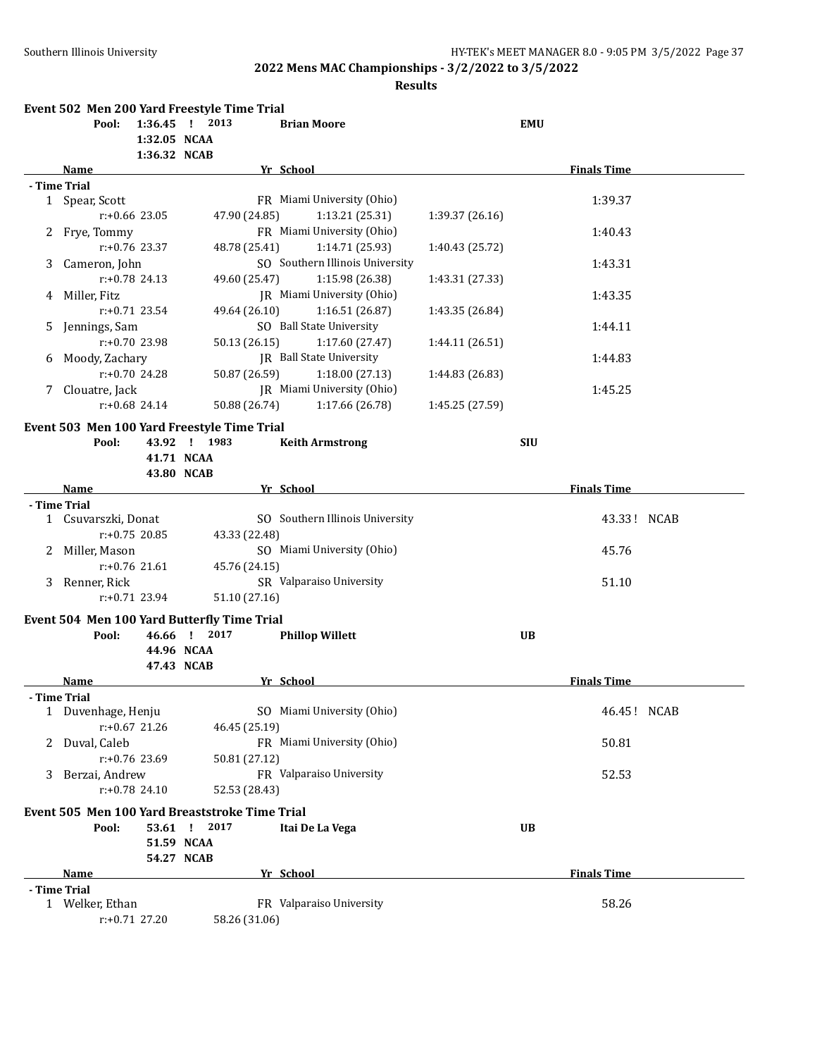|                |                             |                  | Event 502 Men 200 Yard Freestyle Time Trial                    |                                 |                 |            |                    |
|----------------|-----------------------------|------------------|----------------------------------------------------------------|---------------------------------|-----------------|------------|--------------------|
|                | Pool:                       | 1:32.05 NCAA     | 1:36.45 ! 2013                                                 | <b>Brian Moore</b>              |                 | <b>EMU</b> |                    |
|                | Name                        | 1:36.32 NCAB     |                                                                | Yr School                       |                 |            | <b>Finals Time</b> |
|                | - Time Trial                |                  |                                                                |                                 |                 |            |                    |
|                | 1 Spear, Scott              |                  |                                                                | FR Miami University (Ohio)      |                 |            | 1:39.37            |
|                |                             | $r: +0.66$ 23.05 | 47.90 (24.85)                                                  | 1:13.21(25.31)                  | 1:39.37(26.16)  |            |                    |
|                | 2 Frye, Tommy               |                  |                                                                | FR Miami University (Ohio)      |                 |            | 1:40.43            |
|                |                             | $r: +0.76$ 23.37 | 48.78 (25.41)                                                  | 1:14.71 (25.93)                 | 1:40.43 (25.72) |            |                    |
| 3              | Cameron, John               |                  |                                                                | SO Southern Illinois University |                 |            | 1:43.31            |
|                |                             | $r: +0.78$ 24.13 | 49.60 (25.47)                                                  | 1:15.98 (26.38)                 | 1:43.31 (27.33) |            |                    |
|                | 4 Miller, Fitz              |                  |                                                                | JR Miami University (Ohio)      |                 |            | 1:43.35            |
|                |                             | $r: +0.71$ 23.54 | 49.64 (26.10)                                                  | 1:16.51(26.87)                  | 1:43.35 (26.84) |            |                    |
| 5.             | Jennings, Sam               |                  |                                                                | SO Ball State University        |                 |            | 1:44.11            |
|                |                             | r:+0.70 23.98    | 50.13 (26.15)                                                  | 1:17.60 (27.47)                 | 1:44.11 (26.51) |            |                    |
|                | 6 Moody, Zachary            |                  |                                                                | <b>IR</b> Ball State University |                 |            | 1:44.83            |
|                |                             | $r: +0.70$ 24.28 | 50.87 (26.59)                                                  | 1:18.00(27.13)                  | 1:44.83 (26.83) |            |                    |
|                | Clouatre, Jack              |                  |                                                                | JR Miami University (Ohio)      |                 |            | 1:45.25            |
|                |                             | $r: +0.68$ 24.14 | 50.88 (26.74)                                                  | 1:17.66 (26.78)                 | 1:45.25 (27.59) |            |                    |
|                |                             |                  |                                                                |                                 |                 |            |                    |
|                |                             |                  | Event 503 Men 100 Yard Freestyle Time Trial                    |                                 |                 |            |                    |
|                | Pool:                       |                  | 43.92 ! 1983                                                   | <b>Keith Armstrong</b>          |                 | <b>SIU</b> |                    |
|                |                             |                  | 41.71 NCAA                                                     |                                 |                 |            |                    |
|                |                             |                  | 43.80 NCAB                                                     |                                 |                 |            |                    |
|                | <b>Name</b><br>- Time Trial |                  |                                                                | Yr School                       |                 |            | <b>Finals Time</b> |
|                | 1 Csuvarszki, Donat         |                  |                                                                | SO Southern Illinois University |                 |            | 43.33! NCAB        |
|                |                             | $r: +0.75$ 20.85 | 43.33 (22.48)                                                  |                                 |                 |            |                    |
|                | 2 Miller, Mason             |                  |                                                                | SO Miami University (Ohio)      |                 |            | 45.76              |
|                |                             | $r: +0.76$ 21.61 | 45.76 (24.15)                                                  |                                 |                 |            |                    |
| 3              | Renner, Rick                |                  |                                                                | SR Valparaiso University        |                 |            | 51.10              |
|                |                             | $r: +0.71$ 23.94 | 51.10 (27.16)                                                  |                                 |                 |            |                    |
|                |                             |                  |                                                                |                                 |                 |            |                    |
|                |                             |                  | Event 504 Men 100 Yard Butterfly Time Trial                    |                                 |                 |            |                    |
|                | Pool:                       |                  | 46.66 ! 2017                                                   | <b>Phillop Willett</b>          |                 | <b>UB</b>  |                    |
|                |                             |                  | 44.96 NCAA                                                     |                                 |                 |            |                    |
|                | Name                        |                  | 47.43 NCAB                                                     | Yr School                       |                 |            | <b>Finals Time</b> |
|                | <b>Time Trial</b>           |                  |                                                                |                                 |                 |            |                    |
|                | 1 Duvenhage, Henju          |                  |                                                                | SO Miami University (Ohio)      |                 |            | 46.45! NCAB        |
|                |                             | $r: +0.67$ 21.26 | 46.45 (25.19)                                                  |                                 |                 |            |                    |
| $\mathbf{Z}^-$ | Duval, Caleb                |                  |                                                                | FR Miami University (Ohio)      |                 |            | 50.81              |
|                |                             | r:+0.76 23.69    | 50.81 (27.12)                                                  |                                 |                 |            |                    |
| 3.             | Berzai, Andrew              |                  |                                                                | FR Valparaiso University        |                 |            | 52.53              |
|                |                             | $r: +0.78$ 24.10 | 52.53 (28.43)                                                  |                                 |                 |            |                    |
|                |                             |                  |                                                                |                                 |                 |            |                    |
|                |                             |                  | Event 505 Men 100 Yard Breaststroke Time Trial<br>53.61 ! 2017 |                                 |                 | <b>UB</b>  |                    |
|                | Pool:                       |                  | 51.59 NCAA                                                     | Itai De La Vega                 |                 |            |                    |
|                |                             |                  |                                                                |                                 |                 |            |                    |
|                | <b>Name</b>                 |                  | 54.27 NCAB                                                     | Yr School                       |                 |            | <b>Finals Time</b> |
|                | - Time Trial                |                  |                                                                |                                 |                 |            |                    |
|                | 1 Welker, Ethan             |                  |                                                                | FR Valparaiso University        |                 |            | 58.26              |
|                |                             | r:+0.71 27.20    | 58.26 (31.06)                                                  |                                 |                 |            |                    |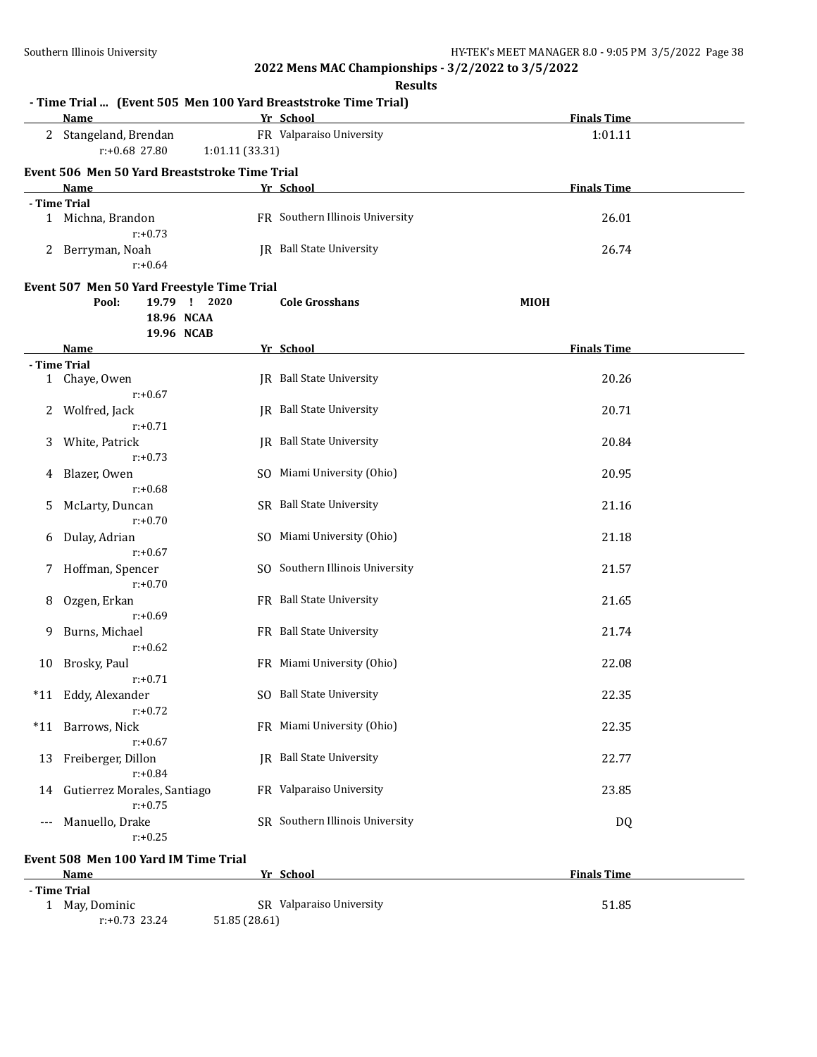r:+0.73 23.24 51.85 (28.61)

**2022 Mens MAC Championships - 3/2/2022 to 3/5/2022**

|       |                                                                                                 | <b>Results</b>                  |                    |
|-------|-------------------------------------------------------------------------------------------------|---------------------------------|--------------------|
|       | - Time Trial  (Event 505 Men 100 Yard Breaststroke Time Trial)<br><b>Name</b>                   | Yr School                       | <b>Finals Time</b> |
|       | 2 Stangeland, Brendan<br>$r: +0.68$ 27.80<br>1:01.11 (33.31)                                    | FR Valparaiso University        | 1:01.11            |
|       | Event 506 Men 50 Yard Breaststroke Time Trial                                                   |                                 |                    |
|       | Name                                                                                            | Yr School                       | <b>Finals Time</b> |
|       | - Time Trial                                                                                    |                                 |                    |
|       | 1 Michna, Brandon<br>$r: +0.73$                                                                 | FR Southern Illinois University | 26.01              |
|       | 2 Berryman, Noah<br>$r: +0.64$                                                                  | <b>IR</b> Ball State University | 26.74              |
|       | Event 507 Men 50 Yard Freestyle Time Trial<br>Pool:<br>19.79 ! 2020<br>18.96 NCAA<br>19.96 NCAB | <b>Cole Grosshans</b>           | MIOH               |
|       | <b>Name</b>                                                                                     | Yr School                       | <b>Finals Time</b> |
|       | - Time Trial                                                                                    |                                 |                    |
|       | 1 Chaye, Owen<br>$r: +0.67$                                                                     | JR Ball State University        | 20.26              |
| 2     | Wolfred, Jack<br>$r: +0.71$                                                                     | <b>IR</b> Ball State University | 20.71              |
| 3     | White, Patrick<br>$r: +0.73$                                                                    | JR Ball State University        | 20.84              |
| 4     | Blazer, Owen<br>$r: +0.68$                                                                      | SO Miami University (Ohio)      | 20.95              |
| 5.    | McLarty, Duncan<br>$r: +0.70$                                                                   | SR Ball State University        | 21.16              |
| 6     | Dulay, Adrian<br>$r: +0.67$                                                                     | SO Miami University (Ohio)      | 21.18              |
| 7     | Hoffman, Spencer<br>$r: +0.70$                                                                  | SO Southern Illinois University | 21.57              |
| 8     | Ozgen, Erkan<br>$r: +0.69$                                                                      | FR Ball State University        | 21.65              |
| 9     | Burns, Michael<br>$r: +0.62$                                                                    | FR Ball State University        | 21.74              |
|       | 10 Brosky, Paul<br>$r: +0.71$                                                                   | FR Miami University (Ohio)      | 22.08              |
|       | *11 Eddy, Alexander<br>$r: +0.72$                                                               | SO Ball State University        | 22.35              |
| $*11$ | Barrows, Nick<br>$r: +0.67$                                                                     | FR Miami University (Ohio)      | 22.35              |
| 13    | Freiberger, Dillon<br>$r: +0.84$                                                                | JR Ball State University        | 22.77              |
| 14    | Gutierrez Morales, Santiago<br>$r: +0.75$                                                       | FR Valparaiso University        | 23.85              |
| ---   | Manuello, Drake<br>$r: +0.25$                                                                   | SR Southern Illinois University | DQ                 |
|       | Event 508 Men 100 Yard IM Time Trial                                                            |                                 |                    |
|       | <b>Name</b>                                                                                     | Yr School                       | <b>Finals Time</b> |
|       | - Time Trial                                                                                    |                                 |                    |
|       | 1 May, Dominic                                                                                  | SR Valparaiso University        | 51.85              |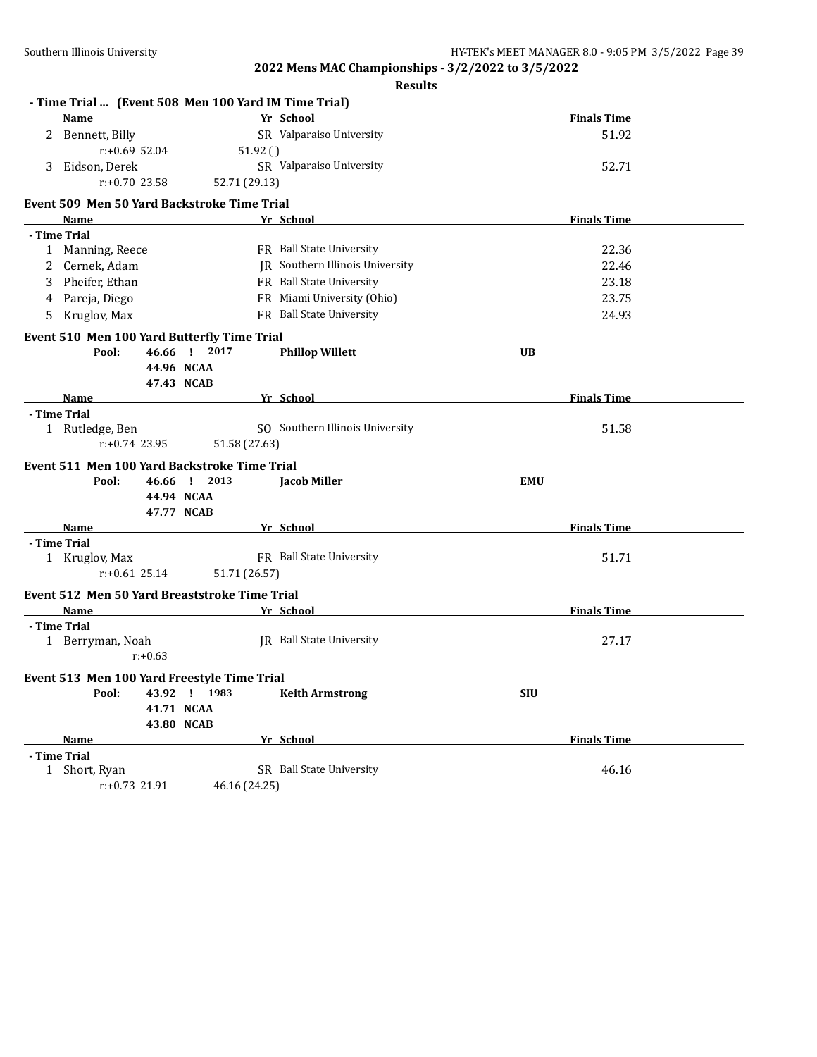|    |                  |            |                                                      | <b>Results</b>                  |                    |
|----|------------------|------------|------------------------------------------------------|---------------------------------|--------------------|
|    |                  |            | - Time Trial  (Event 508 Men 100 Yard IM Time Trial) |                                 |                    |
|    | Name             |            |                                                      | Yr School                       | <b>Finals Time</b> |
|    | 2 Bennett, Billy |            |                                                      | SR Valparaiso University        | 51.92              |
|    | $r: +0.69$ 52.04 |            | 51.92()                                              |                                 |                    |
| 3  | Eidson, Derek    |            |                                                      | SR Valparaiso University        | 52.71              |
|    | $r: +0.70$ 23.58 |            | 52.71 (29.13)                                        |                                 |                    |
|    |                  |            | Event 509 Men 50 Yard Backstroke Time Trial          |                                 |                    |
|    | Name             |            |                                                      | Yr School                       | <b>Finals Time</b> |
|    | - Time Trial     |            |                                                      |                                 |                    |
|    | 1 Manning, Reece |            |                                                      | FR Ball State University        | 22.36              |
|    | Cernek, Adam     |            |                                                      | JR Southern Illinois University | 22.46              |
|    | Pheifer, Ethan   |            |                                                      | FR Ball State University        | 23.18              |
| 4  | Pareja, Diego    |            |                                                      | FR Miami University (Ohio)      | 23.75              |
| 5. | Kruglov, Max     |            |                                                      | FR Ball State University        | 24.93              |
|    |                  |            | Event 510 Men 100 Yard Butterfly Time Trial          |                                 |                    |
|    | Pool:            |            | 46.66 ! 2017                                         | <b>Phillop Willett</b>          | <b>UB</b>          |
|    |                  |            | 44.96 NCAA                                           |                                 |                    |
|    |                  |            | 47.43 NCAB                                           |                                 |                    |
|    | Name             |            |                                                      | Yr School                       | <b>Finals Time</b> |
|    | - Time Trial     |            |                                                      |                                 |                    |
|    | 1 Rutledge, Ben  |            |                                                      | SO Southern Illinois University | 51.58              |
|    | $r: +0.74$ 23.95 |            | 51.58 (27.63)                                        |                                 |                    |
|    |                  |            | Event 511 Men 100 Yard Backstroke Time Trial         |                                 |                    |
|    | Pool:            |            | 46.66 ! 2013                                         | <b>Jacob Miller</b>             | <b>EMU</b>         |
|    |                  |            | 44.94 NCAA                                           |                                 |                    |
|    |                  |            | 47.77 NCAB                                           |                                 |                    |
|    | Name             |            |                                                      | Yr School                       | <b>Finals Time</b> |
|    | - Time Trial     |            |                                                      |                                 |                    |
|    | 1 Kruglov, Max   |            |                                                      | FR Ball State University        | 51.71              |
|    | $r: +0.61$ 25.14 |            | 51.71 (26.57)                                        |                                 |                    |
|    |                  |            | Event 512 Men 50 Yard Breaststroke Time Trial        |                                 |                    |
|    | Name             |            |                                                      | Yr School                       | <b>Finals Time</b> |
|    | - Time Trial     |            |                                                      |                                 |                    |
|    | 1 Berryman, Noah |            |                                                      | <b>IR</b> Ball State University | 27.17              |
|    |                  | $r: +0.63$ |                                                      |                                 |                    |
|    |                  |            |                                                      |                                 |                    |
|    |                  |            | Event 513 Men 100 Yard Freestyle Time Trial          |                                 |                    |
|    | Pool:            |            | 43.92 ! 1983                                         | <b>Keith Armstrong</b>          | <b>SIU</b>         |
|    |                  |            | 41.71 NCAA                                           |                                 |                    |
|    |                  |            | 43.80 NCAB                                           |                                 |                    |
|    | Name             |            |                                                      | Yr School                       | <b>Finals Time</b> |
|    | - Time Trial     |            |                                                      |                                 |                    |
|    | 1 Short, Ryan    |            |                                                      | SR Ball State University        | 46.16              |
|    | $r: +0.73$ 21.91 |            | 46.16 (24.25)                                        |                                 |                    |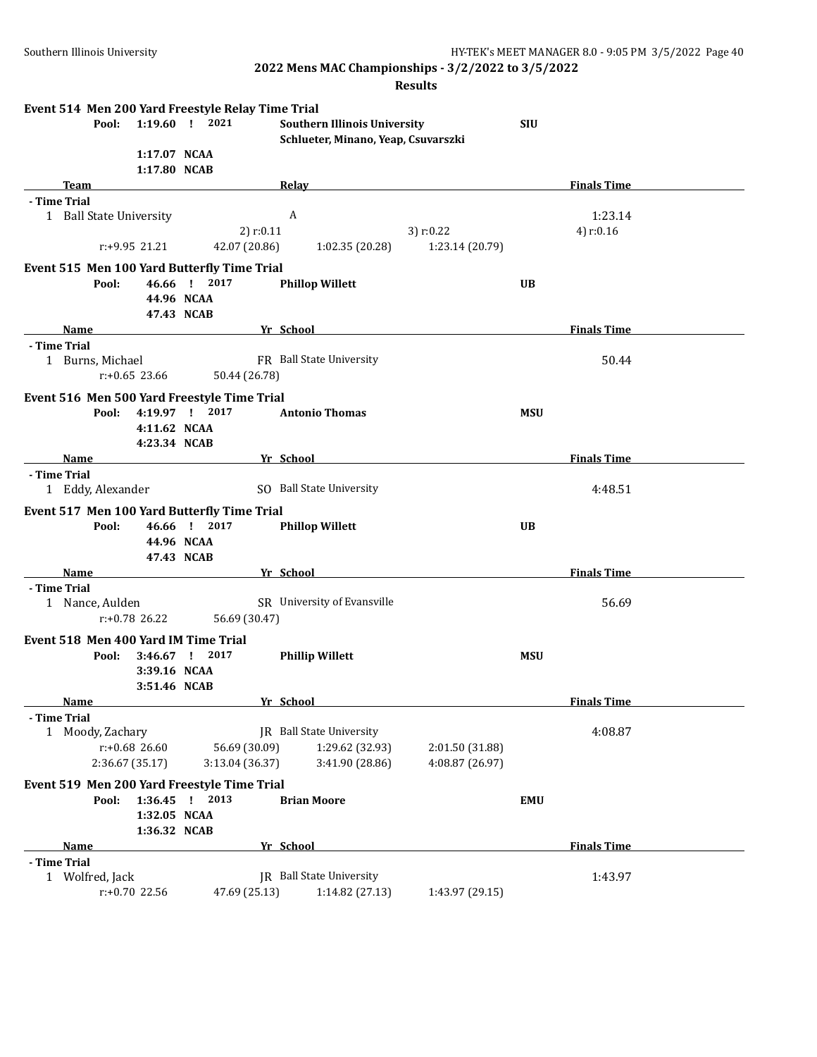| Event 514 Men 200 Yard Freestyle Relay Time Trial<br>Pool: |              | 1:19.60 ! 2021     | <b>Southern Illinois University</b> |                 | <b>SIU</b> |                    |  |
|------------------------------------------------------------|--------------|--------------------|-------------------------------------|-----------------|------------|--------------------|--|
|                                                            |              |                    | Schlueter, Minano, Yeap, Csuvarszki |                 |            |                    |  |
|                                                            | 1:17.07 NCAA |                    |                                     |                 |            |                    |  |
| Team                                                       | 1:17.80 NCAB |                    | <b>Relay</b>                        |                 |            | <b>Finals Time</b> |  |
| - Time Trial                                               |              |                    |                                     |                 |            |                    |  |
| 1 Ball State University                                    |              |                    | A                                   |                 |            | 1:23.14            |  |
|                                                            |              | $2)$ r:0.11        |                                     | 3) $r:0.22$     |            | 4) $r:0.16$        |  |
| r:+9.95 21.21                                              |              | 42.07 (20.86)      | 1:02.35(20.28)                      | 1:23.14 (20.79) |            |                    |  |
| Event 515 Men 100 Yard Butterfly Time Trial                |              |                    |                                     |                 |            |                    |  |
| Pool:                                                      |              | 46.66 ! 2017       | <b>Phillop Willett</b>              |                 | UB         |                    |  |
|                                                            |              | 44.96 NCAA         |                                     |                 |            |                    |  |
|                                                            |              | 47.43 NCAB         |                                     |                 |            |                    |  |
| <b>Name</b>                                                |              |                    | Yr School                           |                 |            | <b>Finals Time</b> |  |
| - Time Trial                                               |              |                    |                                     |                 |            |                    |  |
| 1 Burns, Michael                                           |              |                    | FR Ball State University            |                 |            | 50.44              |  |
| $r: +0.65$ 23.66                                           |              | 50.44 (26.78)      |                                     |                 |            |                    |  |
| Event 516 Men 500 Yard Freestyle Time Trial                |              |                    |                                     |                 |            |                    |  |
| Pool:                                                      |              | 4:19.97 ! 2017     | <b>Antonio Thomas</b>               |                 | <b>MSU</b> |                    |  |
|                                                            | 4:11.62 NCAA |                    |                                     |                 |            |                    |  |
|                                                            | 4:23.34 NCAB |                    |                                     |                 |            |                    |  |
| Name                                                       |              |                    | Yr School                           |                 |            | <b>Finals Time</b> |  |
| - Time Trial<br>1 Eddy, Alexander                          |              |                    | SO Ball State University            |                 |            | 4:48.51            |  |
|                                                            |              |                    |                                     |                 |            |                    |  |
| Event 517 Men 100 Yard Butterfly Time Trial                |              |                    |                                     |                 |            |                    |  |
| Pool:                                                      | 46.66 !      | 2017<br>44.96 NCAA | <b>Phillop Willett</b>              |                 | <b>UB</b>  |                    |  |
|                                                            |              | 47.43 NCAB         |                                     |                 |            |                    |  |
| Name                                                       |              |                    | Yr School                           |                 |            | <b>Finals Time</b> |  |
| - Time Trial                                               |              |                    |                                     |                 |            |                    |  |
| 1 Nance, Aulden                                            |              |                    | SR University of Evansville         |                 |            | 56.69              |  |
| $r: +0.78$ 26.22                                           |              | 56.69 (30.47)      |                                     |                 |            |                    |  |
| Event 518 Men 400 Yard IM Time Trial                       |              |                    |                                     |                 |            |                    |  |
| Pool:                                                      | $3:46.67$ !  | 2017               | <b>Phillip Willett</b>              |                 | <b>MSU</b> |                    |  |
|                                                            | 3:39.16 NCAA |                    |                                     |                 |            |                    |  |
|                                                            | 3:51.46 NCAB |                    |                                     |                 |            |                    |  |
| Name                                                       |              |                    | Vr School                           |                 |            | Finals Time        |  |
| - Time Trial                                               |              |                    |                                     |                 |            |                    |  |
| 1 Moody, Zachary                                           |              |                    | JR Ball State University            |                 |            | 4:08.87            |  |
| $r: +0.68$ 26.60                                           |              | 56.69 (30.09)      | 1:29.62 (32.93)                     | 2:01.50 (31.88) |            |                    |  |
| 2:36.67 (35.17)                                            |              | 3:13.04 (36.37)    | 3:41.90 (28.86)                     | 4:08.87 (26.97) |            |                    |  |
| Event 519 Men 200 Yard Freestyle Time Trial                |              |                    |                                     |                 |            |                    |  |
| Pool:                                                      | 1:36.45      | $1 \quad 2013$     | <b>Brian Moore</b>                  |                 | <b>EMU</b> |                    |  |
|                                                            | 1:32.05 NCAA |                    |                                     |                 |            |                    |  |
|                                                            | 1:36.32 NCAB |                    |                                     |                 |            |                    |  |
| Name                                                       |              |                    | Yr School                           |                 |            | <b>Finals Time</b> |  |
| - Time Trial                                               |              |                    |                                     |                 |            |                    |  |
| 1 Wolfred, Jack                                            |              |                    | <b>IR</b> Ball State University     |                 |            | 1:43.97            |  |
| r:+0.70 22.56                                              |              | 47.69 (25.13)      | 1:14.82 (27.13)                     | 1:43.97 (29.15) |            |                    |  |